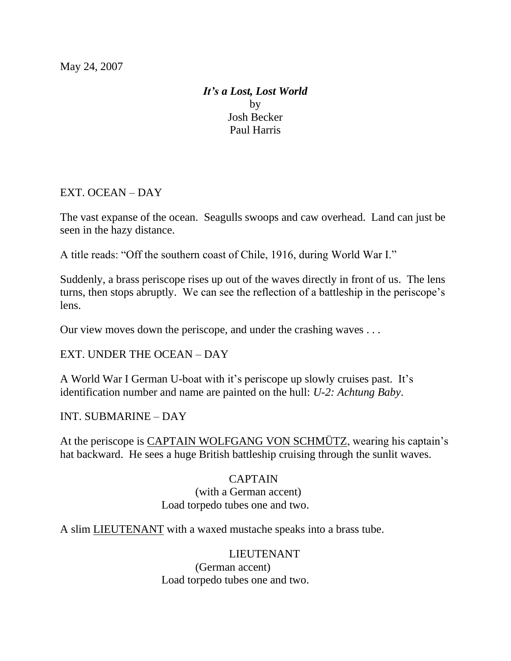## *It's a Lost, Lost World* by Josh Becker Paul Harris

EXT. OCEAN – DAY

The vast expanse of the ocean. Seagulls swoops and caw overhead. Land can just be seen in the hazy distance.

A title reads: "Off the southern coast of Chile, 1916, during World War I."

Suddenly, a brass periscope rises up out of the waves directly in front of us. The lens turns, then stops abruptly. We can see the reflection of a battleship in the periscope's lens.

Our view moves down the periscope, and under the crashing waves . . .

EXT. UNDER THE OCEAN – DAY

A World War I German U-boat with it's periscope up slowly cruises past. It's identification number and name are painted on the hull: *U-2: Achtung Baby*.

### INT. SUBMARINE – DAY

At the periscope is CAPTAIN WOLFGANG VON SCHMÜTZ, wearing his captain's hat backward. He sees a huge British battleship cruising through the sunlit waves.

## CAPTAIN

### (with a German accent) Load torpedo tubes one and two.

A slim LIEUTENANT with a waxed mustache speaks into a brass tube.

### LIEUTENANT

 (German accent) Load torpedo tubes one and two.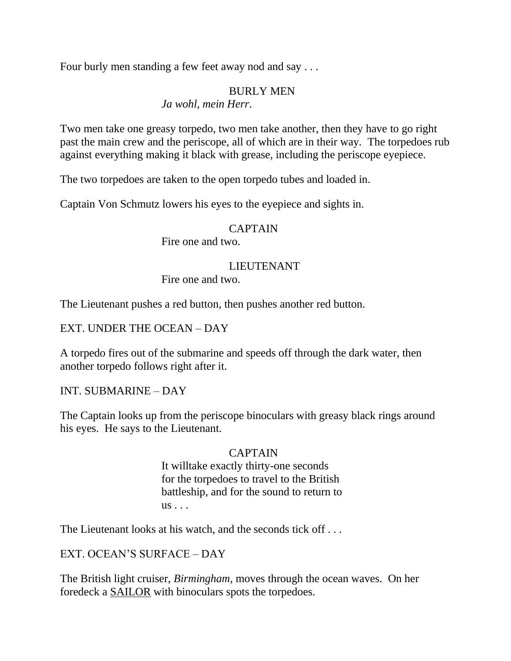Four burly men standing a few feet away nod and say . . .

### BURLY MEN

*Ja wohl, mein Herr*.

Two men take one greasy torpedo, two men take another, then they have to go right past the main crew and the periscope, all of which are in their way. The torpedoes rub against everything making it black with grease, including the periscope eyepiece.

The two torpedoes are taken to the open torpedo tubes and loaded in.

Captain Von Schmutz lowers his eyes to the eyepiece and sights in.

### CAPTAIN

Fire one and two.

### LIEUTENANT

Fire one and two.

The Lieutenant pushes a red button, then pushes another red button.

### EXT. UNDER THE OCEAN – DAY

A torpedo fires out of the submarine and speeds off through the dark water, then another torpedo follows right after it.

## INT. SUBMARINE – DAY

The Captain looks up from the periscope binoculars with greasy black rings around his eyes. He says to the Lieutenant.

## CAPTAIN

 It willtake exactly thirty-one seconds for the torpedoes to travel to the British battleship, and for the sound to return to  $us \ldots$ 

The Lieutenant looks at his watch, and the seconds tick off . . .

# EXT. OCEAN'S SURFACE – DAY

The British light cruiser, *Birmingham*, moves through the ocean waves. On her foredeck a SAILOR with binoculars spots the torpedoes.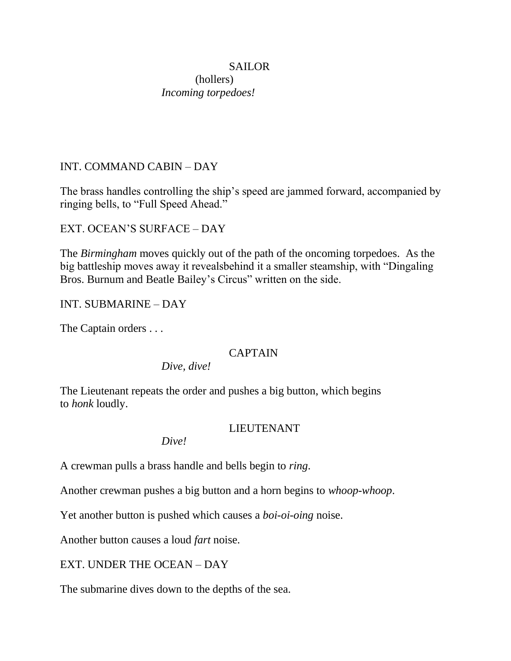### SAILOR

### (hollers) *Incoming torpedoes!*

## INT. COMMAND CABIN – DAY

The brass handles controlling the ship's speed are jammed forward, accompanied by ringing bells, to "Full Speed Ahead."

EXT. OCEAN'S SURFACE – DAY

The *Birmingham* moves quickly out of the path of the oncoming torpedoes. As the big battleship moves away it revealsbehind it a smaller steamship, with "Dingaling" Bros. Burnum and Beatle Bailey's Circus" written on the side.

INT. SUBMARINE – DAY

The Captain orders . . .

## CAPTAIN

*Dive, dive!*

The Lieutenant repeats the order and pushes a big button, which begins to *honk* loudly.

### LIEUTENANT

*Dive!*

A crewman pulls a brass handle and bells begin to *ring*.

Another crewman pushes a big button and a horn begins to *whoop-whoop*.

Yet another button is pushed which causes a *boi-oi-oing* noise.

Another button causes a loud *fart* noise.

## EXT. UNDER THE OCEAN – DAY

The submarine dives down to the depths of the sea.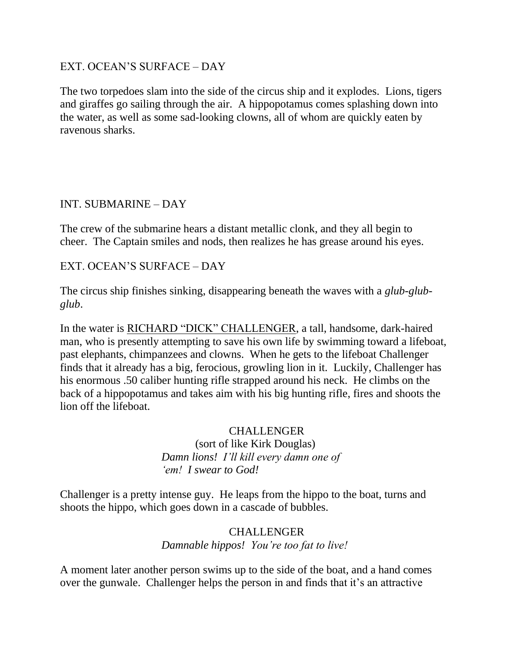### EXT. OCEAN'S SURFACE – DAY

The two torpedoes slam into the side of the circus ship and it explodes. Lions, tigers and giraffes go sailing through the air. A hippopotamus comes splashing down into the water, as well as some sad-looking clowns, all of whom are quickly eaten by ravenous sharks.

### INT. SUBMARINE – DAY

The crew of the submarine hears a distant metallic clonk, and they all begin to cheer. The Captain smiles and nods, then realizes he has grease around his eyes.

### EXT. OCEAN'S SURFACE – DAY

The circus ship finishes sinking, disappearing beneath the waves with a *glub-glubglub*.

In the water is RICHARD "DICK" CHALLENGER, a tall, handsome, dark-haired man, who is presently attempting to save his own life by swimming toward a lifeboat, past elephants, chimpanzees and clowns. When he gets to the lifeboat Challenger finds that it already has a big, ferocious, growling lion in it. Luckily, Challenger has his enormous .50 caliber hunting rifle strapped around his neck. He climbs on the back of a hippopotamus and takes aim with his big hunting rifle, fires and shoots the lion off the lifeboat.

### **CHALLENGER**

 (sort of like Kirk Douglas) *Damn lions! I'll kill every damn one of 'em! I swear to God!*

Challenger is a pretty intense guy. He leaps from the hippo to the boat, turns and shoots the hippo, which goes down in a cascade of bubbles.

## CHALLENGER *Damnable hippos! You're too fat to live!*

A moment later another person swims up to the side of the boat, and a hand comes over the gunwale. Challenger helps the person in and finds that it's an attractive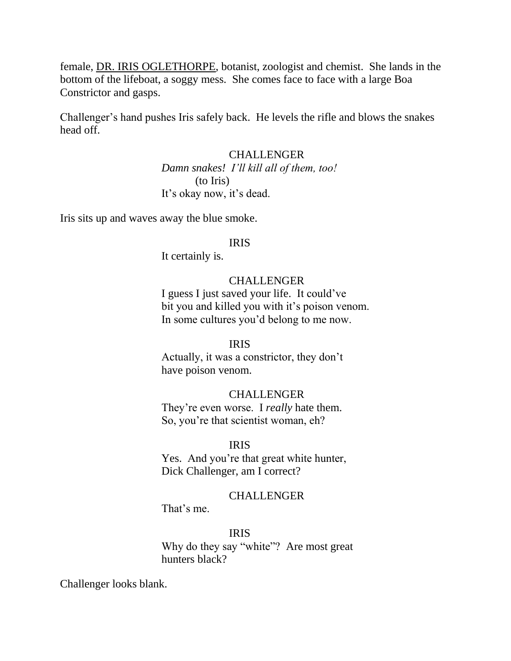female, DR. IRIS OGLETHORPE, botanist, zoologist and chemist. She lands in the bottom of the lifeboat, a soggy mess. She comes face to face with a large Boa Constrictor and gasps.

Challenger's hand pushes Iris safely back. He levels the rifle and blows the snakes head off.

#### CHALLENGER

 *Damn snakes! I'll kill all of them, too!*  (to Iris) It's okay now, it's dead.

Iris sits up and waves away the blue smoke.

### IRIS

It certainly is.

#### CHALLENGER

 I guess I just saved your life. It could've bit you and killed you with it's poison venom. In some cultures you'd belong to me now.

#### IRIS

 Actually, it was a constrictor, they don't have poison venom.

#### CHALLENGER

 They're even worse. I *really* hate them. So, you're that scientist woman, eh?

#### IRIS

 Yes. And you're that great white hunter, Dick Challenger, am I correct?

#### CHALLENGER

That's me.

### IRIS

Why do they say "white"? Are most great hunters black?

Challenger looks blank.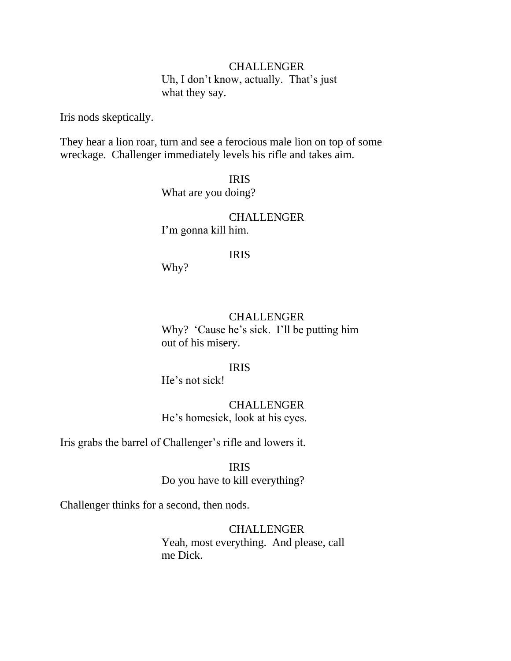#### CHALLENGER

 Uh, I don't know, actually. That's just what they say.

Iris nods skeptically.

They hear a lion roar, turn and see a ferocious male lion on top of some wreckage. Challenger immediately levels his rifle and takes aim.

> IRIS What are you doing?

 CHALLENGER I'm gonna kill him.

#### IRIS

Why?

#### CHALLENGER

Why? 'Cause he's sick. I'll be putting him out of his misery.

IRIS

He's not sick!

 CHALLENGER He's homesick, look at his eyes.

Iris grabs the barrel of Challenger's rifle and lowers it.

 IRIS Do you have to kill everything?

Challenger thinks for a second, then nods.

**CHALLENGER**  Yeah, most everything. And please, call me Dick.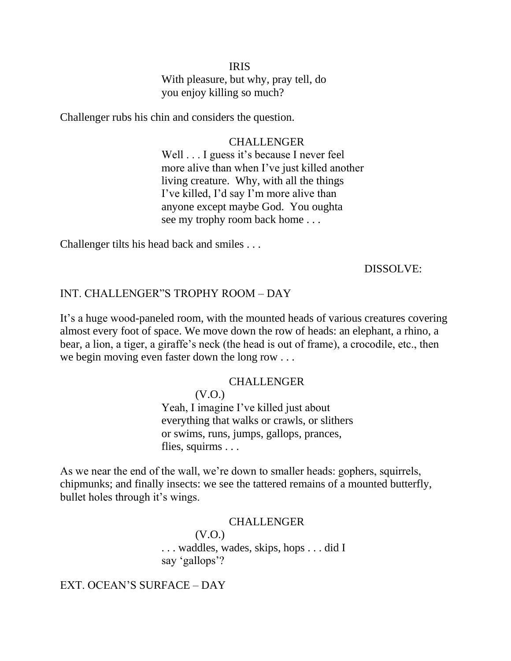### IRIS With pleasure, but why, pray tell, do you enjoy killing so much?

Challenger rubs his chin and considers the question.

 CHALLENGER Well . . . I guess it's because I never feel more alive than when I've just killed another living creature. Why, with all the things I've killed, I'd say I'm more alive than anyone except maybe God. You oughta see my trophy room back home . . .

Challenger tilts his head back and smiles . . .

#### DISSOLVE:

#### INT. CHALLENGER"S TROPHY ROOM - DAY

It's a huge wood-paneled room, with the mounted heads of various creatures covering almost every foot of space. We move down the row of heads: an elephant, a rhino, a bear, a lion, a tiger, a giraffe's neck (the head is out of frame), a crocodile, etc., then we begin moving even faster down the long row . . .

#### CHALLENGER

 (V.O.) Yeah, I imagine I've killed just about everything that walks or crawls, or slithers or swims, runs, jumps, gallops, prances, flies, squirms . . .

As we near the end of the wall, we're down to smaller heads: gophers, squirrels, chipmunks; and finally insects: we see the tattered remains of a mounted butterfly, bullet holes through it's wings.

#### **CHALLENGER**

 (V.O.) . . . waddles, wades, skips, hops . . . did I say 'gallops'?

EXT. OCEAN'S SURFACE – DAY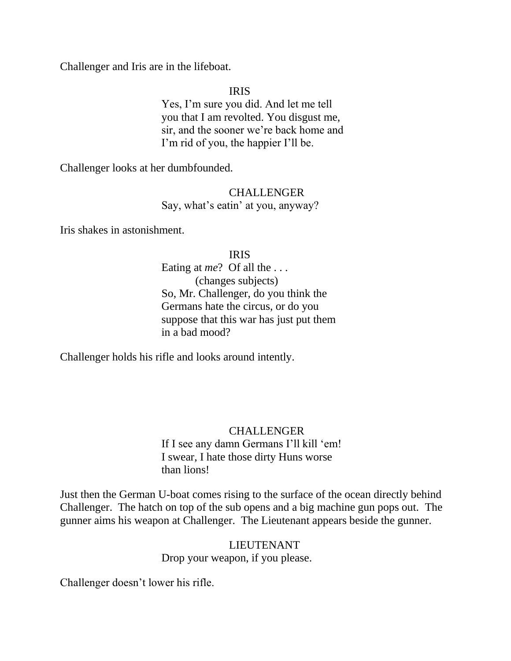Challenger and Iris are in the lifeboat.

### IRIS

 Yes, I'm sure you did. And let me tell you that I am revolted. You disgust me, sir, and the sooner we're back home and I'm rid of you, the happier I'll be.

Challenger looks at her dumbfounded.

### CHALLENGER Say, what's eatin' at you, anyway?

Iris shakes in astonishment.

### IRIS

 Eating at *me*? Of all the . . . (changes subjects) So, Mr. Challenger, do you think the Germans hate the circus, or do you suppose that this war has just put them in a bad mood?

Challenger holds his rifle and looks around intently.

# CHALLENGER

If I see any damn Germans I'll kill 'em! I swear, I hate those dirty Huns worse than lions!

Just then the German U-boat comes rising to the surface of the ocean directly behind Challenger. The hatch on top of the sub opens and a big machine gun pops out. The gunner aims his weapon at Challenger. The Lieutenant appears beside the gunner.

> LIEUTENANT Drop your weapon, if you please.

Challenger doesn't lower his rifle.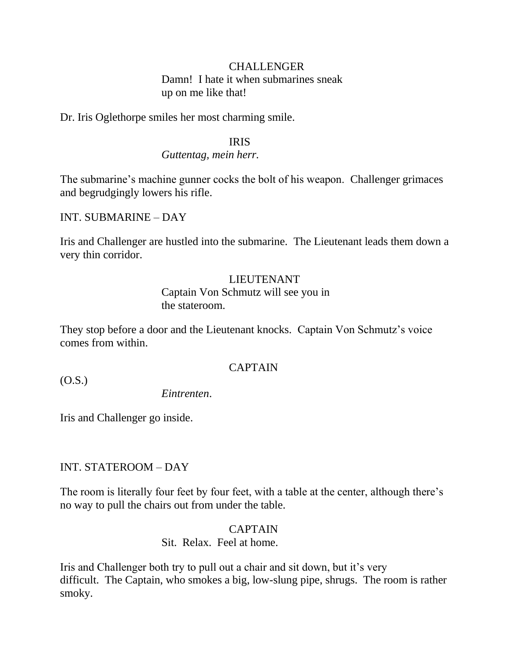#### CHALLENGER

 Damn! I hate it when submarines sneak up on me like that!

Dr. Iris Oglethorpe smiles her most charming smile.

#### IRIS

#### *Guttentag, mein herr.*

The submarine's machine gunner cocks the bolt of his weapon. Challenger grimaces and begrudgingly lowers his rifle.

INT. SUBMARINE – DAY

Iris and Challenger are hustled into the submarine. The Lieutenant leads them down a very thin corridor.

### LIEUTENANT Captain Von Schmutz will see you in the stateroom.

They stop before a door and the Lieutenant knocks. Captain Von Schmutz's voice comes from within.

### CAPTAIN

(O.S.)

*Eintrenten*.

Iris and Challenger go inside.

### INT. STATEROOM – DAY

The room is literally four feet by four feet, with a table at the center, although there's no way to pull the chairs out from under the table.

### CAPTAIN

Sit. Relax. Feel at home.

Iris and Challenger both try to pull out a chair and sit down, but it's very difficult. The Captain, who smokes a big, low-slung pipe, shrugs. The room is rather smoky.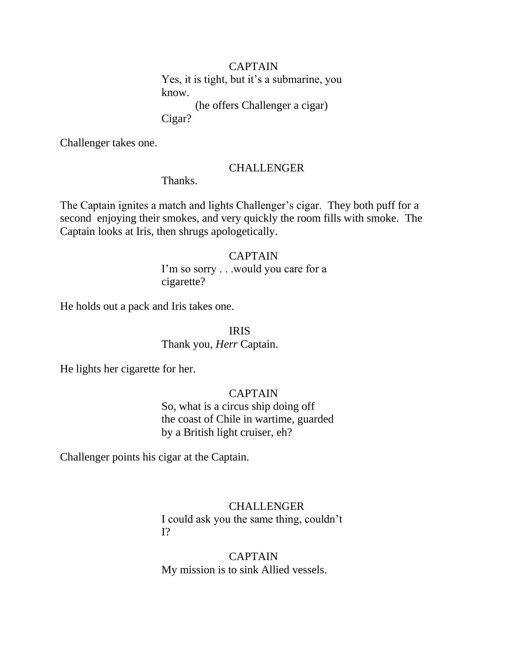#### CAPTAIN

 Yes, it is tight, but it's a submarine, you know.

(he offers Challenger a cigar)

Cigar?

Challenger takes one.

#### CHALLENGER

Thanks.

The Captain ignites a match and lights Challenger's cigar. They both puff for a second enjoying their smokes, and very quickly the room fills with smoke. The Captain looks at Iris, then shrugs apologetically.

#### CAPTAIN

 I'm so sorry . . .would you care for a cigarette?

He holds out a pack and Iris takes one.

IRIS

Thank you, *Herr* Captain.

He lights her cigarette for her.

#### CAPTAIN

 So, what is a circus ship doing off the coast of Chile in wartime, guarded by a British light cruiser, eh?

Challenger points his cigar at the Captain.

### CHALLENGER

 I could ask you the same thing, couldn't I?

### CAPTAIN My mission is to sink Allied vessels.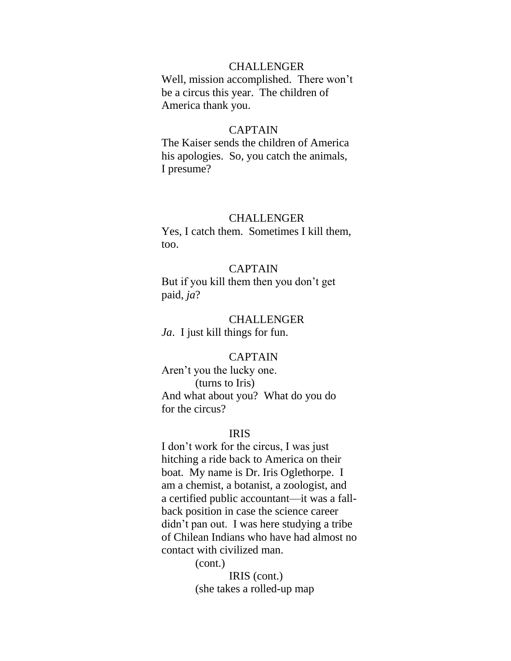#### **CHALLENGER**

 Well, mission accomplished. There won't be a circus this year. The children of America thank you.

#### CAPTAIN

 The Kaiser sends the children of America his apologies. So, you catch the animals, I presume?

#### CHALLENGER

 Yes, I catch them. Sometimes I kill them, too.

### CAPTAIN

 But if you kill them then you don't get paid, *ja*?

#### CHALLENGER

*Ja*. I just kill things for fun.

#### CAPTAIN

 Aren't you the lucky one. (turns to Iris) And what about you? What do you do for the circus?

#### IRIS

 I don't work for the circus, I was just hitching a ride back to America on their boat. My name is Dr. Iris Oglethorpe. I am a chemist, a botanist, a zoologist, and a certified public accountant—it was a fall back position in case the science career didn't pan out. I was here studying a tribe of Chilean Indians who have had almost no contact with civilized man.

> (cont.) IRIS (cont.) (she takes a rolled-up map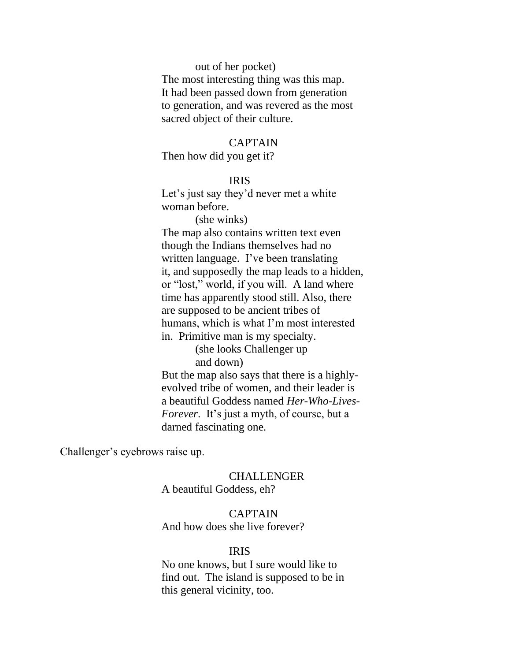out of her pocket) The most interesting thing was this map. It had been passed down from generation to generation, and was revered as the most sacred object of their culture.

#### CAPTAIN

Then how did you get it?

#### IRIS

 Let's just say they'd never met a white woman before.

 (she winks) The map also contains written text even though the Indians themselves had no written language. I've been translating it, and supposedly the map leads to a hidden, or "lost," world, if you will. A land where time has apparently stood still. Also, there are supposed to be ancient tribes of humans, which is what I'm most interested

in. Primitive man is my specialty.

 (she looks Challenger up and down)

 But the map also says that there is a highly evolved tribe of women, and their leader is a beautiful Goddess named *Her-Who-Lives- Forever*. It's just a myth, of course, but a darned fascinating one.

Challenger's eyebrows raise up.

#### CHALLENGER

A beautiful Goddess, eh?

#### CAPTAIN

And how does she live forever?

#### IRIS

 No one knows, but I sure would like to find out. The island is supposed to be in this general vicinity, too.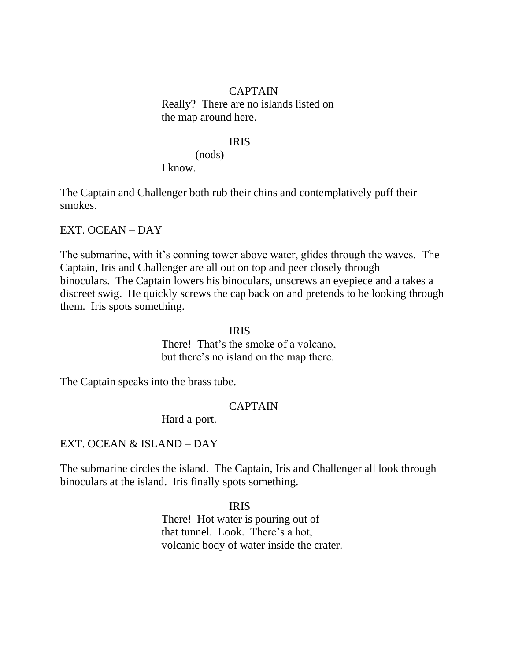#### CAPTAIN

 Really? There are no islands listed on the map around here.

#### IRIS

 (nods) I know.

The Captain and Challenger both rub their chins and contemplatively puff their smokes.

EXT. OCEAN – DAY

The submarine, with it's conning tower above water, glides through the waves. The Captain, Iris and Challenger are all out on top and peer closely through binoculars. The Captain lowers his binoculars, unscrews an eyepiece and a takes a discreet swig. He quickly screws the cap back on and pretends to be looking through them. Iris spots something.

 IRIS There! That's the smoke of a volcano, but there's no island on the map there.

The Captain speaks into the brass tube.

### CAPTAIN

Hard a-port.

### EXT. OCEAN & ISLAND – DAY

The submarine circles the island. The Captain, Iris and Challenger all look through binoculars at the island. Iris finally spots something.

#### IRIS

 There! Hot water is pouring out of that tunnel. Look. There's a hot, volcanic body of water inside the crater.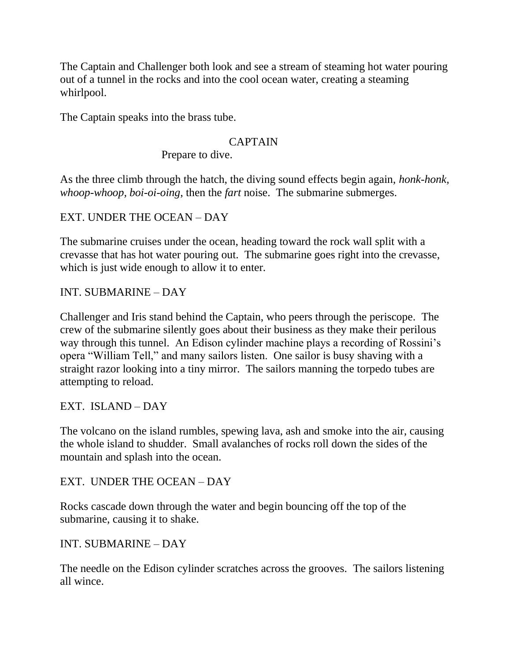The Captain and Challenger both look and see a stream of steaming hot water pouring out of a tunnel in the rocks and into the cool ocean water, creating a steaming whirlpool.

The Captain speaks into the brass tube.

### CAPTAIN

Prepare to dive.

As the three climb through the hatch, the diving sound effects begin again, *honk-honk, whoop-whoop, boi-oi-oing*, then the *fart* noise. The submarine submerges.

EXT. UNDER THE OCEAN – DAY

The submarine cruises under the ocean, heading toward the rock wall split with a crevasse that has hot water pouring out. The submarine goes right into the crevasse, which is just wide enough to allow it to enter.

## INT. SUBMARINE – DAY

Challenger and Iris stand behind the Captain, who peers through the periscope. The crew of the submarine silently goes about their business as they make their perilous way through this tunnel. An Edison cylinder machine plays a recording of Rossini's opera "William Tell," and many sailors listen. One sailor is busy shaving with a straight razor looking into a tiny mirror. The sailors manning the torpedo tubes are attempting to reload.

EXT. ISLAND – DAY

The volcano on the island rumbles, spewing lava, ash and smoke into the air, causing the whole island to shudder. Small avalanches of rocks roll down the sides of the mountain and splash into the ocean.

EXT. UNDER THE OCEAN – DAY

Rocks cascade down through the water and begin bouncing off the top of the submarine, causing it to shake.

## INT. SUBMARINE – DAY

The needle on the Edison cylinder scratches across the grooves. The sailors listening all wince.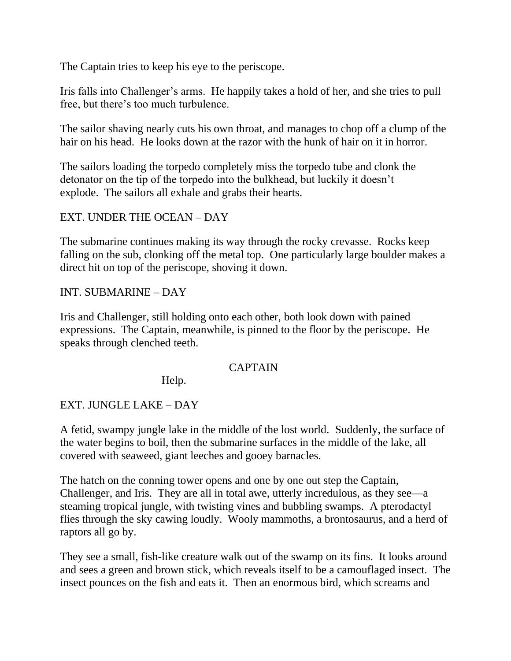The Captain tries to keep his eye to the periscope.

Iris falls into Challenger's arms. He happily takes a hold of her, and she tries to pull free, but there's too much turbulence.

The sailor shaving nearly cuts his own throat, and manages to chop off a clump of the hair on his head. He looks down at the razor with the hunk of hair on it in horror.

The sailors loading the torpedo completely miss the torpedo tube and clonk the detonator on the tip of the torpedo into the bulkhead, but luckily it doesn't explode. The sailors all exhale and grabs their hearts.

### EXT. UNDER THE OCEAN – DAY

The submarine continues making its way through the rocky crevasse. Rocks keep falling on the sub, clonking off the metal top. One particularly large boulder makes a direct hit on top of the periscope, shoving it down.

### INT. SUBMARINE – DAY

Iris and Challenger, still holding onto each other, both look down with pained expressions. The Captain, meanwhile, is pinned to the floor by the periscope. He speaks through clenched teeth.

### CAPTAIN

Help.

## EXT. JUNGLE LAKE – DAY

A fetid, swampy jungle lake in the middle of the lost world. Suddenly, the surface of the water begins to boil, then the submarine surfaces in the middle of the lake, all covered with seaweed, giant leeches and gooey barnacles.

The hatch on the conning tower opens and one by one out step the Captain, Challenger, and Iris. They are all in total awe, utterly incredulous, as they see—a steaming tropical jungle, with twisting vines and bubbling swamps. A pterodactyl flies through the sky cawing loudly. Wooly mammoths, a brontosaurus, and a herd of raptors all go by.

They see a small, fish-like creature walk out of the swamp on its fins. It looks around and sees a green and brown stick, which reveals itself to be a camouflaged insect. The insect pounces on the fish and eats it. Then an enormous bird, which screams and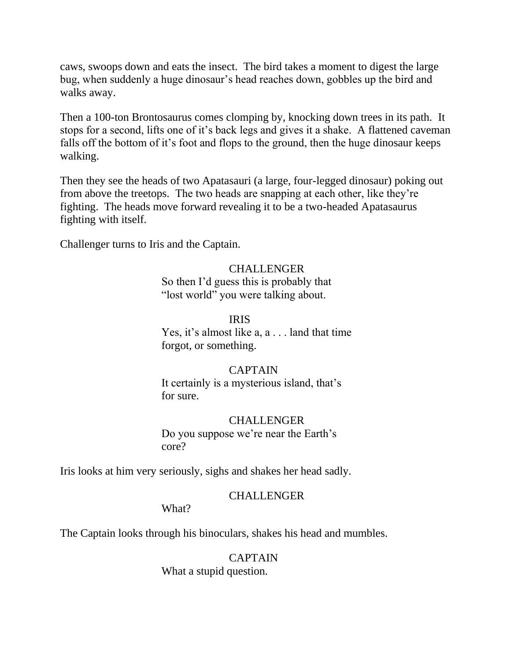caws, swoops down and eats the insect. The bird takes a moment to digest the large bug, when suddenly a huge dinosaur's head reaches down, gobbles up the bird and walks away.

Then a 100-ton Brontosaurus comes clomping by, knocking down trees in its path. It stops for a second, lifts one of it's back legs and gives it a shake. A flattened caveman falls off the bottom of it's foot and flops to the ground, then the huge dinosaur keeps walking.

Then they see the heads of two Apatasauri (a large, four-legged dinosaur) poking out from above the treetops. The two heads are snapping at each other, like they're fighting. The heads move forward revealing it to be a two-headed Apatasaurus fighting with itself.

Challenger turns to Iris and the Captain.

 CHALLENGER So then I'd guess this is probably that "lost world" you were talking about.

### IRIS

 Yes, it's almost like a, a . . . land that time forgot, or something.

### CAPTAIN

 It certainly is a mysterious island, that's for sure.

### CHALLENGER

 Do you suppose we're near the Earth's core?

Iris looks at him very seriously, sighs and shakes her head sadly.

### CHALLENGER

What?

The Captain looks through his binoculars, shakes his head and mumbles.

### CAPTAIN

What a stupid question.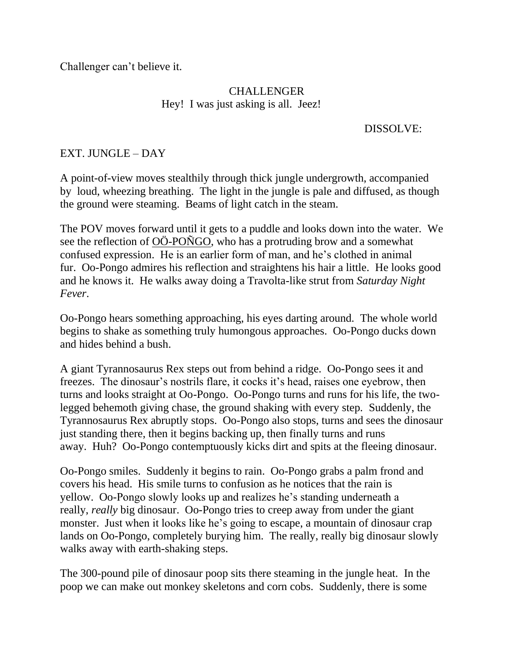Challenger can't believe it.

### CHALLENGER Hey! I was just asking is all. Jeez!

### DISSOLVE:

### EXT. JUNGLE – DAY

A point-of-view moves stealthily through thick jungle undergrowth, accompanied by loud, wheezing breathing. The light in the jungle is pale and diffused, as though the ground were steaming. Beams of light catch in the steam.

The POV moves forward until it gets to a puddle and looks down into the water. We see the reflection of OÖ-POÑGO, who has a protruding brow and a somewhat confused expression. He is an earlier form of man, and he's clothed in animal fur. Oo-Pongo admires his reflection and straightens his hair a little. He looks good and he knows it. He walks away doing a Travolta-like strut from *Saturday Night Fever*.

Oo-Pongo hears something approaching, his eyes darting around. The whole world begins to shake as something truly humongous approaches. Oo-Pongo ducks down and hides behind a bush.

A giant Tyrannosaurus Rex steps out from behind a ridge. Oo-Pongo sees it and freezes. The dinosaur's nostrils flare, it cocks it's head, raises one eyebrow, then turns and looks straight at Oo-Pongo. Oo-Pongo turns and runs for his life, the twolegged behemoth giving chase, the ground shaking with every step. Suddenly, the Tyrannosaurus Rex abruptly stops. Oo-Pongo also stops, turns and sees the dinosaur just standing there, then it begins backing up, then finally turns and runs away. Huh? Oo-Pongo contemptuously kicks dirt and spits at the fleeing dinosaur.

Oo-Pongo smiles. Suddenly it begins to rain. Oo-Pongo grabs a palm frond and covers his head. His smile turns to confusion as he notices that the rain is yellow. Oo-Pongo slowly looks up and realizes he's standing underneath a really, *really* big dinosaur. Oo-Pongo tries to creep away from under the giant monster. Just when it looks like he's going to escape, a mountain of dinosaur crap lands on Oo-Pongo, completely burying him. The really, really big dinosaur slowly walks away with earth-shaking steps.

The 300-pound pile of dinosaur poop sits there steaming in the jungle heat. In the poop we can make out monkey skeletons and corn cobs. Suddenly, there is some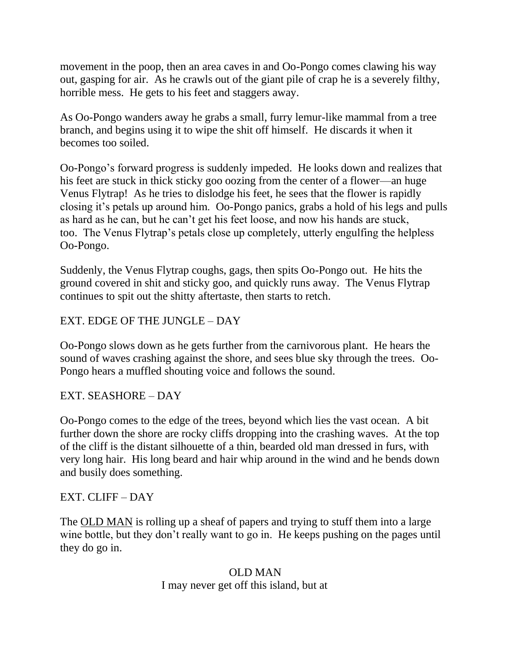movement in the poop, then an area caves in and Oo-Pongo comes clawing his way out, gasping for air. As he crawls out of the giant pile of crap he is a severely filthy, horrible mess. He gets to his feet and staggers away.

As Oo-Pongo wanders away he grabs a small, furry lemur-like mammal from a tree branch, and begins using it to wipe the shit off himself. He discards it when it becomes too soiled.

Oo-Pongo's forward progress is suddenly impeded. He looks down and realizes that his feet are stuck in thick sticky goo oozing from the center of a flower—an huge Venus Flytrap! As he tries to dislodge his feet, he sees that the flower is rapidly closing it's petals up around him. Oo-Pongo panics, grabs a hold of his legs and pulls as hard as he can, but he can't get his feet loose, and now his hands are stuck, too. The Venus Flytrap's petals close up completely, utterly engulfing the helpless Oo-Pongo.

Suddenly, the Venus Flytrap coughs, gags, then spits Oo-Pongo out. He hits the ground covered in shit and sticky goo, and quickly runs away. The Venus Flytrap continues to spit out the shitty aftertaste, then starts to retch.

## EXT. EDGE OF THE JUNGLE – DAY

Oo-Pongo slows down as he gets further from the carnivorous plant. He hears the sound of waves crashing against the shore, and sees blue sky through the trees. Oo-Pongo hears a muffled shouting voice and follows the sound.

## EXT. SEASHORE – DAY

Oo-Pongo comes to the edge of the trees, beyond which lies the vast ocean. A bit further down the shore are rocky cliffs dropping into the crashing waves. At the top of the cliff is the distant silhouette of a thin, bearded old man dressed in furs, with very long hair. His long beard and hair whip around in the wind and he bends down and busily does something.

## EXT. CLIFF – DAY

The OLD MAN is rolling up a sheaf of papers and trying to stuff them into a large wine bottle, but they don't really want to go in. He keeps pushing on the pages until they do go in.

### OLD MAN I may never get off this island, but at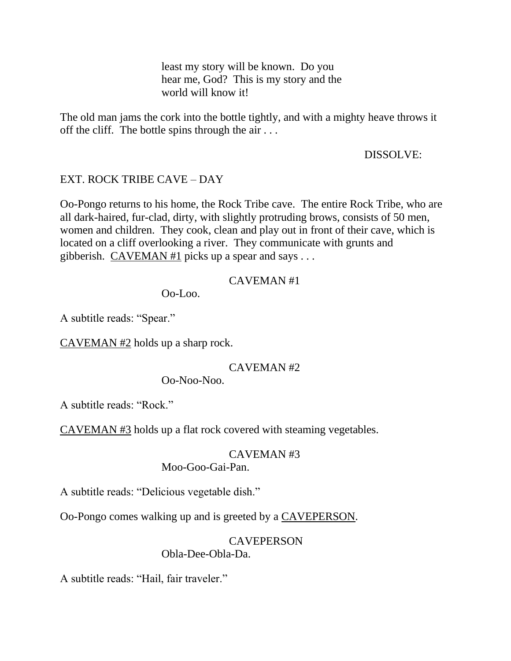least my story will be known. Do you hear me, God? This is my story and the world will know it!

The old man jams the cork into the bottle tightly, and with a mighty heave throws it off the cliff. The bottle spins through the air . . .

### DISSOLVE:

### EXT. ROCK TRIBE CAVE – DAY

Oo-Pongo returns to his home, the Rock Tribe cave. The entire Rock Tribe, who are all dark-haired, fur-clad, dirty, with slightly protruding brows, consists of 50 men, women and children. They cook, clean and play out in front of their cave, which is located on a cliff overlooking a river. They communicate with grunts and gibberish. CAVEMAN #1 picks up a spear and says  $\dots$ 

### CAVEMAN #1

Oo-Loo.

A subtitle reads: "Spear."

 $CAVEMAN #2$  holds up a sharp rock.

### CAVEMAN #2

Oo-Noo-Noo.

A subtitle reads: "Rock."

CAVEMAN #3 holds up a flat rock covered with steaming vegetables.

# CAVEMAN #3

### Moo-Goo-Gai-Pan.

A subtitle reads: "Delicious vegetable dish."

Oo-Pongo comes walking up and is greeted by a CAVEPERSON.

### **CAVEPERSON** Obla-Dee-Obla-Da.

A subtitle reads: "Hail, fair traveler."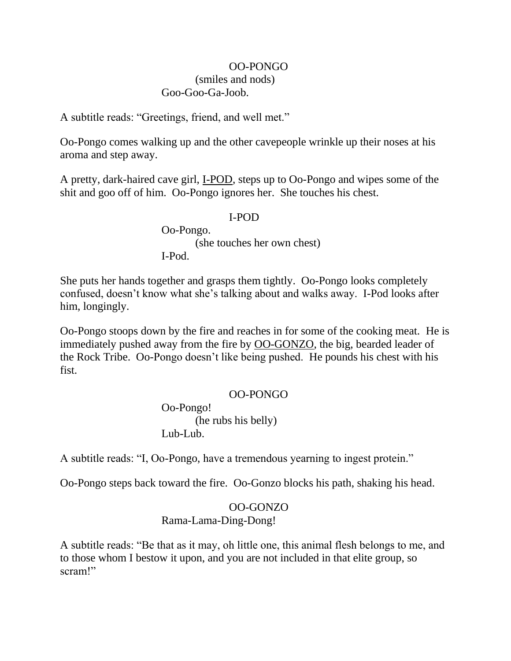### OO-PONGO (smiles and nods) Goo-Goo-Ga-Joob.

A subtitle reads: "Greetings, friend, and well met."

Oo-Pongo comes walking up and the other cavepeople wrinkle up their noses at his aroma and step away.

A pretty, dark-haired cave girl, I-POD, steps up to Oo-Pongo and wipes some of the shit and goo off of him. Oo-Pongo ignores her. She touches his chest.

### I-POD

 Oo-Pongo. (she touches her own chest) I-Pod.

She puts her hands together and grasps them tightly. Oo-Pongo looks completely confused, doesn't know what she's talking about and walks away. I-Pod looks after him, longingly.

Oo-Pongo stoops down by the fire and reaches in for some of the cooking meat. He is immediately pushed away from the fire by OO-GONZO, the big, bearded leader of the Rock Tribe. Oo-Pongo doesn't like being pushed. He pounds his chest with his fist.

### OO-PONGO

 Oo-Pongo! (he rubs his belly) Lub-Lub.

A subtitle reads: "I, Oo-Pongo, have a tremendous yearning to ingest protein."

Oo-Pongo steps back toward the fire. Oo-Gonzo blocks his path, shaking his head.

### OO-GONZO Rama-Lama-Ding-Dong!

A subtitle reads: "Be that as it may, oh little one, this animal flesh belongs to me, and to those whom I bestow it upon, and you are not included in that elite group, so scram!"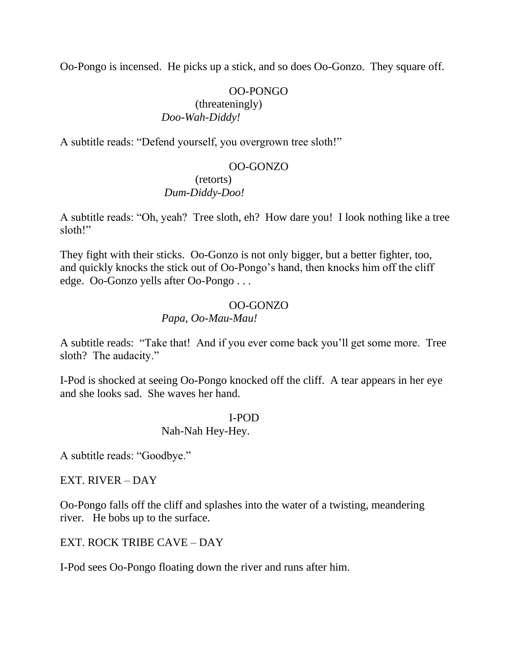Oo-Pongo is incensed. He picks up a stick, and so does Oo-Gonzo. They square off.

### OO-PONGO

#### (threateningly) *Doo-Wah-Diddy!*

A subtitle reads: "Defend yourself, you overgrown tree sloth!"

### OO-GONZO

### (retorts) *Dum-Diddy-Doo!*

A subtitle reads: "Oh, yeah? Tree sloth, eh? How dare you! I look nothing like a tree sloth!"

They fight with their sticks. Oo-Gonzo is not only bigger, but a better fighter, too, and quickly knocks the stick out of Oo-Pongo's hand, then knocks him off the cliff edge. Oo-Gonzo yells after Oo-Pongo . . .

### OO-GONZO

### *Papa, Oo-Mau-Mau!*

A subtitle reads: "Take that! And if you ever come back you'll get some more. Tree sloth? The audacity."

I-Pod is shocked at seeing Oo-Pongo knocked off the cliff. A tear appears in her eye and she looks sad. She waves her hand.

### I-POD

### Nah-Nah Hey-Hey.

A subtitle reads: "Goodbye."

### EXT. RIVER – DAY

Oo-Pongo falls off the cliff and splashes into the water of a twisting, meandering river. He bobs up to the surface.

### EXT. ROCK TRIBE CAVE – DAY

I-Pod sees Oo-Pongo floating down the river and runs after him.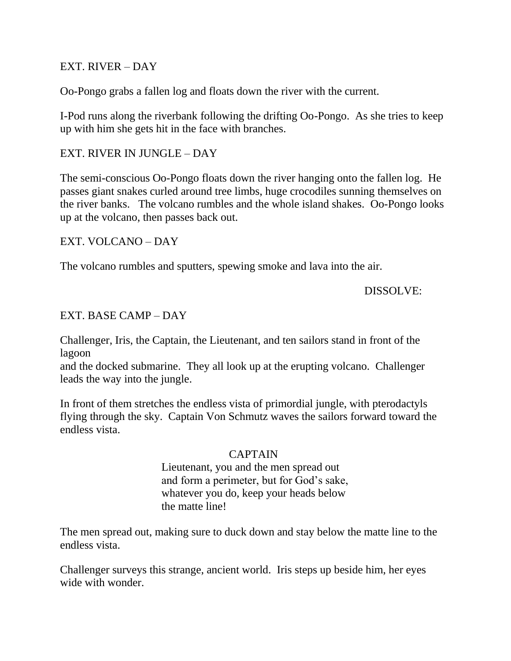### EXT. RIVER – DAY

Oo-Pongo grabs a fallen log and floats down the river with the current.

I-Pod runs along the riverbank following the drifting Oo-Pongo. As she tries to keep up with him she gets hit in the face with branches.

### EXT. RIVER IN JUNGLE – DAY

The semi-conscious Oo-Pongo floats down the river hanging onto the fallen log. He passes giant snakes curled around tree limbs, huge crocodiles sunning themselves on the river banks. The volcano rumbles and the whole island shakes. Oo-Pongo looks up at the volcano, then passes back out.

### EXT. VOLCANO – DAY

The volcano rumbles and sputters, spewing smoke and lava into the air.

### DISSOLVE:

### EXT. BASE CAMP – DAY

Challenger, Iris, the Captain, the Lieutenant, and ten sailors stand in front of the lagoon

and the docked submarine. They all look up at the erupting volcano. Challenger leads the way into the jungle.

In front of them stretches the endless vista of primordial jungle, with pterodactyls flying through the sky. Captain Von Schmutz waves the sailors forward toward the endless vista.

### CAPTAIN

 Lieutenant, you and the men spread out and form a perimeter, but for God's sake, whatever you do, keep your heads below the matte line!

The men spread out, making sure to duck down and stay below the matte line to the endless vista.

Challenger surveys this strange, ancient world. Iris steps up beside him, her eyes wide with wonder.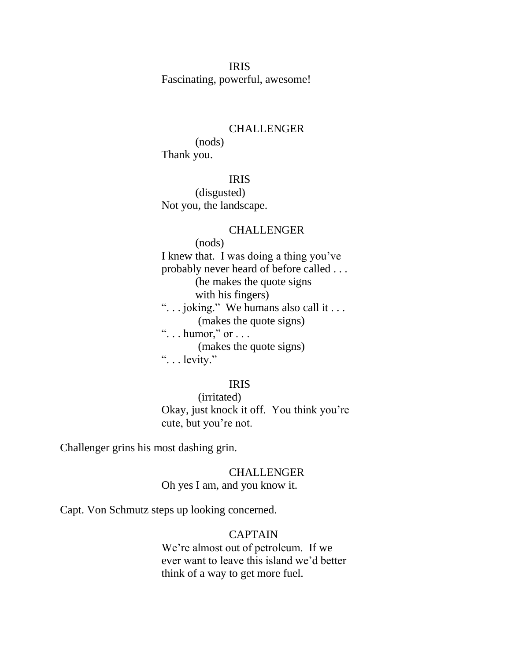IRIS Fascinating, powerful, awesome!

#### CHALLENGER

 (nods) Thank you.

### IRIS

 (disgusted) Not you, the landscape.

#### CHALLENGER

 (nods) I knew that. I was doing a thing you've probably never heard of before called . . . (he makes the quote signs with his fingers) "... joking." We humans also call it ... (makes the quote signs) " $\ldots$  humor," or  $\ldots$  (makes the quote signs) "... levity."

#### IRIS

 (irritated) Okay, just knock it off. You think you're cute, but you're not.

Challenger grins his most dashing grin.

#### CHALLENGER Oh yes I am, and you know it.

Capt. Von Schmutz steps up looking concerned.

### CAPTAIN

 We're almost out of petroleum. If we ever want to leave this island we'd better think of a way to get more fuel.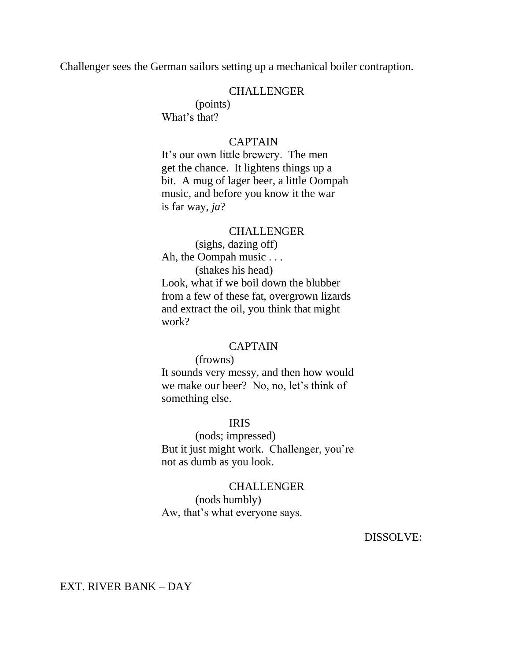Challenger sees the German sailors setting up a mechanical boiler contraption.

#### CHALLENGER

 (points) What's that?

#### CAPTAIN

 It's our own little brewery. The men get the chance. It lightens things up a bit. A mug of lager beer, a little Oompah music, and before you know it the war is far way, *ja*?

#### CHALLENGER

 (sighs, dazing off) Ah, the Oompah music . . . (shakes his head) Look, what if we boil down the blubber from a few of these fat, overgrown lizards and extract the oil, you think that might work?

#### CAPTAIN

(frowns)

 It sounds very messy, and then how would we make our beer? No, no, let's think of something else.

#### IRIS

 (nods; impressed) But it just might work. Challenger, you're not as dumb as you look.

### **CHALLENGER**  (nods humbly) Aw, that's what everyone says.

DISSOLVE:

EXT. RIVER BANK – DAY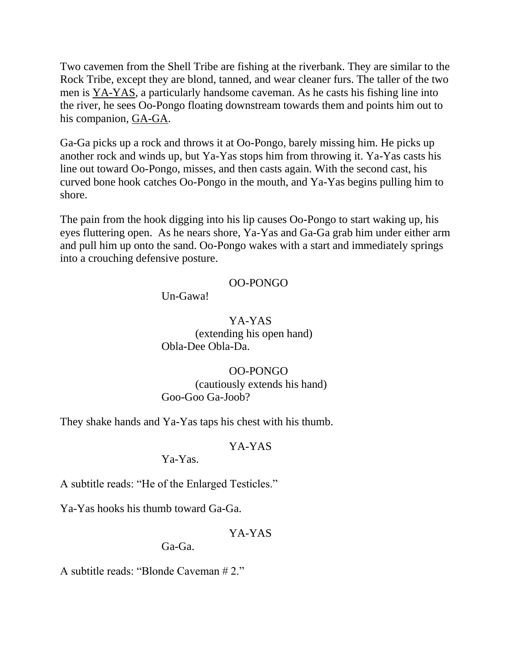Two cavemen from the Shell Tribe are fishing at the riverbank. They are similar to the Rock Tribe, except they are blond, tanned, and wear cleaner furs. The taller of the two men is YA-YAS, a particularly handsome caveman. As he casts his fishing line into the river, he sees Oo-Pongo floating downstream towards them and points him out to his companion, GA-GA.

Ga-Ga picks up a rock and throws it at Oo-Pongo, barely missing him. He picks up another rock and winds up, but Ya-Yas stops him from throwing it. Ya-Yas casts his line out toward Oo-Pongo, misses, and then casts again. With the second cast, his curved bone hook catches Oo-Pongo in the mouth, and Ya-Yas begins pulling him to shore.

The pain from the hook digging into his lip causes Oo-Pongo to start waking up, his eyes fluttering open. As he nears shore, Ya-Yas and Ga-Ga grab him under either arm and pull him up onto the sand. Oo-Pongo wakes with a start and immediately springs into a crouching defensive posture.

### OO-PONGO

Un-Gawa!

 YA-YAS (extending his open hand) Obla-Dee Obla-Da.

### OO-PONGO

 (cautiously extends his hand) Goo-Goo Ga-Joob?

They shake hands and Ya-Yas taps his chest with his thumb.

### YA-YAS

Ya-Yas.

A subtitle reads: "He of the Enlarged Testicles."

Ya-Yas hooks his thumb toward Ga-Ga.

### YA-YAS

Ga-Ga.

A subtitle reads: "Blonde Caveman  $# 2."$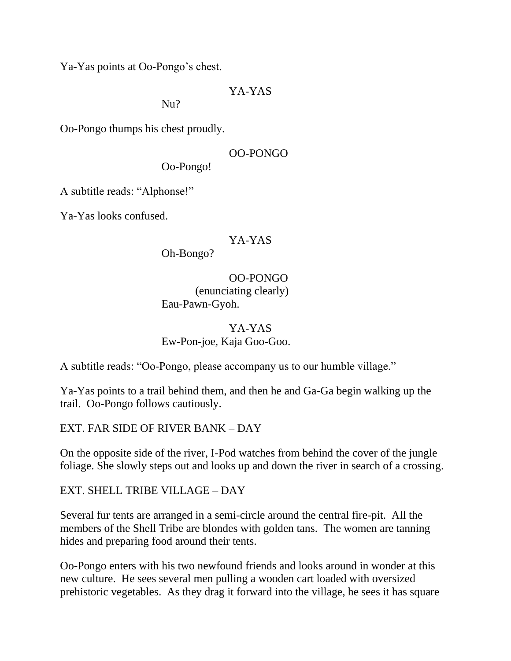Ya-Yas points at Oo-Pongo's chest.

### YA-YAS

Nu?

Oo-Pongo thumps his chest proudly.

### OO-PONGO

Oo-Pongo!

A subtitle reads: "Alphonse!"

Ya-Yas looks confused.

### YA-YAS

Oh-Bongo?

 OO-PONGO (enunciating clearly) Eau-Pawn-Gyoh.

### YA-YAS Ew-Pon-joe, Kaja Goo-Goo.

A subtitle reads: "Oo-Pongo, please accompany us to our humble village."

Ya-Yas points to a trail behind them, and then he and Ga-Ga begin walking up the trail. Oo-Pongo follows cautiously.

## EXT. FAR SIDE OF RIVER BANK – DAY

On the opposite side of the river, I-Pod watches from behind the cover of the jungle foliage. She slowly steps out and looks up and down the river in search of a crossing.

EXT. SHELL TRIBE VILLAGE – DAY

Several fur tents are arranged in a semi-circle around the central fire-pit. All the members of the Shell Tribe are blondes with golden tans. The women are tanning hides and preparing food around their tents.

Oo-Pongo enters with his two newfound friends and looks around in wonder at this new culture. He sees several men pulling a wooden cart loaded with oversized prehistoric vegetables. As they drag it forward into the village, he sees it has square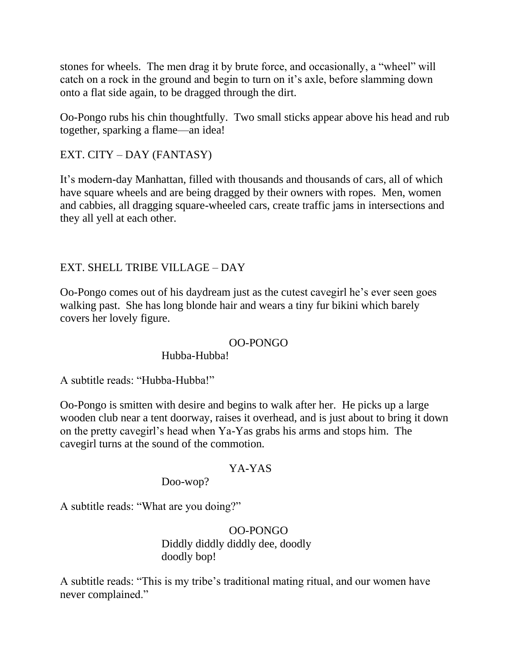stones for wheels. The men drag it by brute force, and occasionally, a "wheel" will catch on a rock in the ground and begin to turn on it's axle, before slamming down onto a flat side again, to be dragged through the dirt.

Oo-Pongo rubs his chin thoughtfully. Two small sticks appear above his head and rub together, sparking a flame—an idea!

EXT. CITY – DAY (FANTASY)

It's modern-day Manhattan, filled with thousands and thousands of cars, all of which have square wheels and are being dragged by their owners with ropes. Men, women and cabbies, all dragging square-wheeled cars, create traffic jams in intersections and they all yell at each other.

## EXT. SHELL TRIBE VILLAGE – DAY

Oo-Pongo comes out of his daydream just as the cutest cavegirl he's ever seen goes walking past. She has long blonde hair and wears a tiny fur bikini which barely covers her lovely figure.

### OO-PONGO

Hubba-Hubba!

A subtitle reads: "Hubba-Hubba!"

Oo-Pongo is smitten with desire and begins to walk after her. He picks up a large wooden club near a tent doorway, raises it overhead, and is just about to bring it down on the pretty cavegirl's head when Ya-Yas grabs his arms and stops him. The cavegirl turns at the sound of the commotion.

### YA-YAS

Doo-wop?

A subtitle reads: "What are you doing?"

### OO-PONGO Diddly diddly diddly dee, doodly doodly bop!

A subtitle reads: "This is my tribe's traditional mating ritual, and our women have never complained."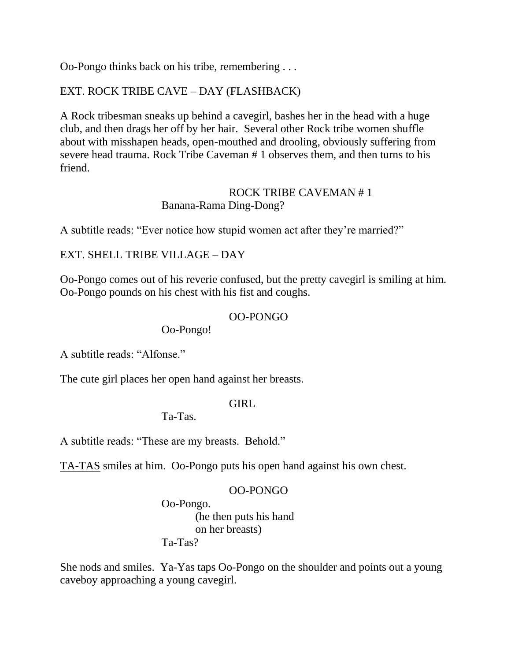Oo-Pongo thinks back on his tribe, remembering . . .

## EXT. ROCK TRIBE CAVE – DAY (FLASHBACK)

A Rock tribesman sneaks up behind a cavegirl, bashes her in the head with a huge club, and then drags her off by her hair. Several other Rock tribe women shuffle about with misshapen heads, open-mouthed and drooling, obviously suffering from severe head trauma. Rock Tribe Caveman # 1 observes them, and then turns to his friend.

### ROCK TRIBE CAVEMAN # 1 Banana-Rama Ding-Dong?

A subtitle reads: "Ever notice how stupid women act after they're married?"

### EXT. SHELL TRIBE VILLAGE – DAY

Oo-Pongo comes out of his reverie confused, but the pretty cavegirl is smiling at him. Oo-Pongo pounds on his chest with his fist and coughs.

### OO-PONGO

Oo-Pongo!

A subtitle reads: "Alfonse."

The cute girl places her open hand against her breasts.

### GIRL

Ta-Tas.

A subtitle reads: "These are my breasts. Behold."

TA-TAS smiles at him. Oo-Pongo puts his open hand against his own chest.

### OO-PONGO

 Oo-Pongo. (he then puts his hand on her breasts)

Ta-Tas?

She nods and smiles. Ya-Yas taps Oo-Pongo on the shoulder and points out a young caveboy approaching a young cavegirl.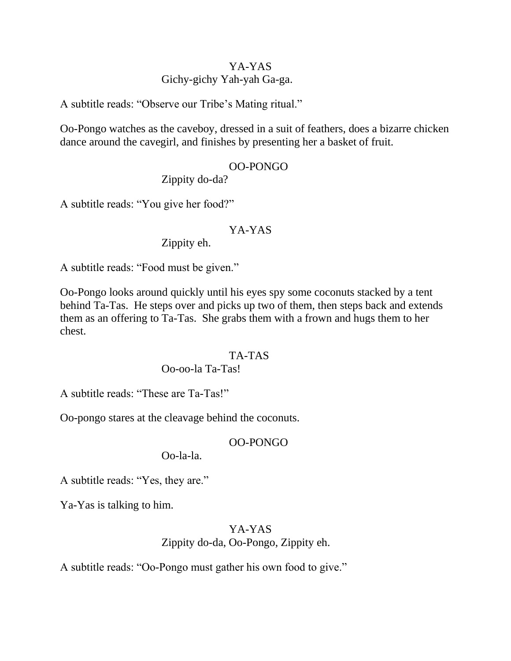## YA-YAS Gichy-gichy Yah-yah Ga-ga.

A subtitle reads: "Observe our Tribe's Mating ritual."

Oo-Pongo watches as the caveboy, dressed in a suit of feathers, does a bizarre chicken dance around the cavegirl, and finishes by presenting her a basket of fruit.

### OO-PONGO

Zippity do-da?

A subtitle reads: "You give her food?"

### YA-YAS

Zippity eh.

A subtitle reads: "Food must be given."

Oo-Pongo looks around quickly until his eyes spy some coconuts stacked by a tent behind Ta-Tas. He steps over and picks up two of them, then steps back and extends them as an offering to Ta-Tas. She grabs them with a frown and hugs them to her chest.

### TA-TAS

### Oo-oo-la Ta-Tas!

A subtitle reads: "These are Ta-Tas!"

Oo-pongo stares at the cleavage behind the coconuts.

### OO-PONGO

Oo-la-la.

A subtitle reads: "Yes, they are."

Ya-Yas is talking to him.

## YA-YAS

Zippity do-da, Oo-Pongo, Zippity eh.

A subtitle reads: "Oo-Pongo must gather his own food to give."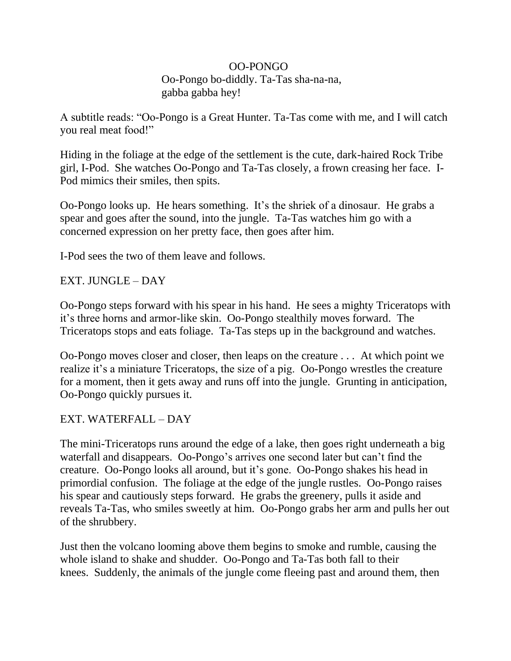### OO-PONGO Oo-Pongo bo-diddly. Ta-Tas sha-na-na, gabba gabba hey!

A subtitle reads: "Oo-Pongo is a Great Hunter. Ta-Tas come with me, and I will catch you real meat food!"

Hiding in the foliage at the edge of the settlement is the cute, dark-haired Rock Tribe girl, I-Pod. She watches Oo-Pongo and Ta-Tas closely, a frown creasing her face. I-Pod mimics their smiles, then spits.

Oo-Pongo looks up. He hears something. It's the shriek of a dinosaur. He grabs a spear and goes after the sound, into the jungle. Ta-Tas watches him go with a concerned expression on her pretty face, then goes after him.

I-Pod sees the two of them leave and follows.

EXT. JUNGLE – DAY

Oo-Pongo steps forward with his spear in his hand. He sees a mighty Triceratops with it's three horns and armor-like skin. Oo-Pongo stealthily moves forward. The Triceratops stops and eats foliage. Ta-Tas steps up in the background and watches.

Oo-Pongo moves closer and closer, then leaps on the creature . . . At which point we realize it's a miniature Triceratops, the size of a pig. Oo-Pongo wrestles the creature for a moment, then it gets away and runs off into the jungle. Grunting in anticipation, Oo-Pongo quickly pursues it.

EXT. WATERFALL – DAY

The mini-Triceratops runs around the edge of a lake, then goes right underneath a big waterfall and disappears. Oo-Pongo's arrives one second later but can't find the creature. Oo-Pongo looks all around, but it's gone. Oo-Pongo shakes his head in primordial confusion. The foliage at the edge of the jungle rustles. Oo-Pongo raises his spear and cautiously steps forward. He grabs the greenery, pulls it aside and reveals Ta-Tas, who smiles sweetly at him. Oo-Pongo grabs her arm and pulls her out of the shrubbery.

Just then the volcano looming above them begins to smoke and rumble, causing the whole island to shake and shudder. Oo-Pongo and Ta-Tas both fall to their knees. Suddenly, the animals of the jungle come fleeing past and around them, then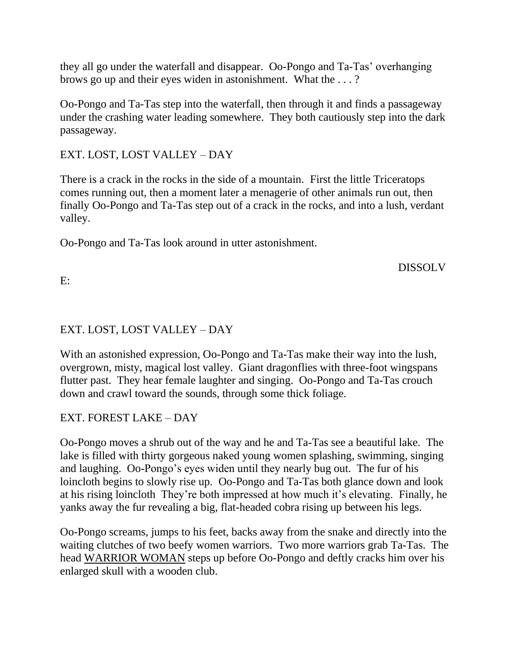they all go under the waterfall and disappear. Oo-Pongo and Ta-Tas' overhanging brows go up and their eyes widen in astonishment. What the . . . ?

Oo-Pongo and Ta-Tas step into the waterfall, then through it and finds a passageway under the crashing water leading somewhere. They both cautiously step into the dark passageway.

## EXT. LOST, LOST VALLEY – DAY

There is a crack in the rocks in the side of a mountain. First the little Triceratops comes running out, then a moment later a menagerie of other animals run out, then finally Oo-Pongo and Ta-Tas step out of a crack in the rocks, and into a lush, verdant valley.

Oo-Pongo and Ta-Tas look around in utter astonishment.

DISSOLV

E:

# EXT. LOST, LOST VALLEY – DAY

With an astonished expression, Oo-Pongo and Ta-Tas make their way into the lush, overgrown, misty, magical lost valley. Giant dragonflies with three-foot wingspans flutter past. They hear female laughter and singing. Oo-Pongo and Ta-Tas crouch down and crawl toward the sounds, through some thick foliage.

# EXT. FOREST LAKE – DAY

Oo-Pongo moves a shrub out of the way and he and Ta-Tas see a beautiful lake. The lake is filled with thirty gorgeous naked young women splashing, swimming, singing and laughing. Oo-Pongo's eyes widen until they nearly bug out. The fur of his loincloth begins to slowly rise up. Oo-Pongo and Ta-Tas both glance down and look at his rising loincloth They're both impressed at how much it's elevating. Finally, he yanks away the fur revealing a big, flat-headed cobra rising up between his legs.

Oo-Pongo screams, jumps to his feet, backs away from the snake and directly into the waiting clutches of two beefy women warriors. Two more warriors grab Ta-Tas. The head WARRIOR WOMAN steps up before Oo-Pongo and deftly cracks him over his enlarged skull with a wooden club.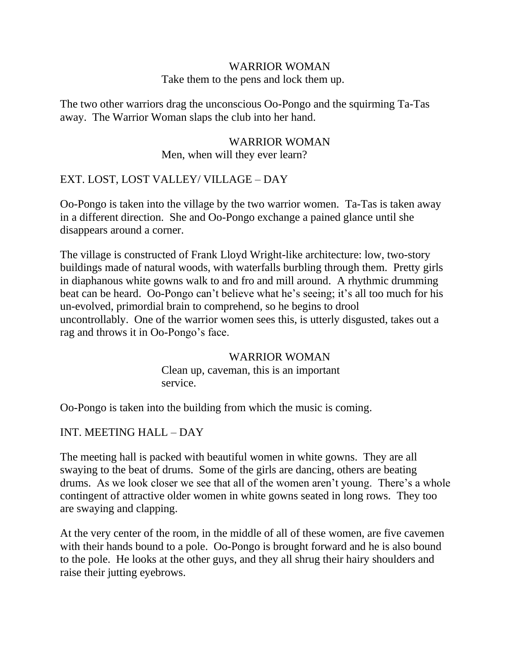# WARRIOR WOMAN

Take them to the pens and lock them up.

The two other warriors drag the unconscious Oo-Pongo and the squirming Ta-Tas away. The Warrior Woman slaps the club into her hand.

### WARRIOR WOMAN Men, when will they ever learn?

## EXT. LOST, LOST VALLEY/ VILLAGE – DAY

Oo-Pongo is taken into the village by the two warrior women. Ta-Tas is taken away in a different direction. She and Oo-Pongo exchange a pained glance until she disappears around a corner.

The village is constructed of Frank Lloyd Wright-like architecture: low, two-story buildings made of natural woods, with waterfalls burbling through them. Pretty girls in diaphanous white gowns walk to and fro and mill around. A rhythmic drumming beat can be heard. Oo-Pongo can't believe what he's seeing; it's all too much for his un-evolved, primordial brain to comprehend, so he begins to drool uncontrollably. One of the warrior women sees this, is utterly disgusted, takes out a rag and throws it in Oo-Pongo's face.

### WARRIOR WOMAN

 Clean up, caveman, this is an important service.

Oo-Pongo is taken into the building from which the music is coming.

## INT. MEETING HALL – DAY

The meeting hall is packed with beautiful women in white gowns. They are all swaying to the beat of drums. Some of the girls are dancing, others are beating drums. As we look closer we see that all of the women aren't young. There's a whole contingent of attractive older women in white gowns seated in long rows. They too are swaying and clapping.

At the very center of the room, in the middle of all of these women, are five cavemen with their hands bound to a pole. Oo-Pongo is brought forward and he is also bound to the pole. He looks at the other guys, and they all shrug their hairy shoulders and raise their jutting eyebrows.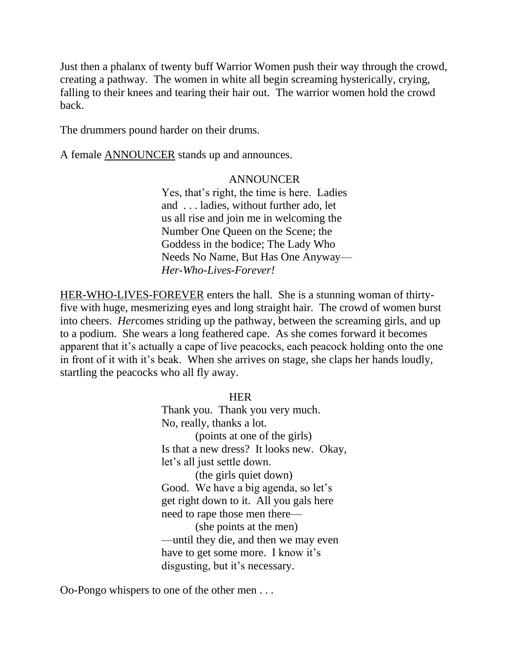Just then a phalanx of twenty buff Warrior Women push their way through the crowd, creating a pathway. The women in white all begin screaming hysterically, crying, falling to their knees and tearing their hair out. The warrior women hold the crowd back.

The drummers pound harder on their drums.

A female ANNOUNCER stands up and announces.

### ANNOUNCER

 Yes, that's right, the time is here. Ladies and . . . ladies, without further ado, let us all rise and join me in welcoming the Number One Queen on the Scene; the Goddess in the bodice; The Lady Who Needs No Name, But Has One Anyway—  *Her-Who-Lives-Forever!*

HER-WHO-LIVES-FOREVER enters the hall. She is a stunning woman of thirtyfive with huge, mesmerizing eyes and long straight hair. The crowd of women burst into cheers. *Her*comes striding up the pathway, between the screaming girls, and up to a podium. She wears a long feathered cape. As she comes forward it becomes apparent that it's actually a cape of live peacocks, each peacock holding onto the one in front of it with it's beak. When she arrives on stage, she claps her hands loudly, startling the peacocks who all fly away.

**HER** 

 Thank you. Thank you very much. No, really, thanks a lot. (points at one of the girls) Is that a new dress? It looks new. Okay, let's all just settle down. (the girls quiet down) Good. We have a big agenda, so let's get right down to it. All you gals here need to rape those men there— (she points at the men) —until they die, and then we may even have to get some more. I know it's disgusting, but it's necessary.

Oo-Pongo whispers to one of the other men . . .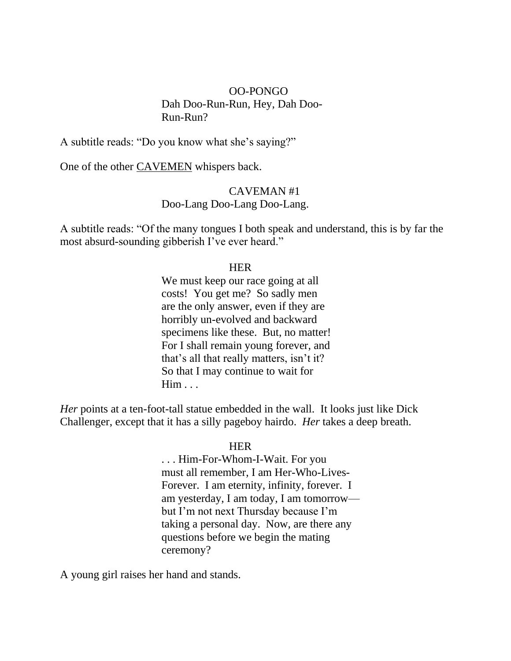### OO-PONGO Dah Doo-Run-Run, Hey, Dah Doo- Run-Run?

A subtitle reads: "Do you know what she's saying?"

One of the other CAVEMEN whispers back.

### CAVEMAN #1 Doo-Lang Doo-Lang Doo-Lang.

A subtitle reads: "Of the many tongues I both speak and understand, this is by far the most absurd-sounding gibberish I've ever heard."

### **HER**

We must keep our race going at all costs! You get me? So sadly men are the only answer, even if they are horribly un-evolved and backward specimens like these. But, no matter! For I shall remain young forever, and that's all that really matters, isn't it? So that I may continue to wait for Him . . .

*Her* points at a ten-foot-tall statue embedded in the wall. It looks just like Dick Challenger, except that it has a silly pageboy hairdo. *Her* takes a deep breath.

### **HER HER**

 . . . Him-For-Whom-I-Wait. For you must all remember, I am Her-Who-Lives- Forever. I am eternity, infinity, forever. I am yesterday, I am today, I am tomorrow but I'm not next Thursday because I'm taking a personal day. Now, are there any questions before we begin the mating ceremony?

A young girl raises her hand and stands.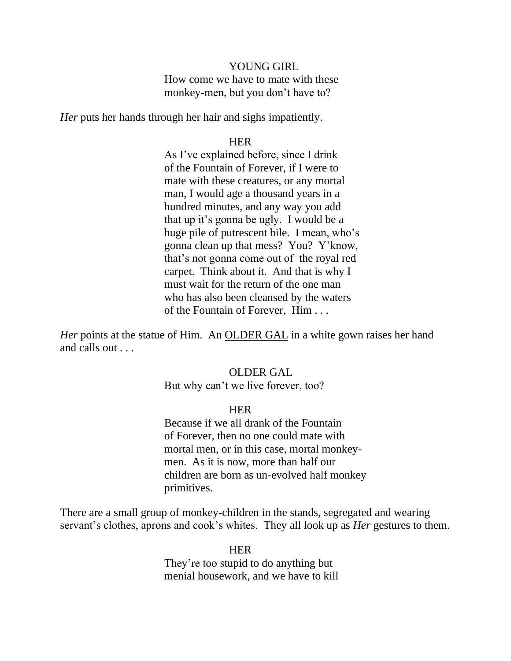#### YOUNG GIRL

 How come we have to mate with these monkey-men, but you don't have to?

*Her* puts her hands through her hair and sighs impatiently.

#### **HER HER**

 As I've explained before, since I drink of the Fountain of Forever, if I were to mate with these creatures, or any mortal man, I would age a thousand years in a hundred minutes, and any way you add that up it's gonna be ugly. I would be a huge pile of putrescent bile. I mean, who's gonna clean up that mess? You? Y'know, that's not gonna come out of the royal red carpet. Think about it. And that is why I must wait for the return of the one man who has also been cleansed by the waters of the Fountain of Forever, Him . . .

*Her* points at the statue of Him. An OLDER GAL in a white gown raises her hand and calls out . . .

#### OLDER GAL

But why can't we live forever, too?

#### **HER HER**

 Because if we all drank of the Fountain of Forever, then no one could mate with mortal men, or in this case, mortal monkey men. As it is now, more than half our children are born as un-evolved half monkey primitives.

There are a small group of monkey-children in the stands, segregated and wearing servant's clothes, aprons and cook's whites. They all look up as *Her* gestures to them.

**HER**  They're too stupid to do anything but menial housework, and we have to kill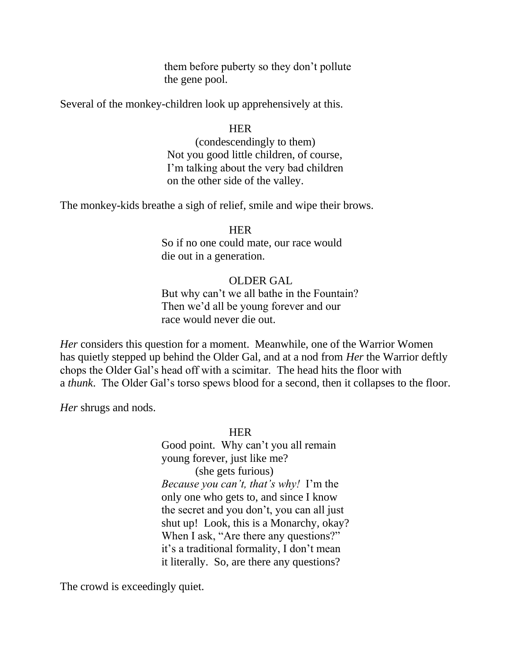them before puberty so they don't pollute the gene pool.

Several of the monkey-children look up apprehensively at this.

### HER

 (condescendingly to them) Not you good little children, of course, I'm talking about the very bad children on the other side of the valley.

The monkey-kids breathe a sigh of relief, smile and wipe their brows.

### **HER**

 So if no one could mate, our race would die out in a generation.

### OLDER GAL

 But why can't we all bathe in the Fountain? Then we'd all be young forever and our race would never die out.

*Her* considers this question for a moment. Meanwhile, one of the Warrior Women has quietly stepped up behind the Older Gal, and at a nod from *Her* the Warrior deftly chops the Older Gal's head off with a scimitar. The head hits the floor with a *thunk*. The Older Gal's torso spews blood for a second, then it collapses to the floor.

*Her* shrugs and nods.

### **HER**

 Good point. Why can't you all remain young forever, just like me? (she gets furious)  *Because you can't, that's why!* I'm the only one who gets to, and since I know the secret and you don't, you can all just shut up! Look, this is a Monarchy, okay? When I ask, "Are there any questions?" it's a traditional formality, I don't mean it literally. So, are there any questions?

The crowd is exceedingly quiet.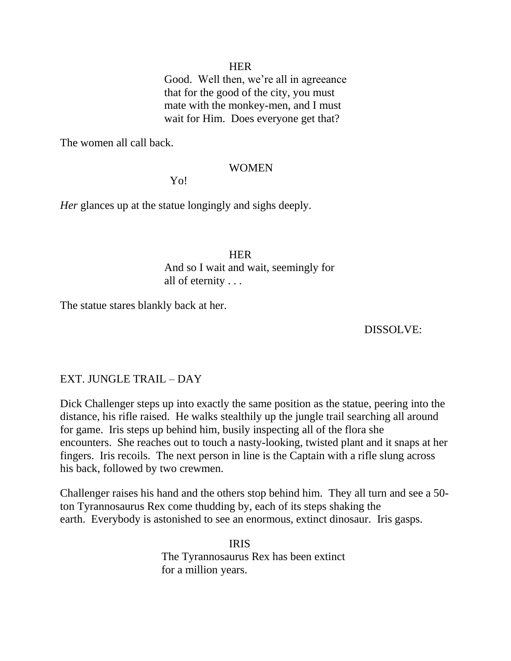# **HER**

 Good. Well then, we're all in agreeance that for the good of the city, you must mate with the monkey-men, and I must wait for Him. Does everyone get that?

The women all call back.

## WOMEN

Yo!

*Her* glances up at the statue longingly and sighs deeply.

# **HER HER**  And so I wait and wait, seemingly for all of eternity . . .

The statue stares blankly back at her.

# DISSOLVE:

# EXT. JUNGLE TRAIL – DAY

Dick Challenger steps up into exactly the same position as the statue, peering into the distance, his rifle raised. He walks stealthily up the jungle trail searching all around for game. Iris steps up behind him, busily inspecting all of the flora she encounters. She reaches out to touch a nasty-looking, twisted plant and it snaps at her fingers. Iris recoils. The next person in line is the Captain with a rifle slung across his back, followed by two crewmen.

Challenger raises his hand and the others stop behind him. They all turn and see a 50 ton Tyrannosaurus Rex come thudding by, each of its steps shaking the earth. Everybody is astonished to see an enormous, extinct dinosaur. Iris gasps.

 IRIS The Tyrannosaurus Rex has been extinct for a million years.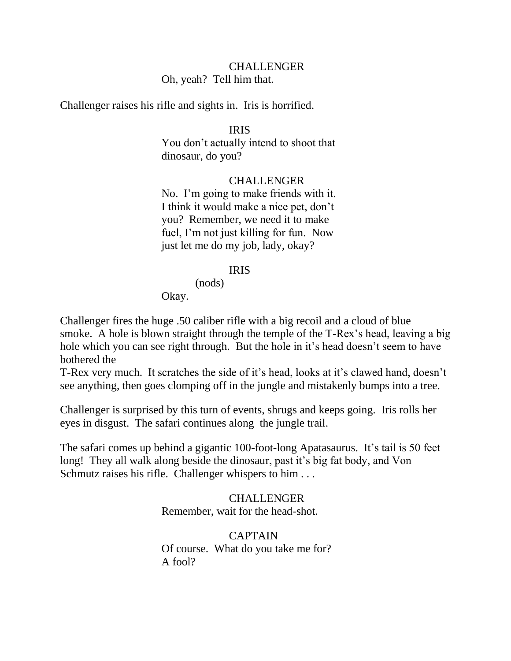# CHALLENGER Oh, yeah? Tell him that.

Challenger raises his rifle and sights in. Iris is horrified.

# IRIS

 You don't actually intend to shoot that dinosaur, do you?

# CHALLENGER

 No. I'm going to make friends with it. I think it would make a nice pet, don't you? Remember, we need it to make fuel, I'm not just killing for fun. Now just let me do my job, lady, okay?

# IRIS

(nods)

Okay.

Challenger fires the huge .50 caliber rifle with a big recoil and a cloud of blue smoke. A hole is blown straight through the temple of the T-Rex's head, leaving a big hole which you can see right through. But the hole in it's head doesn't seem to have bothered the

T-Rex very much. It scratches the side of it's head, looks at it's clawed hand, doesn't see anything, then goes clomping off in the jungle and mistakenly bumps into a tree.

Challenger is surprised by this turn of events, shrugs and keeps going. Iris rolls her eyes in disgust. The safari continues along the jungle trail.

The safari comes up behind a gigantic 100-foot-long Apatasaurus. It's tail is 50 feet long! They all walk along beside the dinosaur, past it's big fat body, and Von Schmutz raises his rifle. Challenger whispers to him . . .

# CHALLENGER Remember, wait for the head-shot.

 CAPTAIN Of course. What do you take me for? A fool?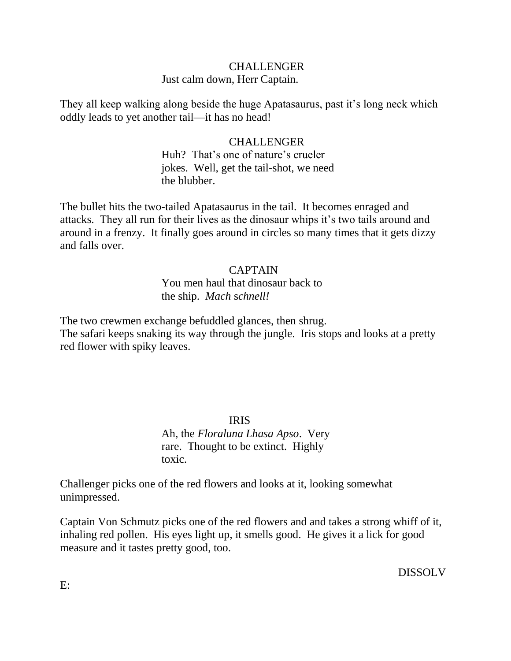# **CHALLENGER** Just calm down, Herr Captain.

They all keep walking along beside the huge Apatasaurus, past it's long neck which oddly leads to yet another tail—it has no head!

# CHALLENGER

 Huh? That's one of nature's crueler jokes. Well, get the tail-shot, we need the blubber.

The bullet hits the two-tailed Apatasaurus in the tail. It becomes enraged and attacks. They all run for their lives as the dinosaur whips it's two tails around and around in a frenzy. It finally goes around in circles so many times that it gets dizzy and falls over.

## CAPTAIN

 You men haul that dinosaur back to the ship. *Mach* s*chnell!*

The two crewmen exchange befuddled glances, then shrug.

The safari keeps snaking its way through the jungle. Iris stops and looks at a pretty red flower with spiky leaves.

IRIS

 Ah, the *Floraluna Lhasa Apso*. Very rare. Thought to be extinct. Highly toxic.

Challenger picks one of the red flowers and looks at it, looking somewhat unimpressed.

Captain Von Schmutz picks one of the red flowers and and takes a strong whiff of it, inhaling red pollen. His eyes light up, it smells good. He gives it a lick for good measure and it tastes pretty good, too.

DISSOLV

E: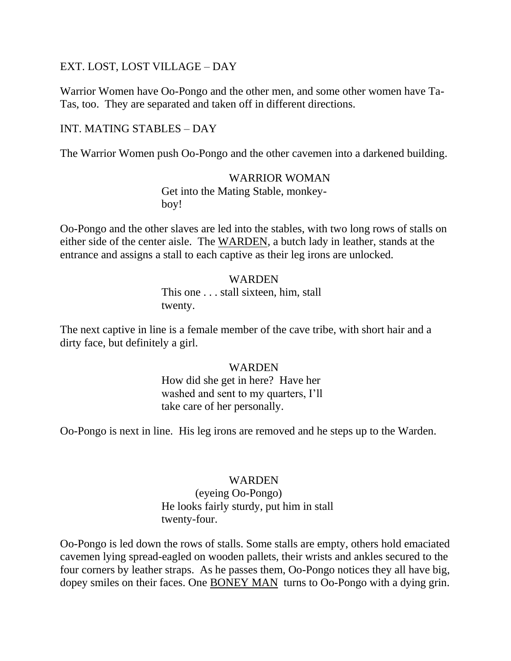# EXT. LOST, LOST VILLAGE – DAY

Warrior Women have Oo-Pongo and the other men, and some other women have Ta-Tas, too. They are separated and taken off in different directions.

# INT. MATING STABLES – DAY

The Warrior Women push Oo-Pongo and the other cavemen into a darkened building.

## WARRIOR WOMAN

 Get into the Mating Stable, monkey boy!

Oo-Pongo and the other slaves are led into the stables, with two long rows of stalls on either side of the center aisle. The WARDEN, a butch lady in leather, stands at the entrance and assigns a stall to each captive as their leg irons are unlocked.

# WARDEN This one . . . stall sixteen, him, stall twenty.

The next captive in line is a female member of the cave tribe, with short hair and a dirty face, but definitely a girl.

# WARDEN

 How did she get in here? Have her washed and sent to my quarters, I'll take care of her personally.

Oo-Pongo is next in line. His leg irons are removed and he steps up to the Warden.

## WARDEN

 (eyeing Oo-Pongo) He looks fairly sturdy, put him in stall twenty-four.

Oo-Pongo is led down the rows of stalls. Some stalls are empty, others hold emaciated cavemen lying spread-eagled on wooden pallets, their wrists and ankles secured to the four corners by leather straps. As he passes them, Oo-Pongo notices they all have big, dopey smiles on their faces. One BONEY MAN turns to Oo-Pongo with a dying grin.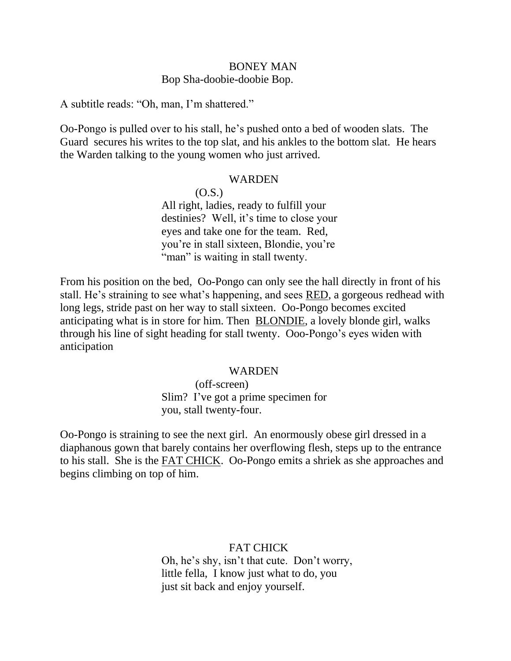# BONEY MAN Bop Sha-doobie-doobie Bop.

A subtitle reads: "Oh, man, I'm shattered."

Oo-Pongo is pulled over to his stall, he's pushed onto a bed of wooden slats. The Guard secures his writes to the top slat, and his ankles to the bottom slat. He hears the Warden talking to the young women who just arrived.

#### WARDEN

 $(0.S.)$  All right, ladies, ready to fulfill your destinies? Well, it's time to close your eyes and take one for the team. Red, you're in stall sixteen, Blondie, you're "man" is waiting in stall twenty.

From his position on the bed, Oo-Pongo can only see the hall directly in front of his stall. He's straining to see what's happening, and sees RED, a gorgeous redhead with long legs, stride past on her way to stall sixteen. Oo-Pongo becomes excited anticipating what is in store for him. Then BLONDIE, a lovely blonde girl, walks through his line of sight heading for stall twenty. Ooo-Pongo's eyes widen with anticipation

#### WARDEN

 (off-screen) Slim? I've got a prime specimen for you, stall twenty-four.

Oo-Pongo is straining to see the next girl. An enormously obese girl dressed in a diaphanous gown that barely contains her overflowing flesh, steps up to the entrance to his stall. She is the FAT CHICK. Oo-Pongo emits a shriek as she approaches and begins climbing on top of him.

> FAT CHICK Oh, he's shy, isn't that cute. Don't worry, little fella, I know just what to do, you just sit back and enjoy yourself.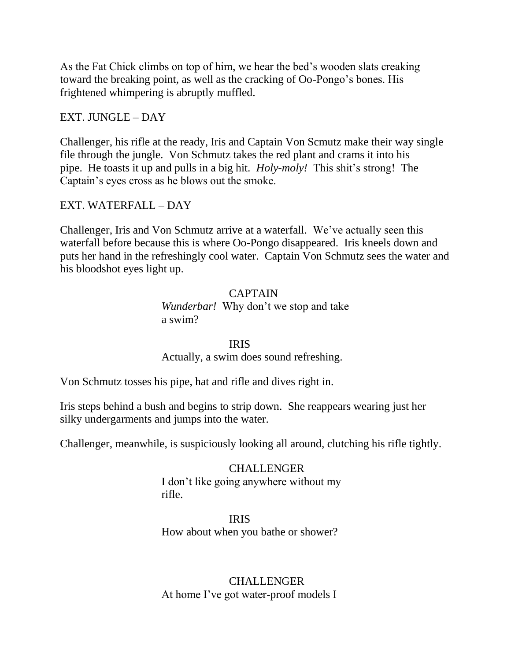As the Fat Chick climbs on top of him, we hear the bed's wooden slats creaking toward the breaking point, as well as the cracking of Oo-Pongo's bones. His frightened whimpering is abruptly muffled.

# EXT. JUNGLE – DAY

Challenger, his rifle at the ready, Iris and Captain Von Scmutz make their way single file through the jungle. Von Schmutz takes the red plant and crams it into his pipe. He toasts it up and pulls in a big hit. *Holy-moly!* This shit's strong! The Captain's eyes cross as he blows out the smoke.

# EXT. WATERFALL – DAY

Challenger, Iris and Von Schmutz arrive at a waterfall. We've actually seen this waterfall before because this is where Oo-Pongo disappeared. Iris kneels down and puts her hand in the refreshingly cool water. Captain Von Schmutz sees the water and his bloodshot eyes light up.

# CAPTAIN *Wunderbar!* Why don't we stop and take a swim?

## IRIS

Actually, a swim does sound refreshing.

Von Schmutz tosses his pipe, hat and rifle and dives right in.

Iris steps behind a bush and begins to strip down. She reappears wearing just her silky undergarments and jumps into the water.

Challenger, meanwhile, is suspiciously looking all around, clutching his rifle tightly.

# CHALLENGER

 I don't like going anywhere without my rifle.

# IRIS

How about when you bathe or shower?

# CHALLENGER At home I've got water-proof models I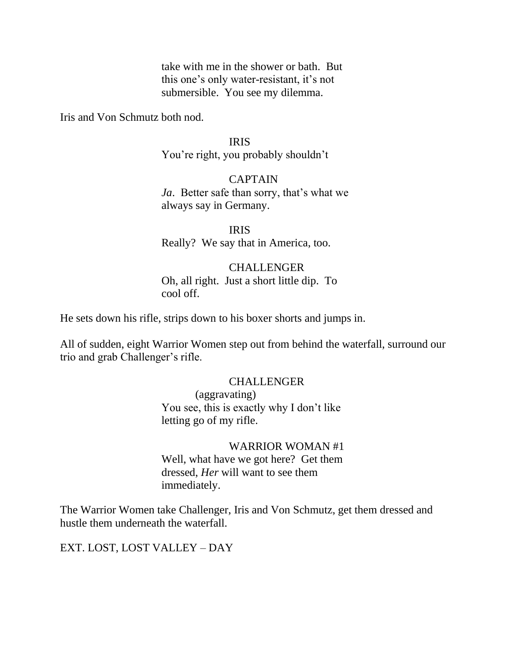take with me in the shower or bath. But this one's only water-resistant, it's not submersible. You see my dilemma.

Iris and Von Schmutz both nod.

#### IRIS

You're right, you probably shouldn't

# **CAPTAIN**

 *Ja*. Better safe than sorry, that's what we always say in Germany.

 IRIS Really? We say that in America, too.

# CHALLENGER Oh, all right. Just a short little dip. To cool off.

He sets down his rifle, strips down to his boxer shorts and jumps in.

All of sudden, eight Warrior Women step out from behind the waterfall, surround our trio and grab Challenger's rifle.

#### CHALLENGER

 (aggravating) You see, this is exactly why I don't like letting go of my rifle.

# WARRIOR WOMAN #1

 Well, what have we got here? Get them dressed, *Her* will want to see them immediately.

The Warrior Women take Challenger, Iris and Von Schmutz, get them dressed and hustle them underneath the waterfall.

EXT. LOST, LOST VALLEY – DAY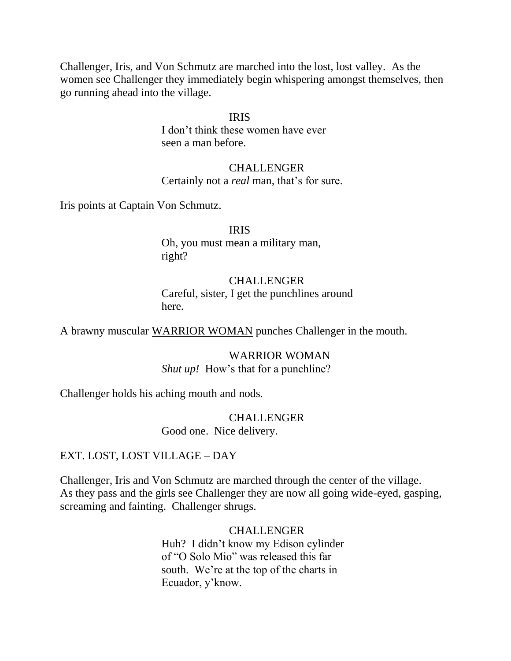Challenger, Iris, and Von Schmutz are marched into the lost, lost valley. As the women see Challenger they immediately begin whispering amongst themselves, then go running ahead into the village.

#### IRIS

 I don't think these women have ever seen a man before.

# CHALLENGER Certainly not a *real* man, that's for sure.

Iris points at Captain Von Schmutz.

 IRIS Oh, you must mean a military man, right?

# CHALLENGER Careful, sister, I get the punchlines around here.

A brawny muscular WARRIOR WOMAN punches Challenger in the mouth.

 WARRIOR WOMAN *Shut up!* How's that for a punchline?

Challenger holds his aching mouth and nods.

 CHALLENGER Good one. Nice delivery.

# EXT. LOST, LOST VILLAGE – DAY

Challenger, Iris and Von Schmutz are marched through the center of the village. As they pass and the girls see Challenger they are now all going wide-eyed, gasping, screaming and fainting. Challenger shrugs.

> CHALLENGER Huh? I didn't know my Edison cylinder of "O Solo Mio" was released this far south. We're at the top of the charts in Ecuador, y'know.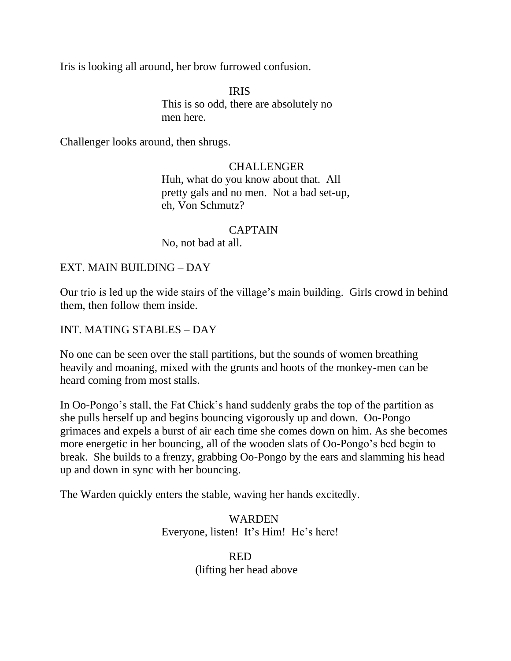Iris is looking all around, her brow furrowed confusion.

 IRIS This is so odd, there are absolutely no men here.

Challenger looks around, then shrugs.

# CHALLENGER

 Huh, what do you know about that. All pretty gals and no men. Not a bad set-up, eh, Von Schmutz?

# CAPTAIN

No, not bad at all.

# EXT. MAIN BUILDING – DAY

Our trio is led up the wide stairs of the village's main building. Girls crowd in behind them, then follow them inside.

# INT. MATING STABLES – DAY

No one can be seen over the stall partitions, but the sounds of women breathing heavily and moaning, mixed with the grunts and hoots of the monkey-men can be heard coming from most stalls.

In Oo-Pongo's stall, the Fat Chick's hand suddenly grabs the top of the partition as she pulls herself up and begins bouncing vigorously up and down. Oo-Pongo grimaces and expels a burst of air each time she comes down on him. As she becomes more energetic in her bouncing, all of the wooden slats of Oo-Pongo's bed begin to break. She builds to a frenzy, grabbing Oo-Pongo by the ears and slamming his head up and down in sync with her bouncing.

The Warden quickly enters the stable, waving her hands excitedly.

 WARDEN Everyone, listen! It's Him! He's here!

**RED** (lifting her head above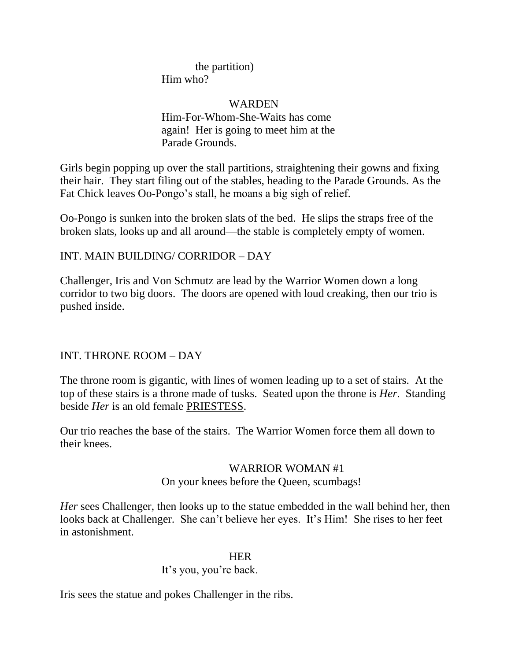# the partition) Him who?

# WARDEN

 Him-For-Whom-She-Waits has come again! Her is going to meet him at the Parade Grounds.

Girls begin popping up over the stall partitions, straightening their gowns and fixing their hair. They start filing out of the stables, heading to the Parade Grounds. As the Fat Chick leaves Oo-Pongo's stall, he moans a big sigh of relief.

Oo-Pongo is sunken into the broken slats of the bed. He slips the straps free of the broken slats, looks up and all around—the stable is completely empty of women.

# INT. MAIN BUILDING/ CORRIDOR – DAY

Challenger, Iris and Von Schmutz are lead by the Warrior Women down a long corridor to two big doors. The doors are opened with loud creaking, then our trio is pushed inside.

# INT. THRONE ROOM – DAY

The throne room is gigantic, with lines of women leading up to a set of stairs. At the top of these stairs is a throne made of tusks. Seated upon the throne is *Her*. Standing beside *Her* is an old female PRIESTESS.

Our trio reaches the base of the stairs. The Warrior Women force them all down to their knees.

# WARRIOR WOMAN #1

# On your knees before the Queen, scumbags!

*Her* sees Challenger, then looks up to the statue embedded in the wall behind her, then looks back at Challenger. She can't believe her eyes. It's Him! She rises to her feet in astonishment.

## **HER**

# It's you, you're back.

Iris sees the statue and pokes Challenger in the ribs.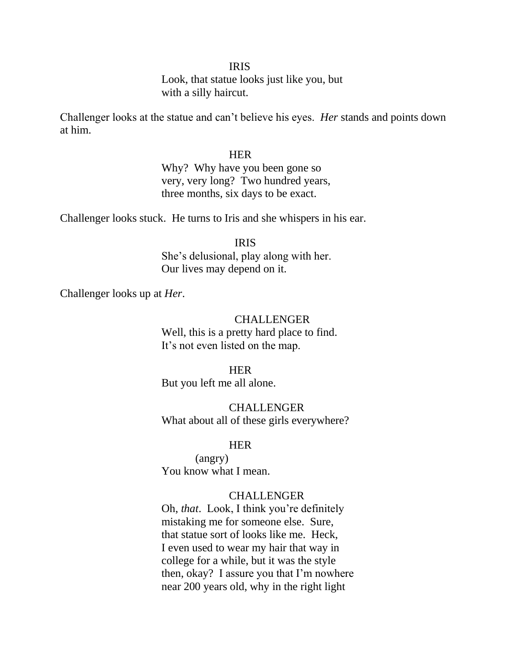#### IRIS

 Look, that statue looks just like you, but with a silly haircut.

Challenger looks at the statue and can't believe his eyes. *Her* stands and points down at him.

#### **HER HER**

 Why? Why have you been gone so very, very long? Two hundred years, three months, six days to be exact.

Challenger looks stuck. He turns to Iris and she whispers in his ear.

#### IRIS

 She's delusional, play along with her. Our lives may depend on it.

Challenger looks up at *Her*.

#### CHALLENGER

 Well, this is a pretty hard place to find. It's not even listed on the map.

#### **HER HER**

But you left me all alone.

 CHALLENGER What about all of these girls everywhere?

#### **HER HER**

 (angry) You know what I mean.

### **CHALLENGER**

 Oh, *that*. Look, I think you're definitely mistaking me for someone else. Sure, that statue sort of looks like me. Heck, I even used to wear my hair that way in college for a while, but it was the style then, okay? I assure you that I'm nowhere near 200 years old, why in the right light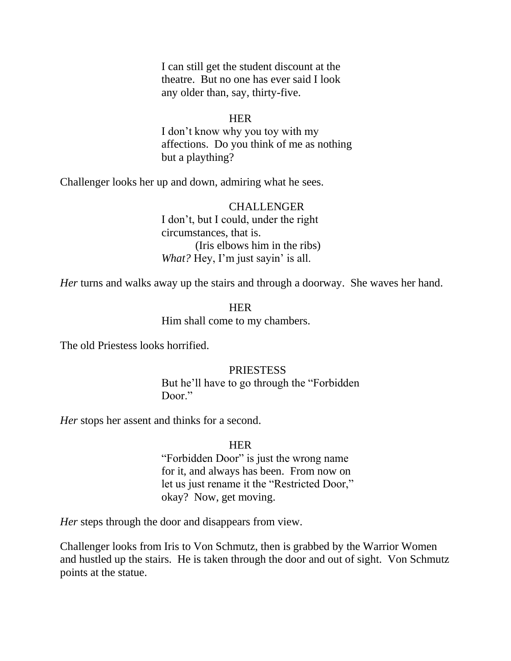I can still get the student discount at the theatre. But no one has ever said I look any older than, say, thirty-five.

#### **HER HER**

 I don't know why you toy with my affections. Do you think of me as nothing but a plaything?

Challenger looks her up and down, admiring what he sees.

# CHALLENGER I don't, but I could, under the right circumstances, that is. (Iris elbows him in the ribs) *What?* Hey, I'm just sayin' is all.

*Her* turns and walks away up the stairs and through a doorway. She waves her hand.

# **HER HER** Him shall come to my chambers.

The old Priestess looks horrified.

#### **PRIESTESS**

But he'll have to go through the "Forbidden" Door."

*Her* stops her assent and thinks for a second.

#### **HER HER**

"Forbidden Door" is just the wrong name for it, and always has been. From now on let us just rename it the "Restricted Door," okay? Now, get moving.

*Her* steps through the door and disappears from view.

Challenger looks from Iris to Von Schmutz, then is grabbed by the Warrior Women and hustled up the stairs. He is taken through the door and out of sight. Von Schmutz points at the statue.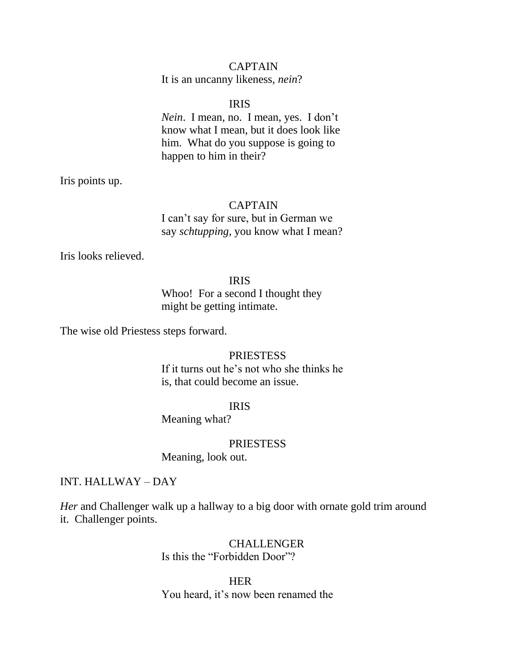# CAPTAIN

It is an uncanny likeness, *nein*?

#### IRIS

 *Nein*. I mean, no. I mean, yes. I don't know what I mean, but it does look like him. What do you suppose is going to happen to him in their?

Iris points up.

#### CAPTAIN

 I can't say for sure, but in German we say *schtupping*, you know what I mean?

Iris looks relieved.

### IRIS

 Whoo! For a second I thought they might be getting intimate.

The wise old Priestess steps forward.

## PRIESTESS

 If it turns out he's not who she thinks he is, that could become an issue.

#### IRIS

Meaning what?

#### PRIESTESS

Meaning, look out.

#### INT. HALLWAY – DAY

*Her* and Challenger walk up a hallway to a big door with ornate gold trim around it. Challenger points.

# CHALLENGER Is this the "Forbidden Door"?

**HER HER** You heard, it's now been renamed the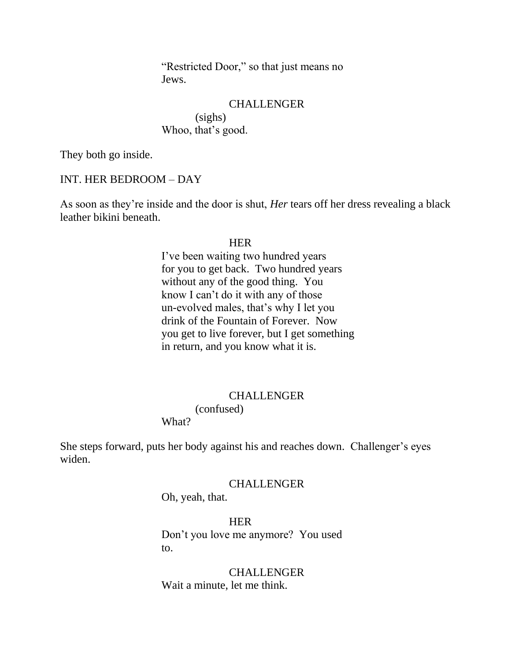"Restricted Door," so that just means no Jews.

#### **CHALLENGER**

 (sighs) Whoo, that's good.

They both go inside.

#### INT. HER BEDROOM – DAY

As soon as they're inside and the door is shut, *Her* tears off her dress revealing a black leather bikini beneath.

#### **HER HER**

 I've been waiting two hundred years for you to get back. Two hundred years without any of the good thing. You know I can't do it with any of those un-evolved males, that's why I let you drink of the Fountain of Forever. Now you get to live forever, but I get something in return, and you know what it is.

#### **CHALLENGER**

(confused)

What?

She steps forward, puts her body against his and reaches down. Challenger's eyes widen.

#### CHALLENGER

Oh, yeah, that.

**HER** 

 Don't you love me anymore? You used to.

> CHALLENGER Wait a minute, let me think.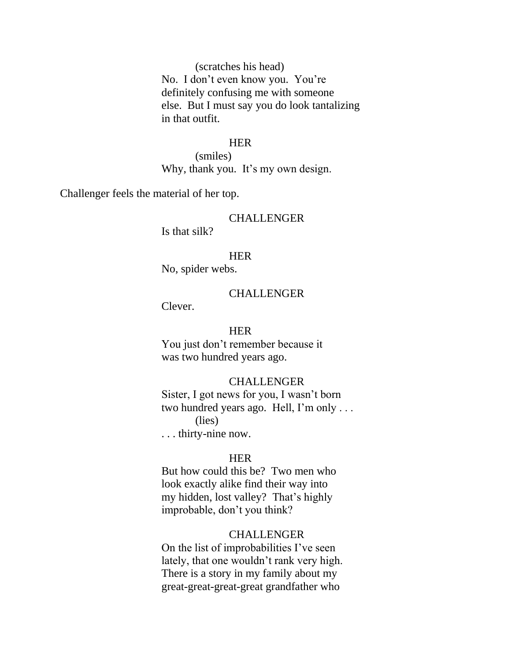(scratches his head) No. I don't even know you. You're definitely confusing me with someone else. But I must say you do look tantalizing in that outfit.

#### **HER**

 (smiles) Why, thank you. It's my own design.

Challenger feels the material of her top.

#### CHALLENGER

Is that silk?

#### **HER**

No, spider webs.

#### CHALLENGER

Clever.

#### **HER**

 You just don't remember because it was two hundred years ago.

#### CHALLENGER

 Sister, I got news for you, I wasn't born two hundred years ago. Hell, I'm only . . . (lies)

. . . thirty-nine now.

## **HER**

 But how could this be? Two men who look exactly alike find their way into my hidden, lost valley? That's highly improbable, don't you think?

#### CHALLENGER

 On the list of improbabilities I've seen lately, that one wouldn't rank very high. There is a story in my family about my great-great-great-great grandfather who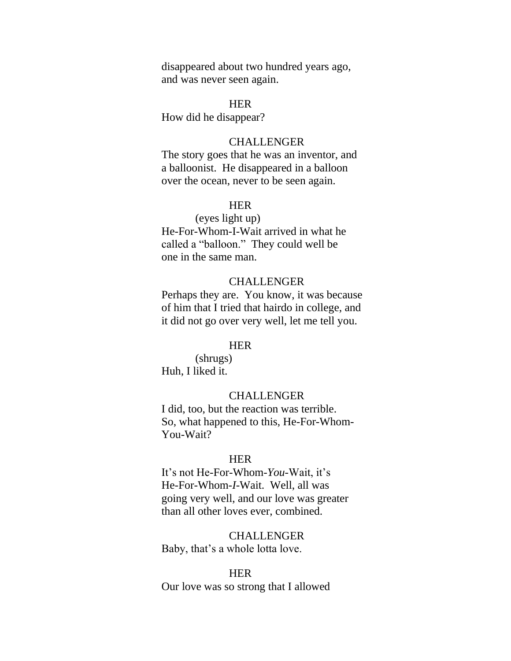disappeared about two hundred years ago, and was never seen again.

#### **HER**

How did he disappear?

#### CHALLENGER

 The story goes that he was an inventor, and a balloonist. He disappeared in a balloon over the ocean, never to be seen again.

### **HER HER**

 (eyes light up) He-For-Whom-I-Wait arrived in what he

called a "balloon." They could well be one in the same man.

#### **CHALLENGER**

 Perhaps they are. You know, it was because of him that I tried that hairdo in college, and it did not go over very well, let me tell you.

#### **HER HER**

 (shrugs) Huh, I liked it.

#### **CHALLENGER**

 I did, too, but the reaction was terrible. So, what happened to this, He-For-Whom- You-Wait?

#### HER

 It's not He-For-Whom-*You*-Wait, it's He-For-Whom-*I*-Wait. Well, all was going very well, and our love was greater than all other loves ever, combined.

#### CHALLENGER

Baby, that's a whole lotta love.

#### **HER HER**

Our love was so strong that I allowed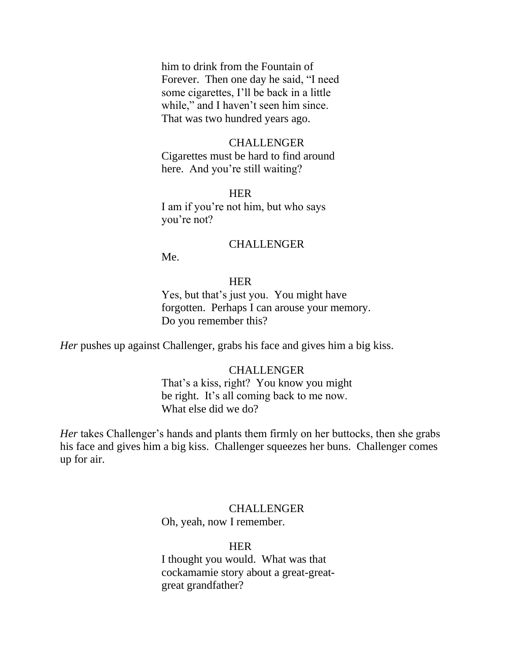him to drink from the Fountain of Forever. Then one day he said, "I need some cigarettes, I'll be back in a little while," and I haven't seen him since. That was two hundred years ago.

#### CHALLENGER

 Cigarettes must be hard to find around here. And you're still waiting?

#### **HER HER**

 I am if you're not him, but who says you're not?

#### **CHALLENGER**

Me.

# **HER HER**

 Yes, but that's just you. You might have forgotten. Perhaps I can arouse your memory. Do you remember this?

*Her* pushes up against Challenger, grabs his face and gives him a big kiss.

#### CHALLENGER

 That's a kiss, right? You know you might be right. It's all coming back to me now. What else did we do?

*Her* takes Challenger's hands and plants them firmly on her buttocks, then she grabs his face and gives him a big kiss. Challenger squeezes her buns. Challenger comes up for air.

# CHALLENGER

Oh, yeah, now I remember.

**HER HER**  I thought you would. What was that cockamamie story about a great-great great grandfather?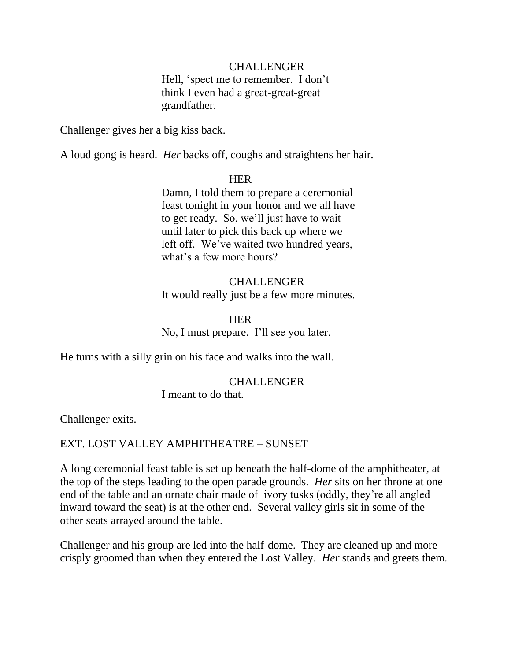# CHALLENGER

Hell, 'spect me to remember. I don't think I even had a great-great-great grandfather.

Challenger gives her a big kiss back.

A loud gong is heard. *Her* backs off, coughs and straightens her hair.

#### **HER HER**

 Damn, I told them to prepare a ceremonial feast tonight in your honor and we all have to get ready. So, we'll just have to wait until later to pick this back up where we left off. We've waited two hundred years, what's a few more hours?

# CHALLENGER It would really just be a few more minutes.

**HER HER** No, I must prepare. I'll see you later.

He turns with a silly grin on his face and walks into the wall.

#### CHALLENGER

I meant to do that.

Challenger exits.

# EXT. LOST VALLEY AMPHITHEATRE – SUNSET

A long ceremonial feast table is set up beneath the half-dome of the amphitheater, at the top of the steps leading to the open parade grounds. *Her* sits on her throne at one end of the table and an ornate chair made of ivory tusks (oddly, they're all angled inward toward the seat) is at the other end. Several valley girls sit in some of the other seats arrayed around the table.

Challenger and his group are led into the half-dome. They are cleaned up and more crisply groomed than when they entered the Lost Valley. *Her* stands and greets them.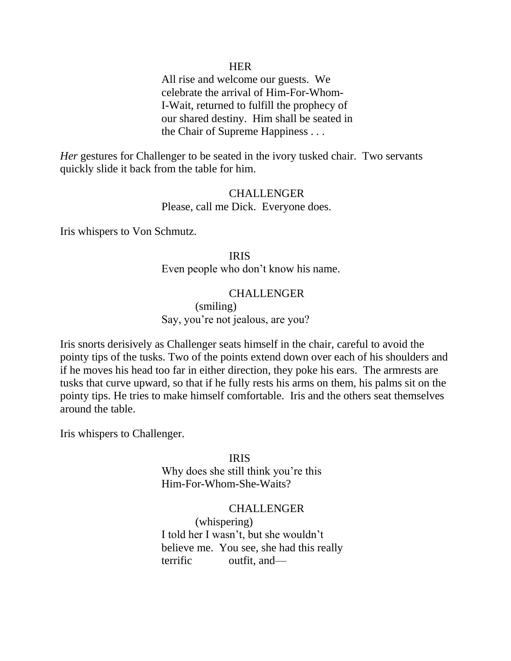#### **HER**

 All rise and welcome our guests. We celebrate the arrival of Him-For-Whom- I-Wait, returned to fulfill the prophecy of our shared destiny. Him shall be seated in the Chair of Supreme Happiness . . .

*Her* gestures for Challenger to be seated in the ivory tusked chair. Two servants quickly slide it back from the table for him.

#### CHALLENGER

Please, call me Dick. Everyone does.

Iris whispers to Von Schmutz.

 IRIS Even people who don't know his name.

#### CHALLENGER

(smiling)

Say, you're not jealous, are you?

Iris snorts derisively as Challenger seats himself in the chair, careful to avoid the pointy tips of the tusks. Two of the points extend down over each of his shoulders and if he moves his head too far in either direction, they poke his ears. The armrests are tusks that curve upward, so that if he fully rests his arms on them, his palms sit on the pointy tips. He tries to make himself comfortable. Iris and the others seat themselves around the table.

Iris whispers to Challenger.

 IRIS Why does she still think you're this Him-For-Whom-She-Waits?

#### CHALLENGER

 (whispering) I told her I wasn't, but she wouldn't believe me. You see, she had this really terrific outfit, and—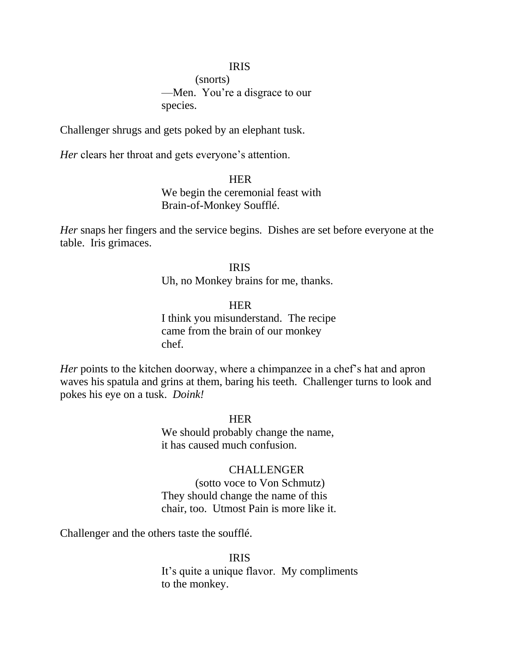#### IRIS

 (snorts) —Men. You're a disgrace to our species.

Challenger shrugs and gets poked by an elephant tusk.

*Her* clears her throat and gets everyone's attention.

**HER HER**  We begin the ceremonial feast with Brain-of-Monkey Soufflé.

*Her* snaps her fingers and the service begins. Dishes are set before everyone at the table. Iris grimaces.

### IRIS

Uh, no Monkey brains for me, thanks.

**HER HER** 

 I think you misunderstand. The recipe came from the brain of our monkey chef.

*Her* points to the kitchen doorway, where a chimpanzee in a chef's hat and apron waves his spatula and grins at them, baring his teeth. Challenger turns to look and pokes his eye on a tusk. *Doink!*

**HER** We should probably change the name, it has caused much confusion.

#### CHALLENGER

 (sotto voce to Von Schmutz) They should change the name of this chair, too. Utmost Pain is more like it.

Challenger and the others taste the soufflé.

 IRIS It's quite a unique flavor. My compliments to the monkey.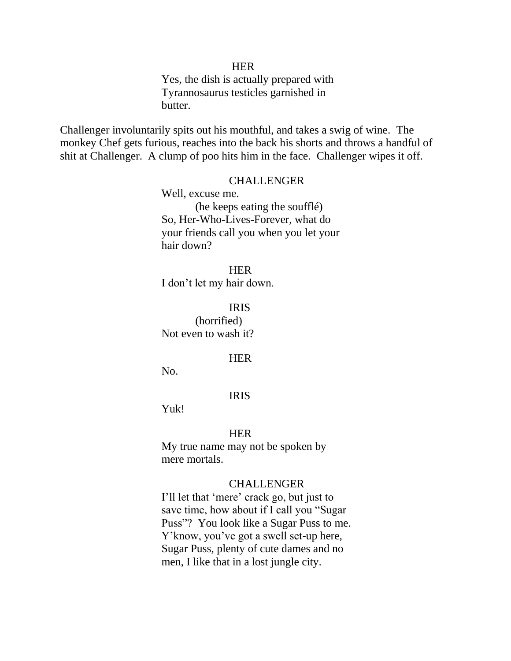#### **HER**

 Yes, the dish is actually prepared with Tyrannosaurus testicles garnished in butter.

Challenger involuntarily spits out his mouthful, and takes a swig of wine. The monkey Chef gets furious, reaches into the back his shorts and throws a handful of shit at Challenger. A clump of poo hits him in the face. Challenger wipes it off.

#### CHALLENGER

 Well, excuse me. (he keeps eating the soufflé) So, Her-Who-Lives-Forever, what do your friends call you when you let your hair down?

#### **HER HER**

I don't let my hair down.

IRIS

 (horrified) Not even to wash it?

#### **HER**

No.

#### IRIS

Yuk!

#### **HER**

 My true name may not be spoken by mere mortals.

#### CHALLENGER

I'll let that 'mere' crack go, but just to save time, how about if I call you "Sugar" Puss"? You look like a Sugar Puss to me. Y'know, you've got a swell set-up here, Sugar Puss, plenty of cute dames and no men, I like that in a lost jungle city.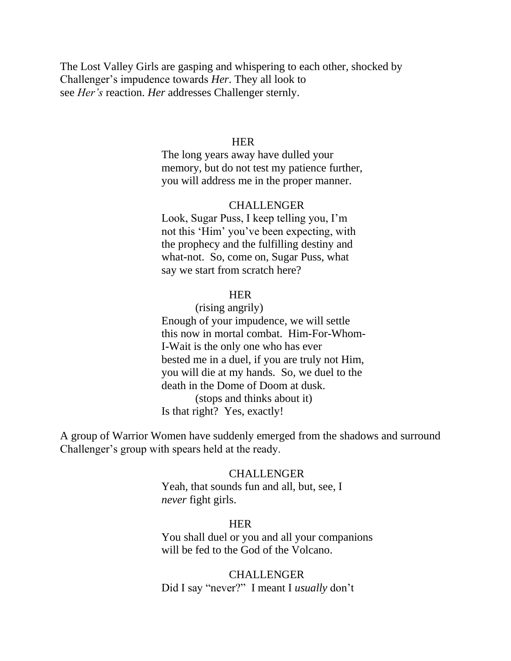The Lost Valley Girls are gasping and whispering to each other, shocked by Challenger's impudence towards *Her*. They all look to see *Her's* reaction. *Her* addresses Challenger sternly.

#### **HER HER**

 The long years away have dulled your memory, but do not test my patience further, you will address me in the proper manner.

#### CHALLENGER

 Look, Sugar Puss, I keep telling you, I'm not this 'Him' you've been expecting, with the prophecy and the fulfilling destiny and what-not. So, come on, Sugar Puss, what say we start from scratch here?

## **HER**

 (rising angrily) Enough of your impudence, we will settle this now in mortal combat. Him-For-Whom- I-Wait is the only one who has ever bested me in a duel, if you are truly not Him, you will die at my hands. So, we duel to the death in the Dome of Doom at dusk. (stops and thinks about it) Is that right? Yes, exactly!

A group of Warrior Women have suddenly emerged from the shadows and surround Challenger's group with spears held at the ready.

#### **CHALLENGER**

 Yeah, that sounds fun and all, but, see, I  *never* fight girls.

#### **HER**

 You shall duel or you and all your companions will be fed to the God of the Volcano.

 CHALLENGER Did I say "never?" I meant I *usually* don't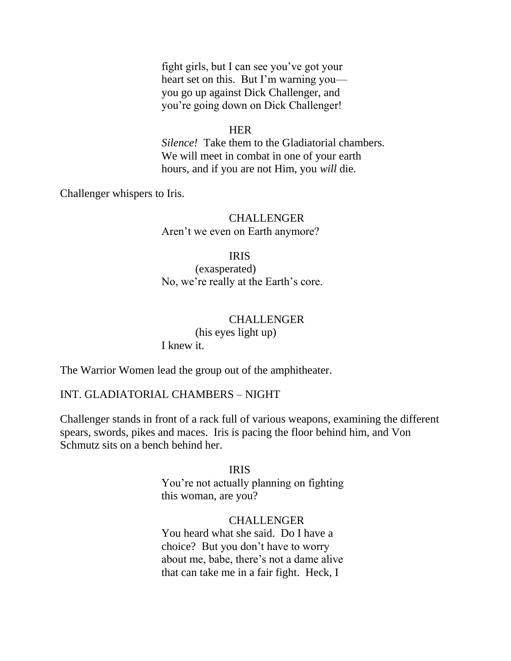fight girls, but I can see you've got your heart set on this. But I'm warning you you go up against Dick Challenger, and you're going down on Dick Challenger!

#### **HER**

 *Silence!* Take them to the Gladiatorial chambers. We will meet in combat in one of your earth hours, and if you are not Him, you *will* die.

Challenger whispers to Iris.

# CHALLENGER Aren't we even on Earth anymore?

#### IRIS

 (exasperated) No, we're really at the Earth's core.

#### CHALLENGER

 (his eyes light up) I knew it.

The Warrior Women lead the group out of the amphitheater.

#### INT. GLADIATORIAL CHAMBERS – NIGHT

Challenger stands in front of a rack full of various weapons, examining the different spears, swords, pikes and maces. Iris is pacing the floor behind him, and Von Schmutz sits on a bench behind her.

#### IRIS

 You're not actually planning on fighting this woman, are you?

## CHALLENGER

 You heard what she said. Do I have a choice? But you don't have to worry about me, babe, there's not a dame alive that can take me in a fair fight. Heck, I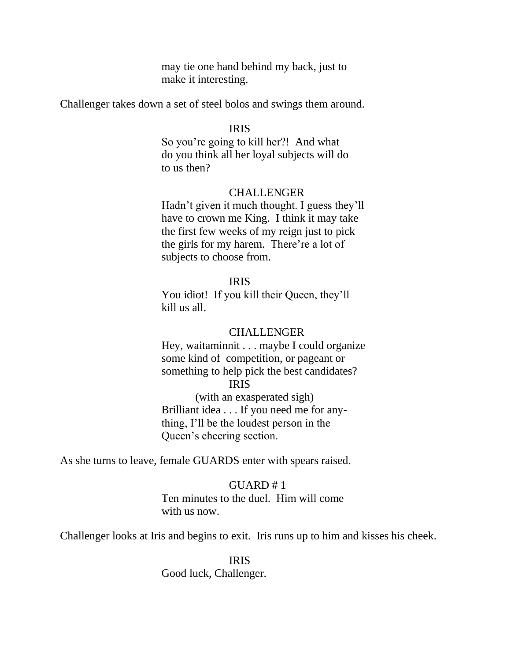may tie one hand behind my back, just to make it interesting.

Challenger takes down a set of steel bolos and swings them around.

#### IRIS

 So you're going to kill her?! And what do you think all her loyal subjects will do to us then?

#### CHALLENGER

 Hadn't given it much thought. I guess they'll have to crown me King. I think it may take the first few weeks of my reign just to pick the girls for my harem. There're a lot of subjects to choose from.

#### IRIS

You idiot! If you kill their Queen, they'll kill us all.

#### CHALLENGER

 Hey, waitaminnit . . . maybe I could organize some kind of competition, or pageant or something to help pick the best candidates? IRIS

> (with an exasperated sigh) Brilliant idea . . . If you need me for any thing, I'll be the loudest person in the Queen's cheering section.

As she turns to leave, female GUARDS enter with spears raised.

#### $GIJARD #1$

 Ten minutes to the duel. Him will come with us now.

Challenger looks at Iris and begins to exit. Iris runs up to him and kisses his cheek.

 IRIS Good luck, Challenger.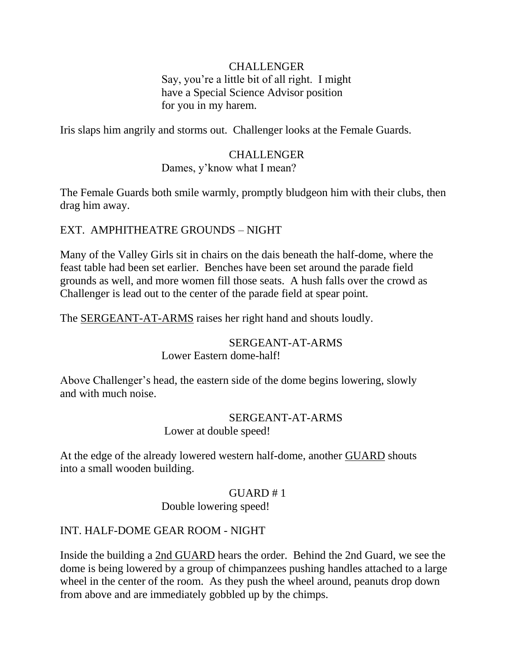# CHALLENGER

 Say, you're a little bit of all right. I might have a Special Science Advisor position for you in my harem.

Iris slaps him angrily and storms out. Challenger looks at the Female Guards.

# CHALLENGER

# Dames, y'know what I mean?

The Female Guards both smile warmly, promptly bludgeon him with their clubs, then drag him away.

# EXT. AMPHITHEATRE GROUNDS – NIGHT

Many of the Valley Girls sit in chairs on the dais beneath the half-dome, where the feast table had been set earlier. Benches have been set around the parade field grounds as well, and more women fill those seats. A hush falls over the crowd as Challenger is lead out to the center of the parade field at spear point.

The SERGEANT-AT-ARMS raises her right hand and shouts loudly.

# SERGEANT-AT-ARMS

Lower Eastern dome-half!

Above Challenger's head, the eastern side of the dome begins lowering, slowly and with much noise.

# SERGEANT-AT-ARMS

Lower at double speed!

At the edge of the already lowered western half-dome, another **GUARD** shouts into a small wooden building.

## $GUARD # 1$

Double lowering speed!

# INT. HALF-DOME GEAR ROOM - NIGHT

Inside the building a 2nd GUARD hears the order. Behind the 2nd Guard, we see the dome is being lowered by a group of chimpanzees pushing handles attached to a large wheel in the center of the room. As they push the wheel around, peanuts drop down from above and are immediately gobbled up by the chimps.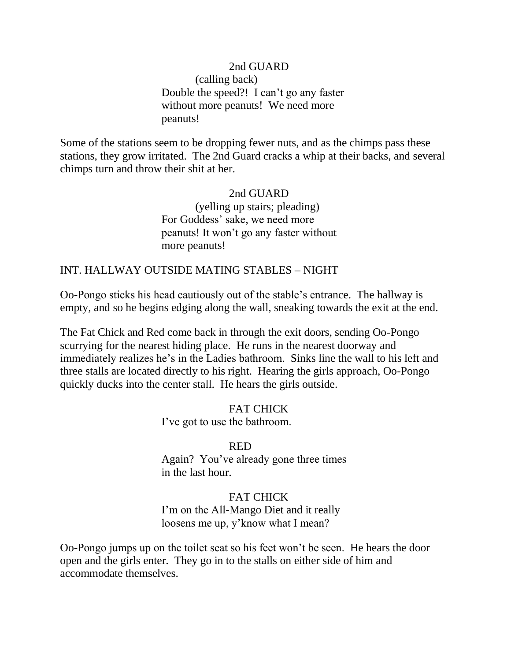# 2nd GUARD (calling back) Double the speed?! I can't go any faster without more peanuts! We need more peanuts!

Some of the stations seem to be dropping fewer nuts, and as the chimps pass these stations, they grow irritated. The 2nd Guard cracks a whip at their backs, and several chimps turn and throw their shit at her.

# 2nd GUARD (yelling up stairs; pleading) For Goddess' sake, we need more peanuts! It won't go any faster without more peanuts!

# INT. HALLWAY OUTSIDE MATING STABLES – NIGHT

Oo-Pongo sticks his head cautiously out of the stable's entrance. The hallway is empty, and so he begins edging along the wall, sneaking towards the exit at the end.

The Fat Chick and Red come back in through the exit doors, sending Oo-Pongo scurrying for the nearest hiding place. He runs in the nearest doorway and immediately realizes he's in the Ladies bathroom. Sinks line the wall to his left and three stalls are located directly to his right. Hearing the girls approach, Oo-Pongo quickly ducks into the center stall. He hears the girls outside.

> FAT CHICK I've got to use the bathroom.

# **RED**

 Again? You've already gone three times in the last hour.

# FAT CHICK

 I'm on the All-Mango Diet and it really loosens me up, y'know what I mean?

Oo-Pongo jumps up on the toilet seat so his feet won't be seen. He hears the door open and the girls enter. They go in to the stalls on either side of him and accommodate themselves.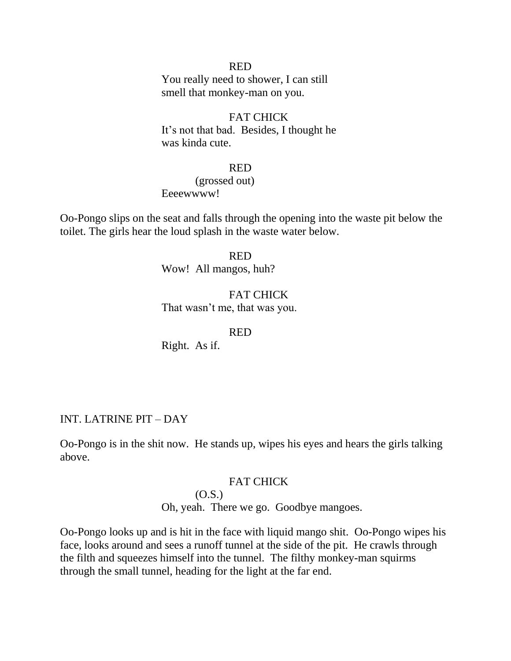#### **RED**

 You really need to shower, I can still smell that monkey-man on you.

#### FAT CHICK

 It's not that bad. Besides, I thought he was kinda cute.

### **RED**

 (grossed out) Eeeewwww!

Oo-Pongo slips on the seat and falls through the opening into the waste pit below the toilet. The girls hear the loud splash in the waste water below.

#### **RED**

Wow! All mangos, huh?

#### FAT CHICK

That wasn't me, that was you.

#### **RED**

Right. As if.

#### INT. LATRINE PIT – DAY

Oo-Pongo is in the shit now. He stands up, wipes his eyes and hears the girls talking above.

#### FAT CHICK

# (O.S.)

Oh, yeah. There we go. Goodbye mangoes.

Oo-Pongo looks up and is hit in the face with liquid mango shit. Oo-Pongo wipes his face, looks around and sees a runoff tunnel at the side of the pit. He crawls through the filth and squeezes himself into the tunnel. The filthy monkey-man squirms through the small tunnel, heading for the light at the far end.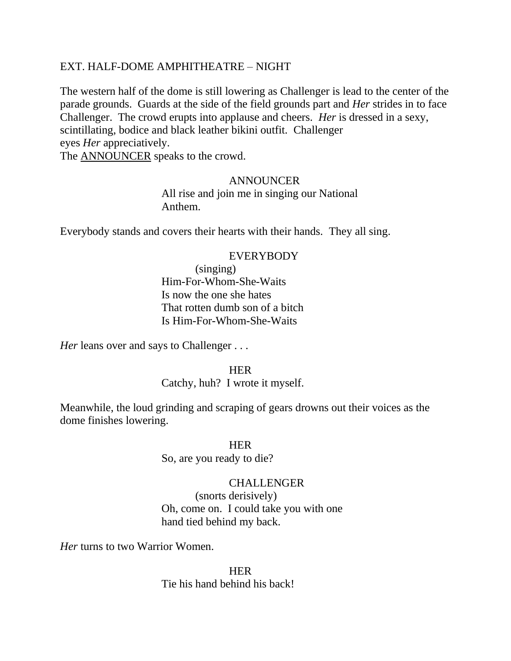# EXT. HALF-DOME AMPHITHEATRE – NIGHT

The western half of the dome is still lowering as Challenger is lead to the center of the parade grounds. Guards at the side of the field grounds part and *Her* strides in to face Challenger. The crowd erupts into applause and cheers. *Her* is dressed in a sexy, scintillating, bodice and black leather bikini outfit. Challenger eyes *Her* appreciatively. The ANNOUNCER speaks to the crowd.

#### ANNOUNCER

 All rise and join me in singing our National Anthem.

Everybody stands and covers their hearts with their hands. They all sing.

#### EVERYBODY

 (singing) Him-For-Whom-She-Waits Is now the one she hates That rotten dumb son of a bitch Is Him-For-Whom-She-Waits

*Her* leans over and says to Challenger . . .

**HER HER** 

# Catchy, huh? I wrote it myself.

Meanwhile, the loud grinding and scraping of gears drowns out their voices as the dome finishes lowering.

#### **HER HER**

So, are you ready to die?

#### CHALLENGER

 (snorts derisively) Oh, come on. I could take you with one hand tied behind my back.

*Her* turns to two Warrior Women.

**HER HER** Tie his hand behind his back!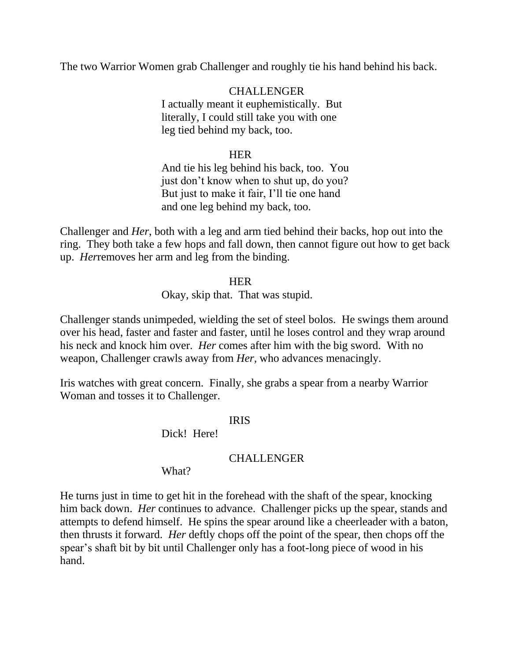The two Warrior Women grab Challenger and roughly tie his hand behind his back.

 CHALLENGER I actually meant it euphemistically. But literally, I could still take you with one leg tied behind my back, too.

# **HER HER**

 And tie his leg behind his back, too. You just don't know when to shut up, do you? But just to make it fair, I'll tie one hand and one leg behind my back, too.

Challenger and *Her*, both with a leg and arm tied behind their backs, hop out into the ring. They both take a few hops and fall down, then cannot figure out how to get back up. *Her*removes her arm and leg from the binding.

# **HER HER**

Okay, skip that. That was stupid.

Challenger stands unimpeded, wielding the set of steel bolos. He swings them around over his head, faster and faster and faster, until he loses control and they wrap around his neck and knock him over. *Her* comes after him with the big sword. With no weapon, Challenger crawls away from *Her*, who advances menacingly.

Iris watches with great concern. Finally, she grabs a spear from a nearby Warrior Woman and tosses it to Challenger.

## IRIS

Dick! Here!

## CHALLENGER

## What?

He turns just in time to get hit in the forehead with the shaft of the spear, knocking him back down. *Her* continues to advance. Challenger picks up the spear, stands and attempts to defend himself. He spins the spear around like a cheerleader with a baton, then thrusts it forward. *Her* deftly chops off the point of the spear, then chops off the spear's shaft bit by bit until Challenger only has a foot-long piece of wood in his hand.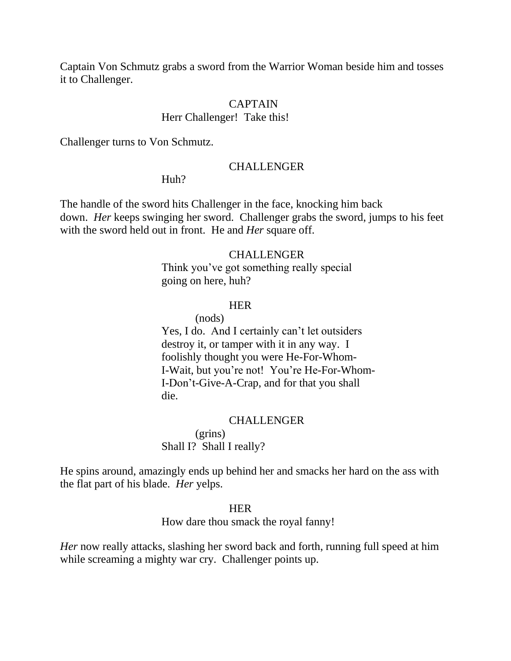Captain Von Schmutz grabs a sword from the Warrior Woman beside him and tosses it to Challenger.

#### CAPTAIN

#### Herr Challenger! Take this!

Challenger turns to Von Schmutz.

#### CHALLENGER

#### Huh?

The handle of the sword hits Challenger in the face, knocking him back down. *Her* keeps swinging her sword. Challenger grabs the sword, jumps to his feet with the sword held out in front. He and *Her* square off.

## CHALLENGER

 Think you've got something really special going on here, huh?

#### **HER HER**

(nods)

 Yes, I do. And I certainly can't let outsiders destroy it, or tamper with it in any way. I foolishly thought you were He-For-Whom- I-Wait, but you're not! You're He-For-Whom- I-Don't-Give-A-Crap, and for that you shall die.

#### CHALLENGER

 (grins) Shall I? Shall I really?

He spins around, amazingly ends up behind her and smacks her hard on the ass with the flat part of his blade. *Her* yelps.

# **HER HER**

How dare thou smack the royal fanny!

*Her* now really attacks, slashing her sword back and forth, running full speed at him while screaming a mighty war cry. Challenger points up.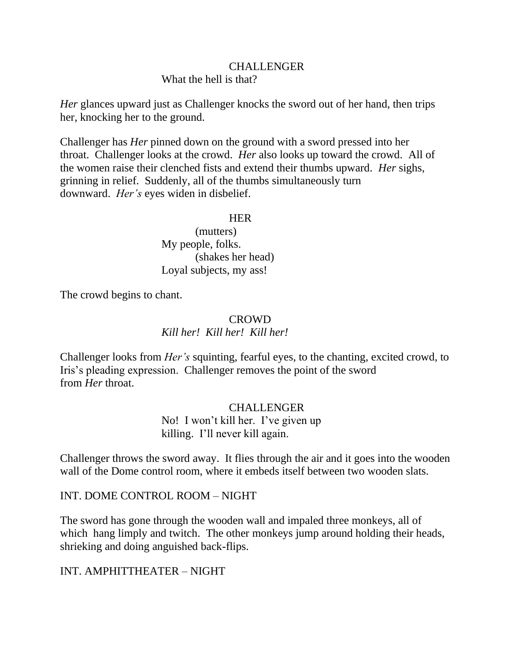# CHALLENGER

What the hell is that?

*Her* glances upward just as Challenger knocks the sword out of her hand, then trips her, knocking her to the ground.

Challenger has *Her* pinned down on the ground with a sword pressed into her throat. Challenger looks at the crowd. *Her* also looks up toward the crowd. All of the women raise their clenched fists and extend their thumbs upward. *Her* sighs, grinning in relief. Suddenly, all of the thumbs simultaneously turn downward. *Her's* eyes widen in disbelief.

# **HER HER**

 (mutters) My people, folks. (shakes her head) Loyal subjects, my ass!

The crowd begins to chant.

# CROWD

*Kill her! Kill her! Kill her!*

Challenger looks from *Her's* squinting, fearful eyes, to the chanting, excited crowd, to Iris's pleading expression. Challenger removes the point of the sword from *Her* throat.

# CHALLENGER

 No! I won't kill her. I've given up killing. I'll never kill again.

Challenger throws the sword away. It flies through the air and it goes into the wooden wall of the Dome control room, where it embeds itself between two wooden slats.

INT. DOME CONTROL ROOM – NIGHT

The sword has gone through the wooden wall and impaled three monkeys, all of which hang limply and twitch. The other monkeys jump around holding their heads, shrieking and doing anguished back-flips.

INT. AMPHITTHEATER – NIGHT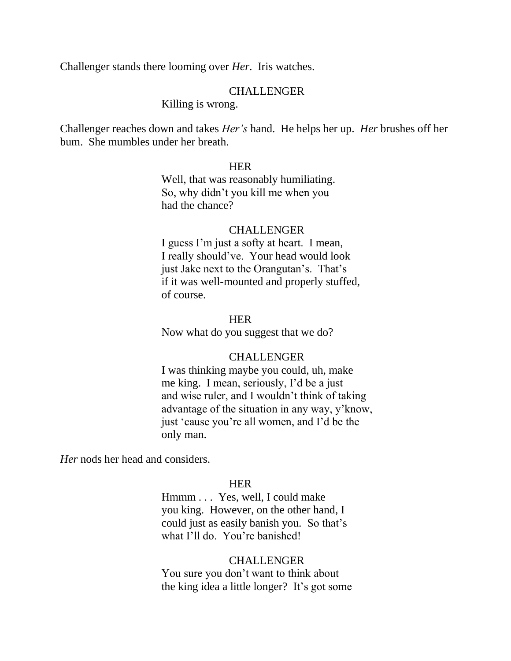Challenger stands there looming over *Her*. Iris watches.

#### CHALLENGER

Killing is wrong.

Challenger reaches down and takes *Her's* hand. He helps her up. *Her* brushes off her bum. She mumbles under her breath.

### **HER**

 Well, that was reasonably humiliating. So, why didn't you kill me when you had the chance?

#### CHALLENGER

 I guess I'm just a softy at heart. I mean, I really should've. Your head would look just Jake next to the Orangutan's. That's if it was well-mounted and properly stuffed, of course.

#### **HER HER**

Now what do you suggest that we do?

#### CHALLENGER

 I was thinking maybe you could, uh, make me king. I mean, seriously, I'd be a just and wise ruler, and I wouldn't think of taking advantage of the situation in any way, y'know, just 'cause you're all women, and I'd be the only man.

*Her* nods her head and considers.

#### **HER HER**

 Hmmm . . . Yes, well, I could make you king. However, on the other hand, I could just as easily banish you. So that's what I'll do. You're banished!

#### CHALLENGER

 You sure you don't want to think about the king idea a little longer? It's got some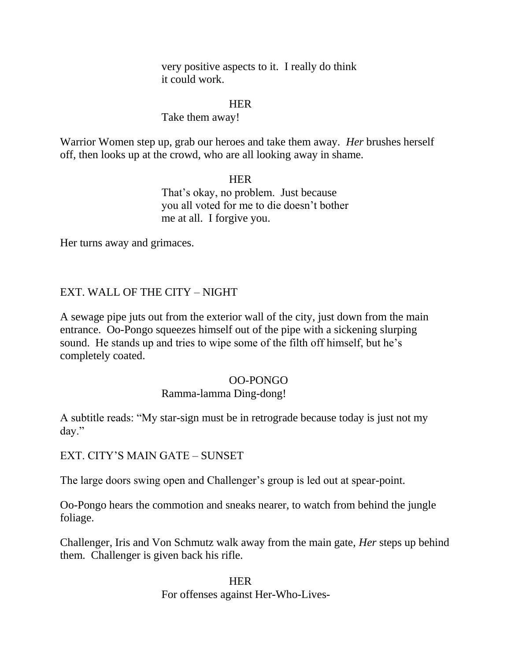very positive aspects to it. I really do think it could work.

# **HER**

# Take them away!

Warrior Women step up, grab our heroes and take them away. *Her* brushes herself off, then looks up at the crowd, who are all looking away in shame.

# **HER HER**  That's okay, no problem. Just because you all voted for me to die doesn't bother me at all. I forgive you.

Her turns away and grimaces.

# EXT. WALL OF THE CITY – NIGHT

A sewage pipe juts out from the exterior wall of the city, just down from the main entrance. Oo-Pongo squeezes himself out of the pipe with a sickening slurping sound. He stands up and tries to wipe some of the filth off himself, but he's completely coated.

# OO-PONGO

# Ramma-lamma Ding-dong!

A subtitle reads: "My star-sign must be in retrograde because today is just not my day."

EXT. CITY'S MAIN GATE – SUNSET

The large doors swing open and Challenger's group is led out at spear-point.

Oo-Pongo hears the commotion and sneaks nearer, to watch from behind the jungle foliage.

Challenger, Iris and Von Schmutz walk away from the main gate, *Her* steps up behind them. Challenger is given back his rifle.

**HER HER** For offenses against Her-Who-Lives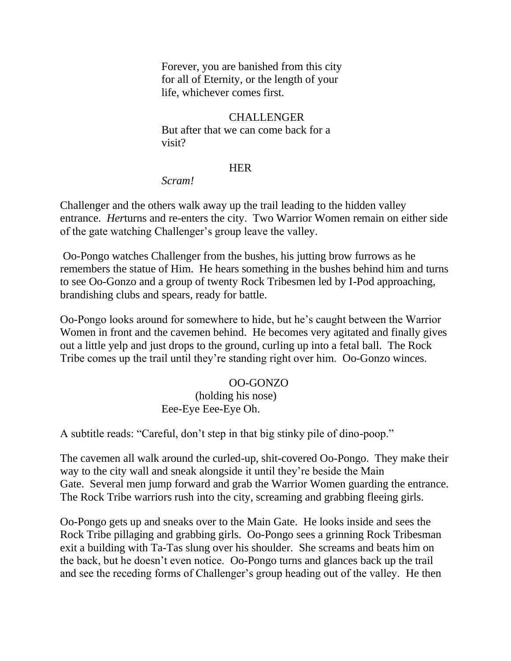Forever, you are banished from this city for all of Eternity, or the length of your life, whichever comes first.

# CHALLENGER

 But after that we can come back for a visit?

## **HER**

#### *Scram!*

Challenger and the others walk away up the trail leading to the hidden valley entrance. *Her*turns and re-enters the city. Two Warrior Women remain on either side of the gate watching Challenger's group leave the valley.

Oo-Pongo watches Challenger from the bushes, his jutting brow furrows as he remembers the statue of Him. He hears something in the bushes behind him and turns to see Oo-Gonzo and a group of twenty Rock Tribesmen led by I-Pod approaching, brandishing clubs and spears, ready for battle.

Oo-Pongo looks around for somewhere to hide, but he's caught between the Warrior Women in front and the cavemen behind. He becomes very agitated and finally gives out a little yelp and just drops to the ground, curling up into a fetal ball. The Rock Tribe comes up the trail until they're standing right over him. Oo-Gonzo winces.

## OO-GONZO

# (holding his nose) Eee-Eye Eee-Eye Oh.

A subtitle reads: "Careful, don't step in that big stinky pile of dino-poop."

The cavemen all walk around the curled-up, shit-covered Oo-Pongo. They make their way to the city wall and sneak alongside it until they're beside the Main Gate. Several men jump forward and grab the Warrior Women guarding the entrance. The Rock Tribe warriors rush into the city, screaming and grabbing fleeing girls.

Oo-Pongo gets up and sneaks over to the Main Gate. He looks inside and sees the Rock Tribe pillaging and grabbing girls. Oo-Pongo sees a grinning Rock Tribesman exit a building with Ta-Tas slung over his shoulder. She screams and beats him on the back, but he doesn't even notice. Oo-Pongo turns and glances back up the trail and see the receding forms of Challenger's group heading out of the valley. He then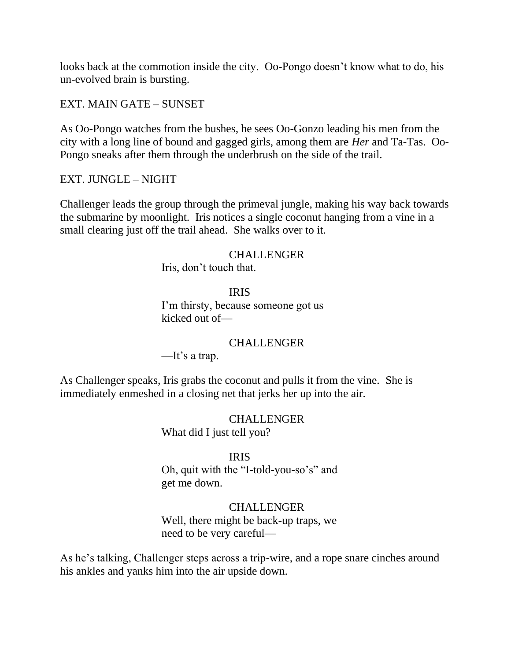looks back at the commotion inside the city. Oo-Pongo doesn't know what to do, his un-evolved brain is bursting.

EXT. MAIN GATE – SUNSET

As Oo-Pongo watches from the bushes, he sees Oo-Gonzo leading his men from the city with a long line of bound and gagged girls, among them are *Her* and Ta-Tas. Oo-Pongo sneaks after them through the underbrush on the side of the trail.

EXT. JUNGLE – NIGHT

Challenger leads the group through the primeval jungle, making his way back towards the submarine by moonlight. Iris notices a single coconut hanging from a vine in a small clearing just off the trail ahead. She walks over to it.

## CHALLENGER

Iris, don't touch that.

## IRIS

 I'm thirsty, because someone got us kicked out of—

## CHALLENGER

—It's a trap.

As Challenger speaks, Iris grabs the coconut and pulls it from the vine. She is immediately enmeshed in a closing net that jerks her up into the air.

> CHALLENGER What did I just tell you?

IRIS

Oh, quit with the "I-told-you-so's" and get me down.

## CHALLENGER

 Well, there might be back-up traps, we need to be very careful—

As he's talking, Challenger steps across a trip-wire, and a rope snare cinches around his ankles and yanks him into the air upside down.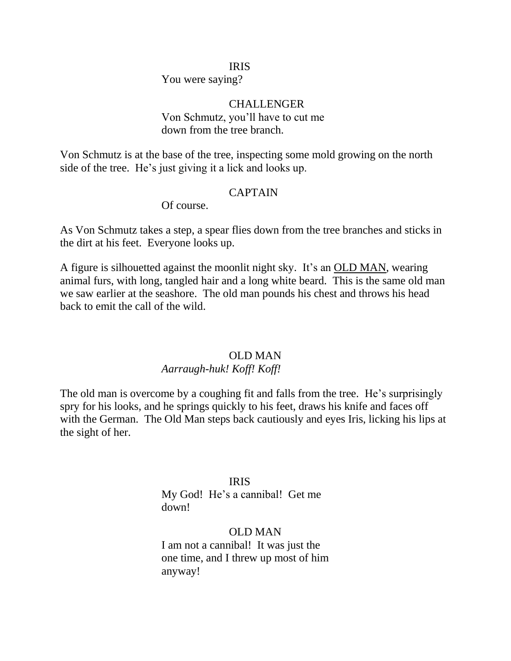#### IRIS

You were saying?

# **CHALLENGER**  Von Schmutz, you'll have to cut me down from the tree branch.

Von Schmutz is at the base of the tree, inspecting some mold growing on the north side of the tree. He's just giving it a lick and looks up.

# CAPTAIN

Of course.

As Von Schmutz takes a step, a spear flies down from the tree branches and sticks in the dirt at his feet. Everyone looks up.

A figure is silhouetted against the moonlit night sky. It's an OLD MAN, wearing animal furs, with long, tangled hair and a long white beard. This is the same old man we saw earlier at the seashore. The old man pounds his chest and throws his head back to emit the call of the wild.

## OLD MAN

# *Aarraugh-huk! Koff! Koff!*

The old man is overcome by a coughing fit and falls from the tree. He's surprisingly spry for his looks, and he springs quickly to his feet, draws his knife and faces off with the German. The Old Man steps back cautiously and eyes Iris, licking his lips at the sight of her.

## IRIS

 My God! He's a cannibal! Get me down!

## OLD MAN

 I am not a cannibal! It was just the one time, and I threw up most of him anyway!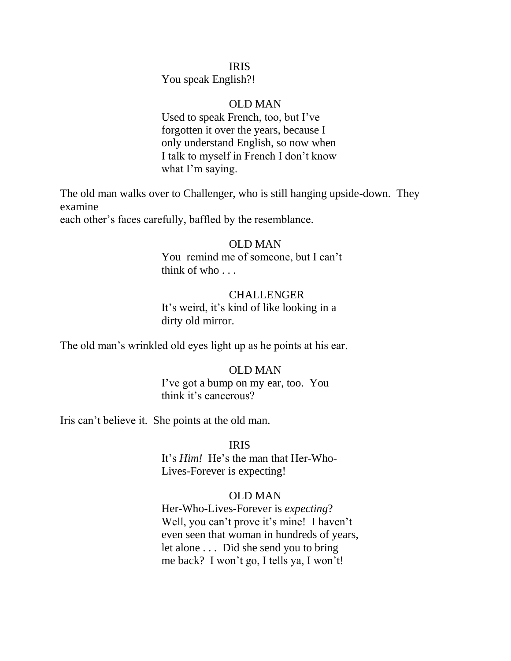## IRIS

You speak English?!

### OLD MAN

 Used to speak French, too, but I've forgotten it over the years, because I only understand English, so now when I talk to myself in French I don't know what I'm saying.

The old man walks over to Challenger, who is still hanging upside-down. They examine

each other's faces carefully, baffled by the resemblance.

### OLD MAN

 You remind me of someone, but I can't think of who . . .

### CHALLENGER

 It's weird, it's kind of like looking in a dirty old mirror.

The old man's wrinkled old eyes light up as he points at his ear.

### OLD MAN

 I've got a bump on my ear, too. You think it's cancerous?

Iris can't believe it. She points at the old man.

## IRIS

 It's *Him!* He's the man that Her-Who- Lives-Forever is expecting!

## OLD MAN

 Her-Who-Lives-Forever is *expecting*? Well, you can't prove it's mine! I haven't even seen that woman in hundreds of years, let alone . . . Did she send you to bring me back? I won't go, I tells ya, I won't!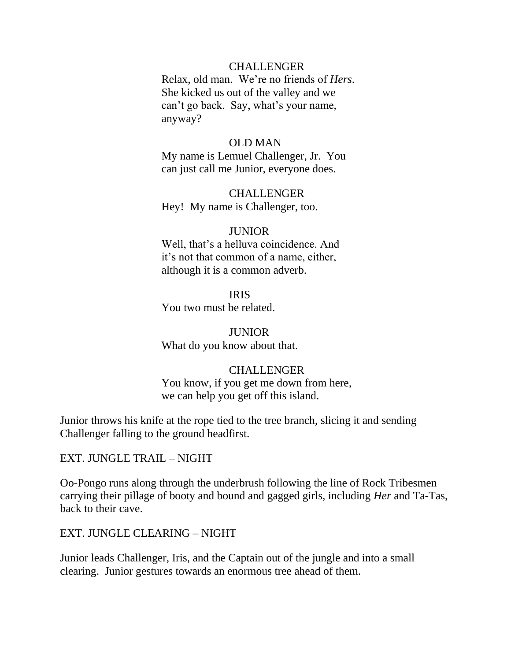## CHALLENGER

 Relax, old man. We're no friends of *Hers*. She kicked us out of the valley and we can't go back. Say, what's your name, anyway?

## OLD MAN

 My name is Lemuel Challenger, Jr. You can just call me Junior, everyone does.

 CHALLENGER Hey! My name is Challenger, too.

### **JUNIOR**

 Well, that's a helluva coincidence. And it's not that common of a name, either, although it is a common adverb.

IRIS

You two must be related.

 JUNIOR What do you know about that.

## CHALLENGER

 You know, if you get me down from here, we can help you get off this island.

Junior throws his knife at the rope tied to the tree branch, slicing it and sending Challenger falling to the ground headfirst.

EXT. JUNGLE TRAIL – NIGHT

Oo-Pongo runs along through the underbrush following the line of Rock Tribesmen carrying their pillage of booty and bound and gagged girls, including *Her* and Ta-Tas, back to their cave.

EXT. JUNGLE CLEARING – NIGHT

Junior leads Challenger, Iris, and the Captain out of the jungle and into a small clearing. Junior gestures towards an enormous tree ahead of them.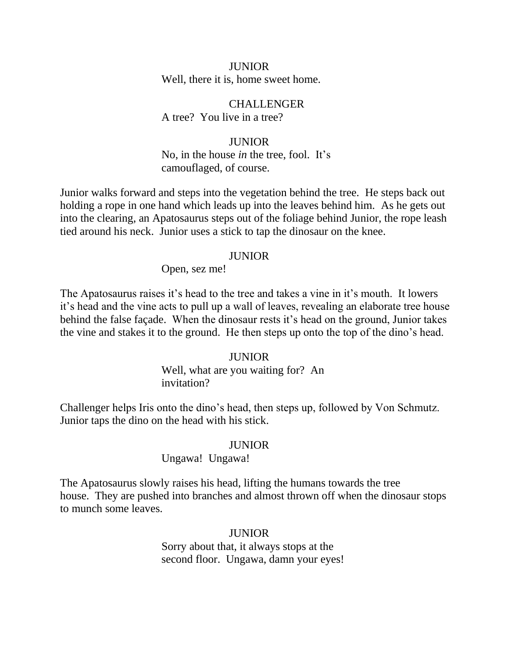JUNIOR Well, there it is, home sweet home.

**CHALLENGER** A tree? You live in a tree?

 JUNIOR No, in the house *in* the tree, fool. It's camouflaged, of course.

Junior walks forward and steps into the vegetation behind the tree. He steps back out holding a rope in one hand which leads up into the leaves behind him. As he gets out into the clearing, an Apatosaurus steps out of the foliage behind Junior, the rope leash tied around his neck. Junior uses a stick to tap the dinosaur on the knee.

### JUNIOR

Open, sez me!

The Apatosaurus raises it's head to the tree and takes a vine in it's mouth. It lowers it's head and the vine acts to pull up a wall of leaves, revealing an elaborate tree house behind the false façade. When the dinosaur rests it's head on the ground, Junior takes the vine and stakes it to the ground. He then steps up onto the top of the dino's head.

### **JUNIOR**

 Well, what are you waiting for? An invitation?

Challenger helps Iris onto the dino's head, then steps up, followed by Von Schmutz. Junior taps the dino on the head with his stick.

### JUNIOR

### Ungawa! Ungawa!

The Apatosaurus slowly raises his head, lifting the humans towards the tree house. They are pushed into branches and almost thrown off when the dinosaur stops to munch some leaves.

## **JUNIOR**

 Sorry about that, it always stops at the second floor. Ungawa, damn your eyes!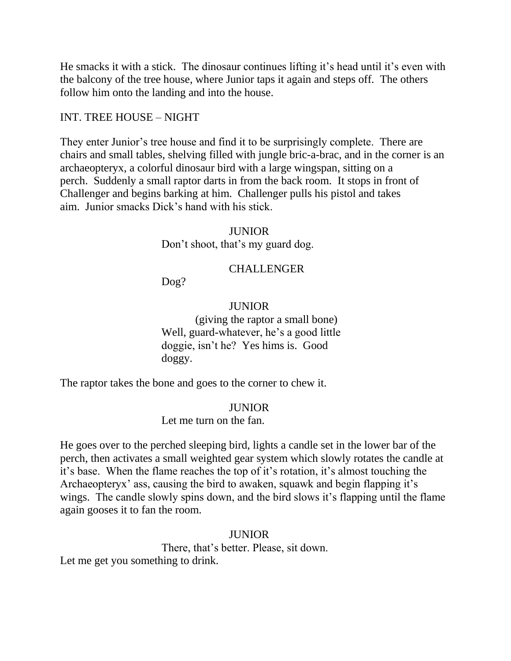He smacks it with a stick. The dinosaur continues lifting it's head until it's even with the balcony of the tree house, where Junior taps it again and steps off. The others follow him onto the landing and into the house.

## INT. TREE HOUSE – NIGHT

They enter Junior's tree house and find it to be surprisingly complete. There are chairs and small tables, shelving filled with jungle bric-a-brac, and in the corner is an archaeopteryx, a colorful dinosaur bird with a large wingspan, sitting on a perch. Suddenly a small raptor darts in from the back room. It stops in front of Challenger and begins barking at him. Challenger pulls his pistol and takes aim. Junior smacks Dick's hand with his stick.

## **JUNIOR**

Don't shoot, that's my guard dog.

## CHALLENGER

Dog?

## **JUNIOR**

 (giving the raptor a small bone) Well, guard-whatever, he's a good little doggie, isn't he? Yes hims is. Good doggy.

The raptor takes the bone and goes to the corner to chew it.

## JUNIOR

Let me turn on the fan.

He goes over to the perched sleeping bird, lights a candle set in the lower bar of the perch, then activates a small weighted gear system which slowly rotates the candle at it's base. When the flame reaches the top of it's rotation, it's almost touching the Archaeopteryx' ass, causing the bird to awaken, squawk and begin flapping it's wings. The candle slowly spins down, and the bird slows it's flapping until the flame again gooses it to fan the room.

## JUNIOR

 There, that's better. Please, sit down. Let me get you something to drink.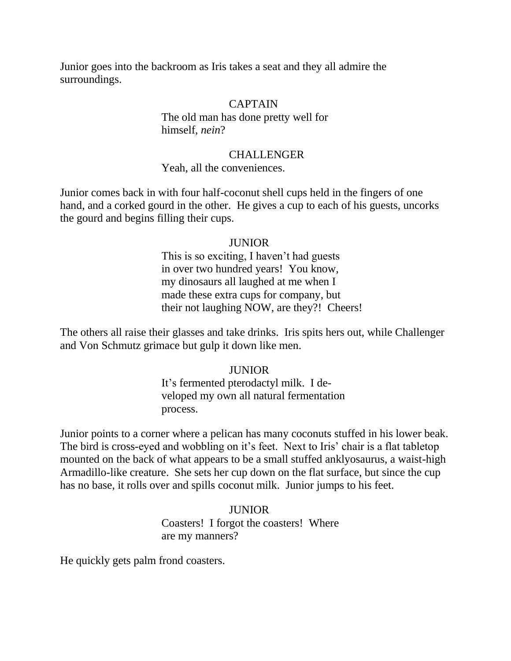Junior goes into the backroom as Iris takes a seat and they all admire the surroundings.

## CAPTAIN

 The old man has done pretty well for himself, *nein*?

## CHALLENGER

## Yeah, all the conveniences.

Junior comes back in with four half-coconut shell cups held in the fingers of one hand, and a corked gourd in the other. He gives a cup to each of his guests, uncorks the gourd and begins filling their cups.

## JUNIOR

 This is so exciting, I haven't had guests in over two hundred years! You know, my dinosaurs all laughed at me when I made these extra cups for company, but their not laughing NOW, are they?! Cheers!

The others all raise their glasses and take drinks. Iris spits hers out, while Challenger and Von Schmutz grimace but gulp it down like men.

## **JUNIOR**

 It's fermented pterodactyl milk. I de veloped my own all natural fermentation process.

Junior points to a corner where a pelican has many coconuts stuffed in his lower beak. The bird is cross-eyed and wobbling on it's feet. Next to Iris' chair is a flat tabletop mounted on the back of what appears to be a small stuffed anklyosaurus, a waist-high Armadillo-like creature. She sets her cup down on the flat surface, but since the cup has no base, it rolls over and spills coconut milk. Junior jumps to his feet.

# JUNIOR

 Coasters! I forgot the coasters! Where are my manners?

He quickly gets palm frond coasters.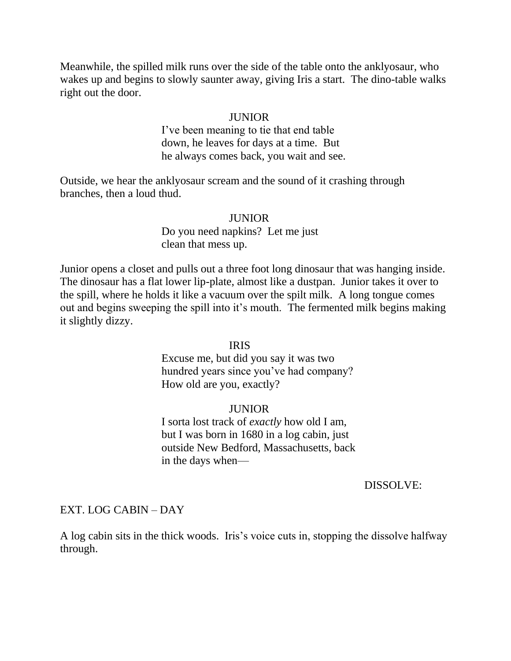Meanwhile, the spilled milk runs over the side of the table onto the anklyosaur, who wakes up and begins to slowly saunter away, giving Iris a start. The dino-table walks right out the door.

### **JUNIOR**

 I've been meaning to tie that end table down, he leaves for days at a time. But he always comes back, you wait and see.

Outside, we hear the anklyosaur scream and the sound of it crashing through branches, then a loud thud.

### JUNIOR

 Do you need napkins? Let me just clean that mess up.

Junior opens a closet and pulls out a three foot long dinosaur that was hanging inside. The dinosaur has a flat lower lip-plate, almost like a dustpan. Junior takes it over to the spill, where he holds it like a vacuum over the spilt milk. A long tongue comes out and begins sweeping the spill into it's mouth. The fermented milk begins making it slightly dizzy.

## IRIS

 Excuse me, but did you say it was two hundred years since you've had company? How old are you, exactly?

## **JUNIOR**

 I sorta lost track of *exactly* how old I am, but I was born in 1680 in a log cabin, just outside New Bedford, Massachusetts, back in the days when—

#### DISSOLVE:

## EXT. LOG CABIN – DAY

A log cabin sits in the thick woods. Iris's voice cuts in, stopping the dissolve halfway through.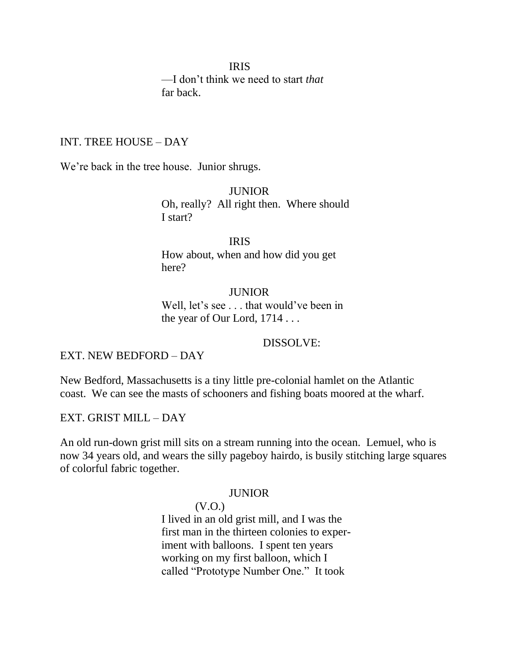IRIS —I don't think we need to start *that* far back.

### INT. TREE HOUSE – DAY

We're back in the tree house. Junior shrugs.

 JUNIOR Oh, really? All right then. Where should I start?

 IRIS How about, when and how did you get here?

> JUNIOR Well, let's see . . . that would've been in the year of Our Lord, 1714 . . .

> > DISSOLVE:

EXT. NEW BEDFORD – DAY

New Bedford, Massachusetts is a tiny little pre-colonial hamlet on the Atlantic coast. We can see the masts of schooners and fishing boats moored at the wharf.

EXT. GRIST MILL – DAY

An old run-down grist mill sits on a stream running into the ocean. Lemuel, who is now 34 years old, and wears the silly pageboy hairdo, is busily stitching large squares of colorful fabric together.

#### JUNIOR

(V.O.)

 I lived in an old grist mill, and I was the first man in the thirteen colonies to exper iment with balloons. I spent ten years working on my first balloon, which I called "Prototype Number One." It took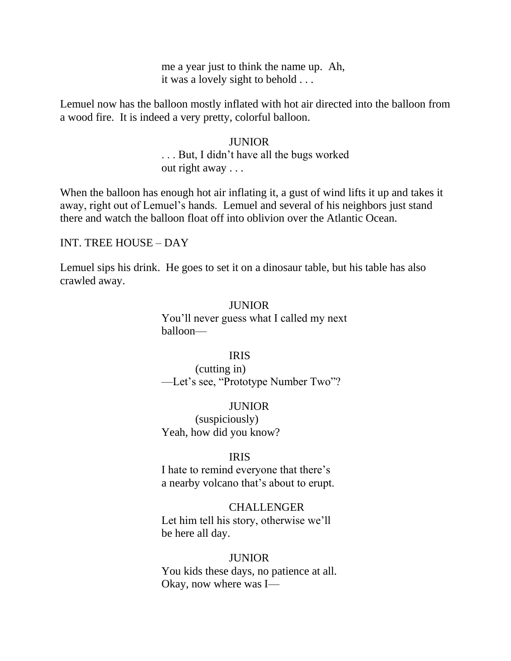me a year just to think the name up. Ah, it was a lovely sight to behold . . .

Lemuel now has the balloon mostly inflated with hot air directed into the balloon from a wood fire. It is indeed a very pretty, colorful balloon.

# JUNIOR . . . But, I didn't have all the bugs worked out right away . . .

When the balloon has enough hot air inflating it, a gust of wind lifts it up and takes it away, right out of Lemuel's hands. Lemuel and several of his neighbors just stand there and watch the balloon float off into oblivion over the Atlantic Ocean.

## INT. TREE HOUSE – DAY

Lemuel sips his drink. He goes to set it on a dinosaur table, but his table has also crawled away.

## JUNIOR

 You'll never guess what I called my next balloon—

## IRIS

 (cutting in) —Let's see, "Prototype Number Two"?

## JUNIOR

 (suspiciously) Yeah, how did you know?

## IRIS

 I hate to remind everyone that there's a nearby volcano that's about to erupt.

### CHALLENGER

 Let him tell his story, otherwise we'll be here all day.

### **JUNIOR**

 You kids these days, no patience at all. Okay, now where was I—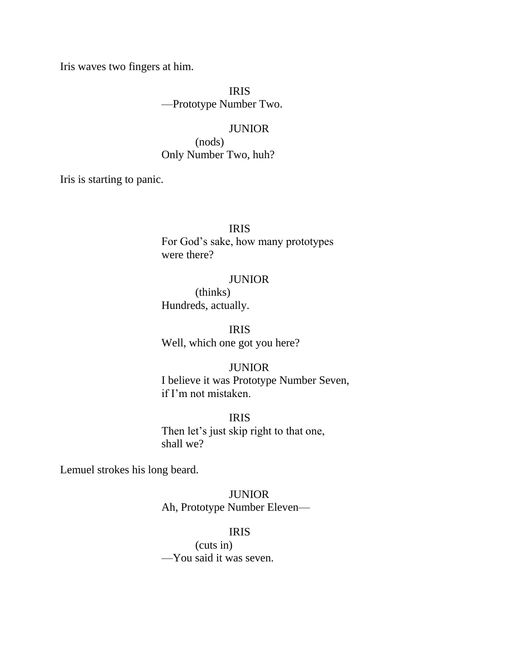Iris waves two fingers at him.

 IRIS —Prototype Number Two.

### **JUNIOR**

 (nods) Only Number Two, huh?

Iris is starting to panic.

IRIS

 For God's sake, how many prototypes were there?

### JUNIOR

 (thinks) Hundreds, actually.

 IRIS Well, which one got you here?

## JUNIOR

 I believe it was Prototype Number Seven, if I'm not mistaken.

IRIS

 Then let's just skip right to that one, shall we?

Lemuel strokes his long beard.

 JUNIOR Ah, Prototype Number Eleven—

## IRIS

 (cuts in) —You said it was seven.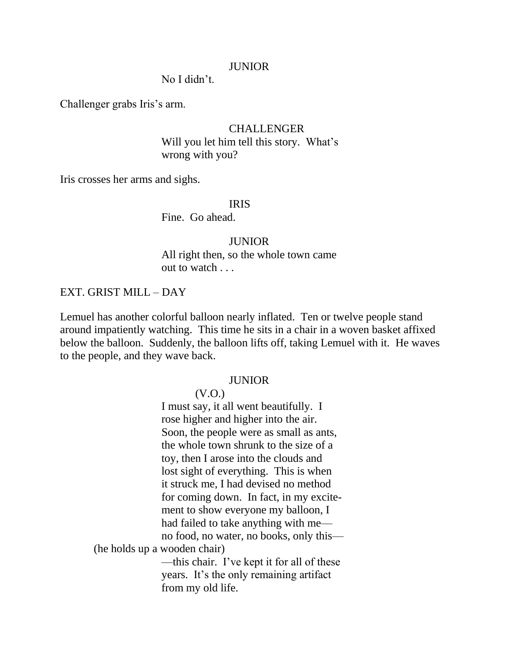### JUNIOR

No I didn't.

Challenger grabs Iris's arm.

### CHALLENGER

 Will you let him tell this story. What's wrong with you?

Iris crosses her arms and sighs.

## IRIS

Fine. Go ahead.

#### JUNIOR

 All right then, so the whole town came out to watch . . .

### EXT. GRIST MILL – DAY

Lemuel has another colorful balloon nearly inflated. Ten or twelve people stand around impatiently watching. This time he sits in a chair in a woven basket affixed below the balloon. Suddenly, the balloon lifts off, taking Lemuel with it. He waves to the people, and they wave back.

#### JUNIOR

(V.O.)

 I must say, it all went beautifully. I rose higher and higher into the air. Soon, the people were as small as ants, the whole town shrunk to the size of a toy, then I arose into the clouds and lost sight of everything. This is when it struck me, I had devised no method for coming down. In fact, in my excite ment to show everyone my balloon, I had failed to take anything with me no food, no water, no books, only this— (he holds up a wooden chair) —this chair. I've kept it for all of these years. It's the only remaining artifact from my old life.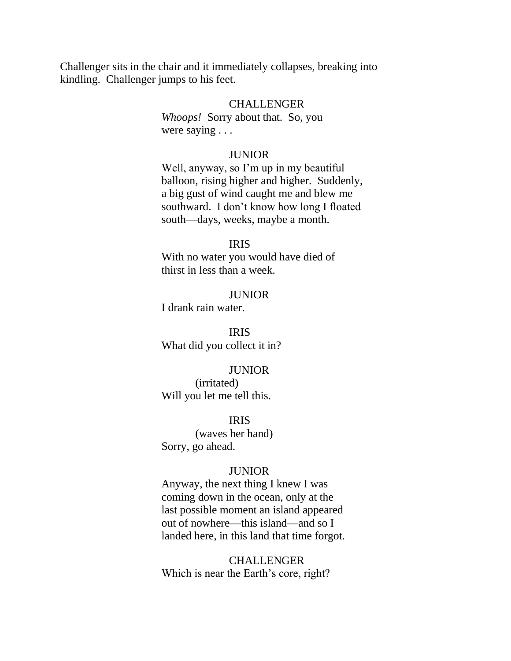Challenger sits in the chair and it immediately collapses, breaking into kindling. Challenger jumps to his feet.

### CHALLENGER

 *Whoops!* Sorry about that. So, you were saying . . .

#### JUNIOR

 Well, anyway, so I'm up in my beautiful balloon, rising higher and higher. Suddenly, a big gust of wind caught me and blew me southward. I don't know how long I floated south—days, weeks, maybe a month.

## IRIS

 With no water you would have died of thirst in less than a week.

## **JUNIOR**

I drank rain water.

 IRIS What did you collect it in?

### JUNIOR

 (irritated) Will you let me tell this.

IRIS

 (waves her hand) Sorry, go ahead.

### JUNIOR

 Anyway, the next thing I knew I was coming down in the ocean, only at the last possible moment an island appeared out of nowhere—this island—and so I landed here, in this land that time forgot.

**CHALLENGER** Which is near the Earth's core, right?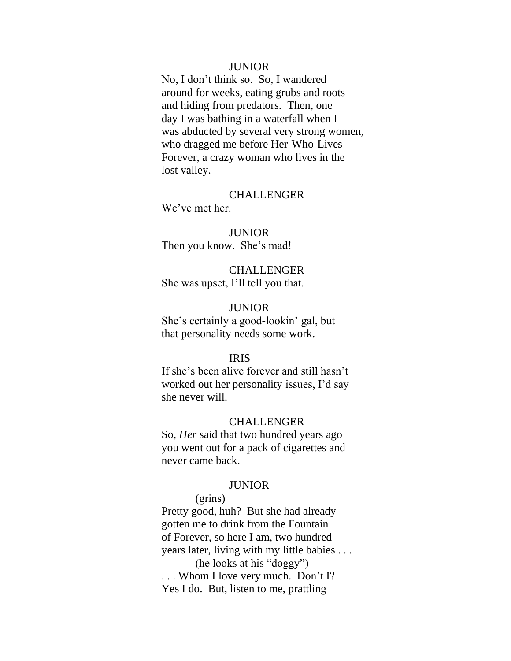### JUNIOR

 No, I don't think so. So, I wandered around for weeks, eating grubs and roots and hiding from predators. Then, one day I was bathing in a waterfall when I was abducted by several very strong women, who dragged me before Her-Who-Lives- Forever, a crazy woman who lives in the lost valley.

### CHALLENGER

We've met her.

### JUNIOR

Then you know. She's mad!

 CHALLENGER She was upset, I'll tell you that.

## **JUNIOR**

 She's certainly a good-lookin' gal, but that personality needs some work.

## IRIS

 If she's been alive forever and still hasn't worked out her personality issues, I'd say she never will.

#### CHALLENGER

 So, *Her* said that two hundred years ago you went out for a pack of cigarettes and never came back.

#### JUNIOR

## (grins)

 Pretty good, huh? But she had already gotten me to drink from the Fountain of Forever, so here I am, two hundred years later, living with my little babies . . .

(he looks at his "doggy") ... Whom I love very much. Don't I? Yes I do. But, listen to me, prattling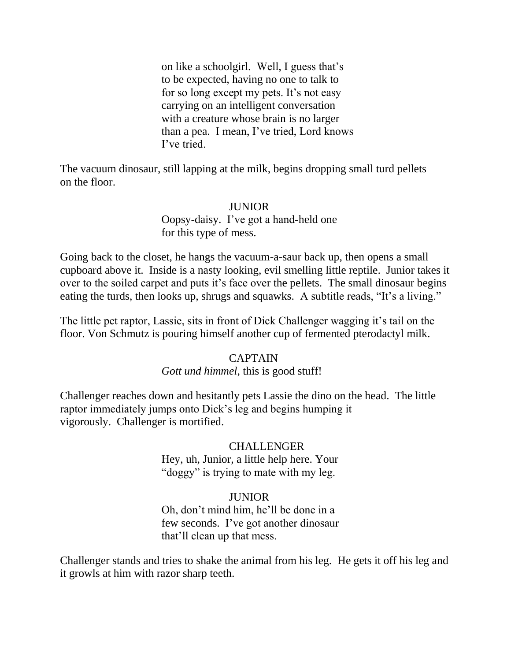on like a schoolgirl. Well, I guess that's to be expected, having no one to talk to for so long except my pets. It's not easy carrying on an intelligent conversation with a creature whose brain is no larger than a pea. I mean, I've tried, Lord knows I've tried.

The vacuum dinosaur, still lapping at the milk, begins dropping small turd pellets on the floor.

## JUNIOR

 Oopsy-daisy. I've got a hand-held one for this type of mess.

Going back to the closet, he hangs the vacuum-a-saur back up, then opens a small cupboard above it. Inside is a nasty looking, evil smelling little reptile. Junior takes it over to the soiled carpet and puts it's face over the pellets. The small dinosaur begins eating the turds, then looks up, shrugs and squawks. A subtitle reads, "It's a living."

The little pet raptor, Lassie, sits in front of Dick Challenger wagging it's tail on the floor. Von Schmutz is pouring himself another cup of fermented pterodactyl milk.

## CAPTAIN

### *Gott und himmel*, this is good stuff!

Challenger reaches down and hesitantly pets Lassie the dino on the head. The little raptor immediately jumps onto Dick's leg and begins humping it vigorously. Challenger is mortified.

# CHALLENGER

 Hey, uh, Junior, a little help here. Your "doggy" is trying to mate with my leg.

### JUNIOR

 Oh, don't mind him, he'll be done in a few seconds. I've got another dinosaur that'll clean up that mess.

Challenger stands and tries to shake the animal from his leg. He gets it off his leg and it growls at him with razor sharp teeth.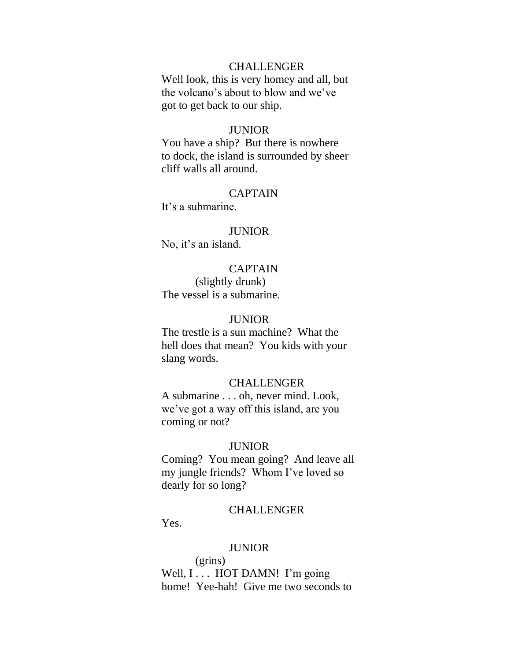### **CHALLENGER**

 Well look, this is very homey and all, but the volcano's about to blow and we've got to get back to our ship.

### **JUNIOR**

 You have a ship? But there is nowhere to dock, the island is surrounded by sheer cliff walls all around.

### CAPTAIN

It's a submarine.

### **JUNIOR**

No, it's an island.

# CAPTAIN

 (slightly drunk) The vessel is a submarine.

## **JUNIOR**

 The trestle is a sun machine? What the hell does that mean? You kids with your slang words.

## **CHALLENGER**

 A submarine . . . oh, never mind. Look, we've got a way off this island, are you coming or not?

### **JUNIOR**

 Coming? You mean going? And leave all my jungle friends? Whom I've loved so dearly for so long?

### CHALLENGER

Yes.

## **JUNIOR**

 (grins) Well,  $I \ldots$  HOT DAMN! I'm going home! Yee-hah! Give me two seconds to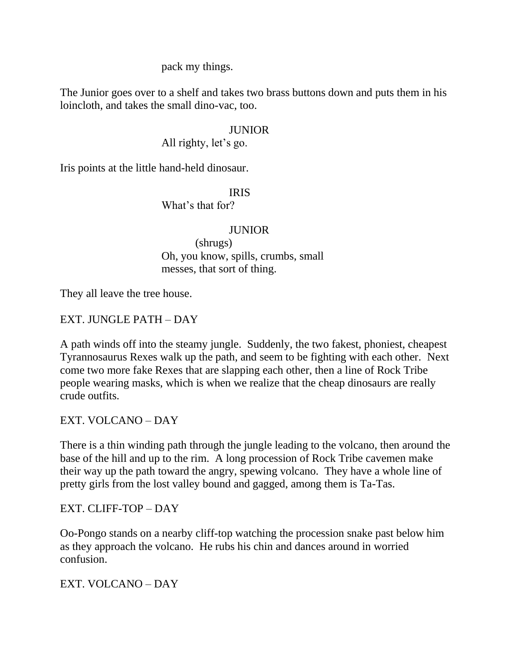pack my things.

The Junior goes over to a shelf and takes two brass buttons down and puts them in his loincloth, and takes the small dino-vac, too.

# JUNIOR

All righty, let's go.

Iris points at the little hand-held dinosaur.

# IRIS

What's that for?

## JUNIOR

 (shrugs) Oh, you know, spills, crumbs, small messes, that sort of thing.

They all leave the tree house.

# EXT. JUNGLE PATH – DAY

A path winds off into the steamy jungle. Suddenly, the two fakest, phoniest, cheapest Tyrannosaurus Rexes walk up the path, and seem to be fighting with each other. Next come two more fake Rexes that are slapping each other, then a line of Rock Tribe people wearing masks, which is when we realize that the cheap dinosaurs are really crude outfits.

EXT. VOLCANO – DAY

There is a thin winding path through the jungle leading to the volcano, then around the base of the hill and up to the rim. A long procession of Rock Tribe cavemen make their way up the path toward the angry, spewing volcano. They have a whole line of pretty girls from the lost valley bound and gagged, among them is Ta-Tas.

## EXT. CLIFF-TOP – DAY

Oo-Pongo stands on a nearby cliff-top watching the procession snake past below him as they approach the volcano. He rubs his chin and dances around in worried confusion.

EXT. VOLCANO – DAY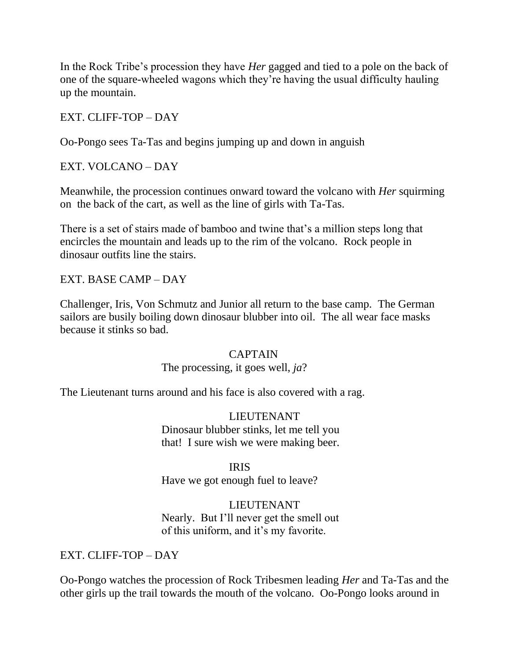In the Rock Tribe's procession they have *Her* gagged and tied to a pole on the back of one of the square-wheeled wagons which they're having the usual difficulty hauling up the mountain.

# EXT. CLIFF-TOP – DAY

Oo-Pongo sees Ta-Tas and begins jumping up and down in anguish

# EXT. VOLCANO – DAY

Meanwhile, the procession continues onward toward the volcano with *Her* squirming on the back of the cart, as well as the line of girls with Ta-Tas.

There is a set of stairs made of bamboo and twine that's a million steps long that encircles the mountain and leads up to the rim of the volcano. Rock people in dinosaur outfits line the stairs.

# EXT. BASE CAMP – DAY

Challenger, Iris, Von Schmutz and Junior all return to the base camp. The German sailors are busily boiling down dinosaur blubber into oil. The all wear face masks because it stinks so bad.

# CAPTAIN

# The processing, it goes well, *ja*?

The Lieutenant turns around and his face is also covered with a rag.

# LIEUTENANT Dinosaur blubber stinks, let me tell you that! I sure wish we were making beer.

# IRIS

Have we got enough fuel to leave?

# LIEUTENANT

 Nearly. But I'll never get the smell out of this uniform, and it's my favorite.

# EXT. CLIFF-TOP – DAY

Oo-Pongo watches the procession of Rock Tribesmen leading *Her* and Ta-Tas and the other girls up the trail towards the mouth of the volcano. Oo-Pongo looks around in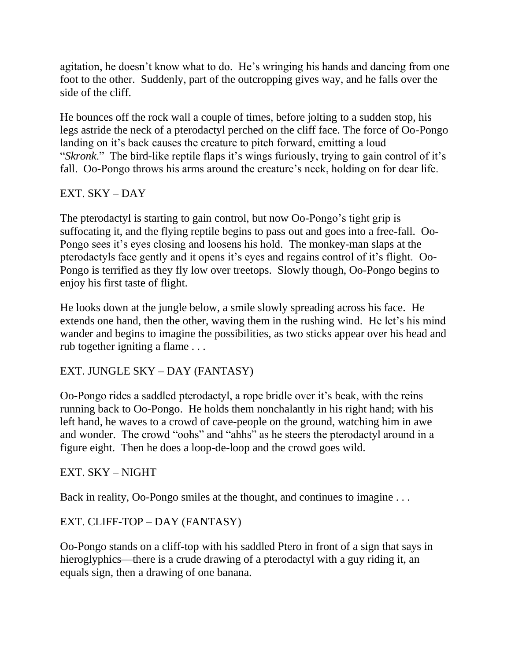agitation, he doesn't know what to do. He's wringing his hands and dancing from one foot to the other. Suddenly, part of the outcropping gives way, and he falls over the side of the cliff.

He bounces off the rock wall a couple of times, before jolting to a sudden stop, his legs astride the neck of a pterodactyl perched on the cliff face. The force of Oo-Pongo landing on it's back causes the creature to pitch forward, emitting a loud "Skronk." The bird-like reptile flaps it's wings furiously, trying to gain control of it's fall. Oo-Pongo throws his arms around the creature's neck, holding on for dear life.

# EXT. SKY – DAY

The pterodactyl is starting to gain control, but now Oo-Pongo's tight grip is suffocating it, and the flying reptile begins to pass out and goes into a free-fall. Oo-Pongo sees it's eyes closing and loosens his hold. The monkey-man slaps at the pterodactyls face gently and it opens it's eyes and regains control of it's flight. Oo-Pongo is terrified as they fly low over treetops. Slowly though, Oo-Pongo begins to enjoy his first taste of flight.

He looks down at the jungle below, a smile slowly spreading across his face. He extends one hand, then the other, waving them in the rushing wind. He let's his mind wander and begins to imagine the possibilities, as two sticks appear over his head and rub together igniting a flame . . .

# EXT. JUNGLE SKY – DAY (FANTASY)

Oo-Pongo rides a saddled pterodactyl, a rope bridle over it's beak, with the reins running back to Oo-Pongo. He holds them nonchalantly in his right hand; with his left hand, he waves to a crowd of cave-people on the ground, watching him in awe and wonder. The crowd "oohs" and "ahhs" as he steers the pterodactyl around in a figure eight. Then he does a loop-de-loop and the crowd goes wild.

# EXT. SKY – NIGHT

Back in reality, Oo-Pongo smiles at the thought, and continues to imagine . . .

# EXT. CLIFF-TOP – DAY (FANTASY)

Oo-Pongo stands on a cliff-top with his saddled Ptero in front of a sign that says in hieroglyphics—there is a crude drawing of a pterodactyl with a guy riding it, an equals sign, then a drawing of one banana.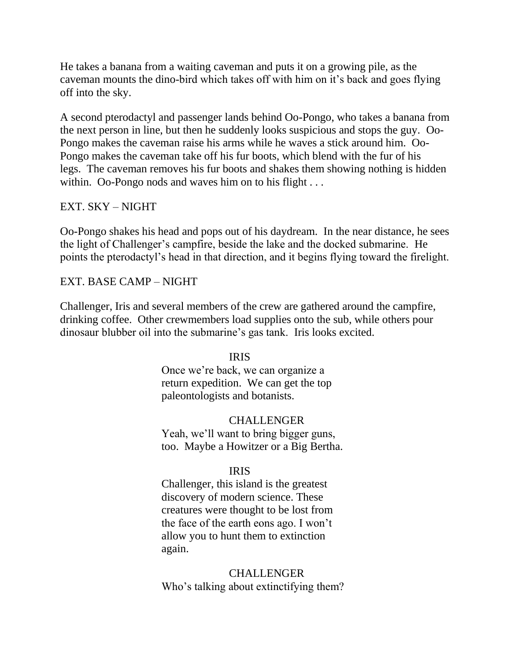He takes a banana from a waiting caveman and puts it on a growing pile, as the caveman mounts the dino-bird which takes off with him on it's back and goes flying off into the sky.

A second pterodactyl and passenger lands behind Oo-Pongo, who takes a banana from the next person in line, but then he suddenly looks suspicious and stops the guy. Oo-Pongo makes the caveman raise his arms while he waves a stick around him. Oo-Pongo makes the caveman take off his fur boots, which blend with the fur of his legs. The caveman removes his fur boots and shakes them showing nothing is hidden within. Oo-Pongo nods and waves him on to his flight ...

# EXT. SKY – NIGHT

Oo-Pongo shakes his head and pops out of his daydream. In the near distance, he sees the light of Challenger's campfire, beside the lake and the docked submarine. He points the pterodactyl's head in that direction, and it begins flying toward the firelight.

# EXT. BASE CAMP – NIGHT

Challenger, Iris and several members of the crew are gathered around the campfire, drinking coffee. Other crewmembers load supplies onto the sub, while others pour dinosaur blubber oil into the submarine's gas tank. Iris looks excited.

# IRIS

 Once we're back, we can organize a return expedition. We can get the top paleontologists and botanists.

 CHALLENGER Yeah, we'll want to bring bigger guns, too. Maybe a Howitzer or a Big Bertha.

# IRIS

 Challenger, this island is the greatest discovery of modern science. These creatures were thought to be lost from the face of the earth eons ago. I won't allow you to hunt them to extinction again.

 CHALLENGER Who's talking about extinctifying them?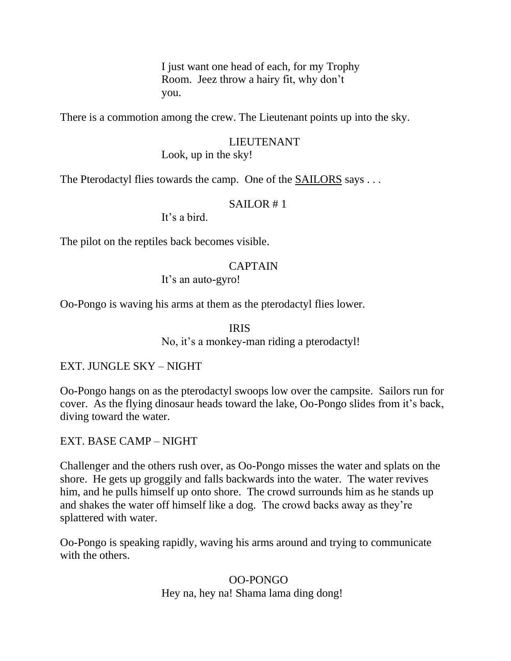I just want one head of each, for my Trophy Room. Jeez throw a hairy fit, why don't you.

There is a commotion among the crew. The Lieutenant points up into the sky.

# LIEUTENANT Look, up in the sky!

The Pterodactyl flies towards the camp. One of the SAILORS says . . .

# $SAILOR \neq 1$

It's a bird.

The pilot on the reptiles back becomes visible.

## CAPTAIN

It's an auto-gyro!

Oo-Pongo is waving his arms at them as the pterodactyl flies lower.

# IRIS

No, it's a monkey-man riding a pterodactyl!

# EXT. JUNGLE SKY – NIGHT

Oo-Pongo hangs on as the pterodactyl swoops low over the campsite. Sailors run for cover. As the flying dinosaur heads toward the lake, Oo-Pongo slides from it's back, diving toward the water.

# EXT. BASE CAMP – NIGHT

Challenger and the others rush over, as Oo-Pongo misses the water and splats on the shore. He gets up groggily and falls backwards into the water. The water revives him, and he pulls himself up onto shore. The crowd surrounds him as he stands up and shakes the water off himself like a dog. The crowd backs away as they're splattered with water.

Oo-Pongo is speaking rapidly, waving his arms around and trying to communicate with the others.

> OO-PONGO Hey na, hey na! Shama lama ding dong!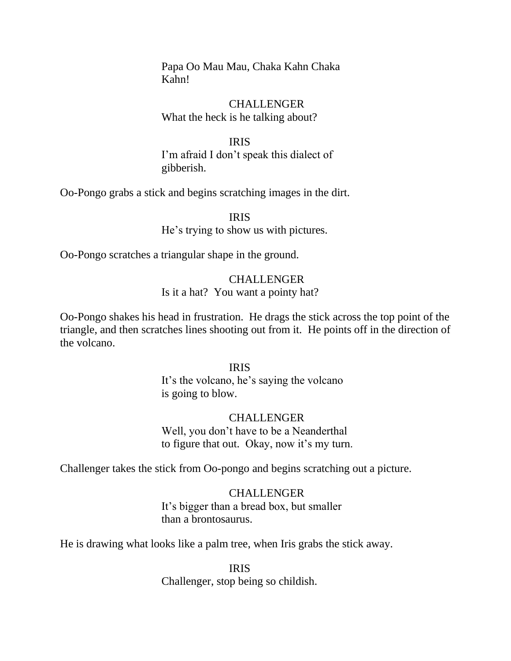Papa Oo Mau Mau, Chaka Kahn Chaka Kahn!

 CHALLENGER What the heck is he talking about?

 IRIS I'm afraid I don't speak this dialect of gibberish.

Oo-Pongo grabs a stick and begins scratching images in the dirt.

 IRIS He's trying to show us with pictures.

Oo-Pongo scratches a triangular shape in the ground.

# CHALLENGER Is it a hat? You want a pointy hat?

Oo-Pongo shakes his head in frustration. He drags the stick across the top point of the triangle, and then scratches lines shooting out from it. He points off in the direction of the volcano.

## IRIS

 It's the volcano, he's saying the volcano is going to blow.

# CHALLENGER Well, you don't have to be a Neanderthal to figure that out. Okay, now it's my turn.

Challenger takes the stick from Oo-pongo and begins scratching out a picture.

# CHALLENGER

 It's bigger than a bread box, but smaller than a brontosaurus.

He is drawing what looks like a palm tree, when Iris grabs the stick away.

## IRIS

Challenger, stop being so childish.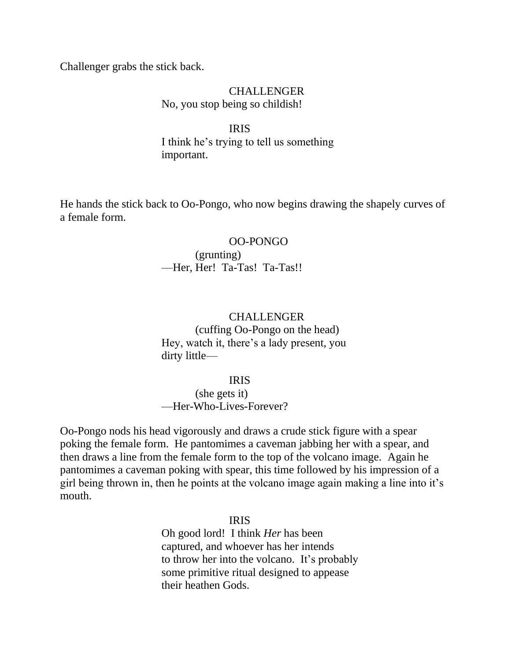Challenger grabs the stick back.

## CHALLENGER No, you stop being so childish!

### IRIS

 I think he's trying to tell us something important.

He hands the stick back to Oo-Pongo, who now begins drawing the shapely curves of a female form.

### OO-PONGO

## (grunting) —Her, Her! Ta-Tas! Ta-Tas!!

## CHALLENGER

 (cuffing Oo-Pongo on the head) Hey, watch it, there's a lady present, you dirty little—

## IRIS

 (she gets it) —Her-Who-Lives-Forever?

Oo-Pongo nods his head vigorously and draws a crude stick figure with a spear poking the female form. He pantomimes a caveman jabbing her with a spear, and then draws a line from the female form to the top of the volcano image. Again he pantomimes a caveman poking with spear, this time followed by his impression of a girl being thrown in, then he points at the volcano image again making a line into it's mouth.

IRIS

 Oh good lord! I think *Her* has been captured, and whoever has her intends to throw her into the volcano. It's probably some primitive ritual designed to appease their heathen Gods.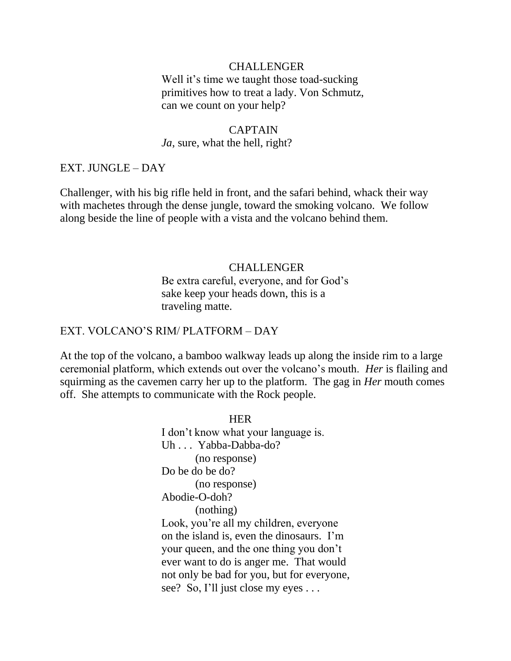### CHALLENGER

Well it's time we taught those toad-sucking primitives how to treat a lady. Von Schmutz, can we count on your help?

### CAPTAIN

### *Ja*, sure, what the hell, right?

### EXT. JUNGLE – DAY

Challenger, with his big rifle held in front, and the safari behind, whack their way with machetes through the dense jungle, toward the smoking volcano. We follow along beside the line of people with a vista and the volcano behind them.

### CHALLENGER

 Be extra careful, everyone, and for God's sake keep your heads down, this is a traveling matte.

### EXT. VOLCANO'S RIM/ PLATFORM – DAY

At the top of the volcano, a bamboo walkway leads up along the inside rim to a large ceremonial platform, which extends out over the volcano's mouth. *Her* is flailing and squirming as the cavemen carry her up to the platform. The gag in *Her* mouth comes off. She attempts to communicate with the Rock people.

**HER**  I don't know what your language is. Uh . . . Yabba-Dabba-do? (no response) Do be do be do? (no response) Abodie-O-doh? (nothing) Look, you're all my children, everyone on the island is, even the dinosaurs. I'm your queen, and the one thing you don't ever want to do is anger me. That would not only be bad for you, but for everyone, see? So, I'll just close my eyes ...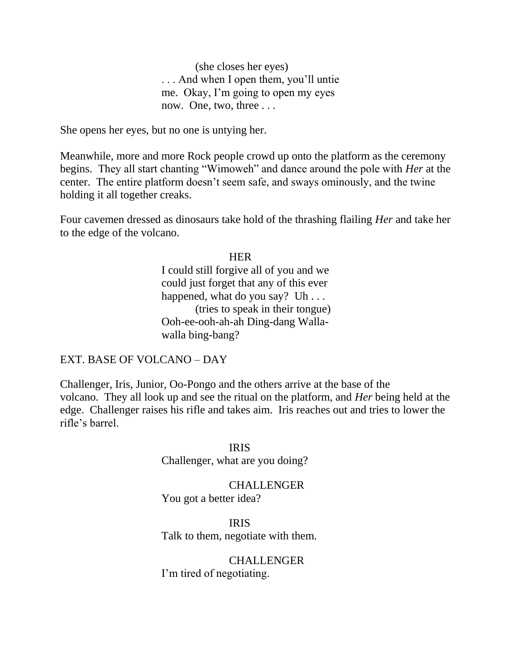(she closes her eyes) . . . And when I open them, you'll untie me. Okay, I'm going to open my eyes now. One, two, three . . .

She opens her eyes, but no one is untying her.

Meanwhile, more and more Rock people crowd up onto the platform as the ceremony begins. They all start chanting "Wimoweh" and dance around the pole with *Her* at the center. The entire platform doesn't seem safe, and sways ominously, and the twine holding it all together creaks.

Four cavemen dressed as dinosaurs take hold of the thrashing flailing *Her* and take her to the edge of the volcano.

## **HER HER**

 I could still forgive all of you and we could just forget that any of this ever happened, what do you say? Uh . . . (tries to speak in their tongue) Ooh-ee-ooh-ah-ah Ding-dang Walla walla bing-bang?

### EXT. BASE OF VOLCANO – DAY

Challenger, Iris, Junior, Oo-Pongo and the others arrive at the base of the volcano. They all look up and see the ritual on the platform, and *Her* being held at the edge. Challenger raises his rifle and takes aim. Iris reaches out and tries to lower the rifle's barrel.

 IRIS Challenger, what are you doing?

> CHALLENGER You got a better idea?

 IRIS Talk to them, negotiate with them.

> CHALLENGER I'm tired of negotiating.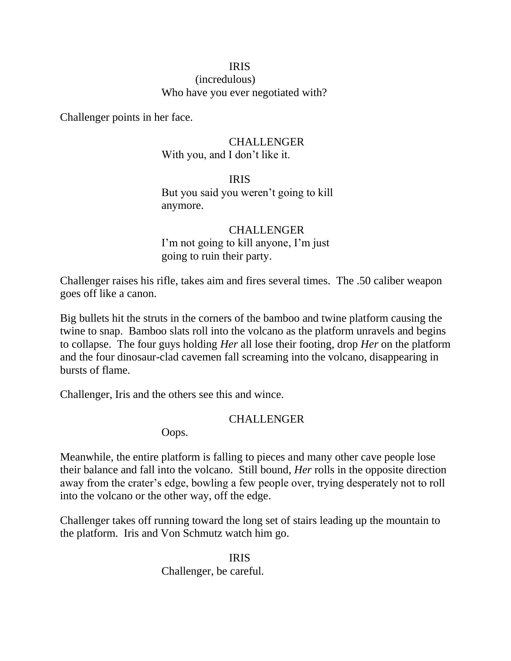# IRIS

 (incredulous) Who have you ever negotiated with?

Challenger points in her face.

# CHALLENGER With you, and I don't like it.

 IRIS But you said you weren't going to kill anymore.

# CHALLENGER I'm not going to kill anyone, I'm just going to ruin their party.

Challenger raises his rifle, takes aim and fires several times. The .50 caliber weapon goes off like a canon.

Big bullets hit the struts in the corners of the bamboo and twine platform causing the twine to snap. Bamboo slats roll into the volcano as the platform unravels and begins to collapse. The four guys holding *Her* all lose their footing, drop *Her* on the platform and the four dinosaur-clad cavemen fall screaming into the volcano, disappearing in bursts of flame.

Challenger, Iris and the others see this and wince.

# CHALLENGER

Oops.

Meanwhile, the entire platform is falling to pieces and many other cave people lose their balance and fall into the volcano. Still bound, *Her* rolls in the opposite direction away from the crater's edge, bowling a few people over, trying desperately not to roll into the volcano or the other way, off the edge.

Challenger takes off running toward the long set of stairs leading up the mountain to the platform. Iris and Von Schmutz watch him go.

 IRIS Challenger, be careful.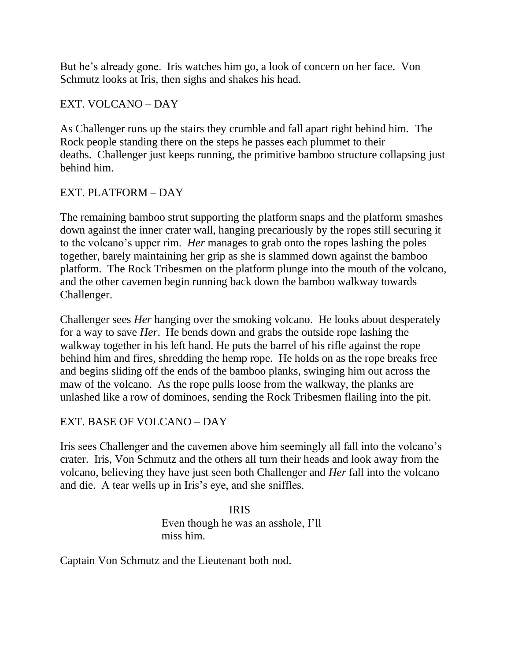But he's already gone. Iris watches him go, a look of concern on her face. Von Schmutz looks at Iris, then sighs and shakes his head.

# EXT. VOLCANO – DAY

As Challenger runs up the stairs they crumble and fall apart right behind him. The Rock people standing there on the steps he passes each plummet to their deaths. Challenger just keeps running, the primitive bamboo structure collapsing just behind him.

# EXT. PLATFORM – DAY

The remaining bamboo strut supporting the platform snaps and the platform smashes down against the inner crater wall, hanging precariously by the ropes still securing it to the volcano's upper rim. *Her* manages to grab onto the ropes lashing the poles together, barely maintaining her grip as she is slammed down against the bamboo platform. The Rock Tribesmen on the platform plunge into the mouth of the volcano, and the other cavemen begin running back down the bamboo walkway towards Challenger.

Challenger sees *Her* hanging over the smoking volcano. He looks about desperately for a way to save *Her*. He bends down and grabs the outside rope lashing the walkway together in his left hand. He puts the barrel of his rifle against the rope behind him and fires, shredding the hemp rope. He holds on as the rope breaks free and begins sliding off the ends of the bamboo planks, swinging him out across the maw of the volcano. As the rope pulls loose from the walkway, the planks are unlashed like a row of dominoes, sending the Rock Tribesmen flailing into the pit.

# EXT. BASE OF VOLCANO – DAY

Iris sees Challenger and the cavemen above him seemingly all fall into the volcano's crater. Iris, Von Schmutz and the others all turn their heads and look away from the volcano, believing they have just seen both Challenger and *Her* fall into the volcano and die. A tear wells up in Iris's eye, and she sniffles.

 IRIS Even though he was an asshole, I'll miss him.

Captain Von Schmutz and the Lieutenant both nod.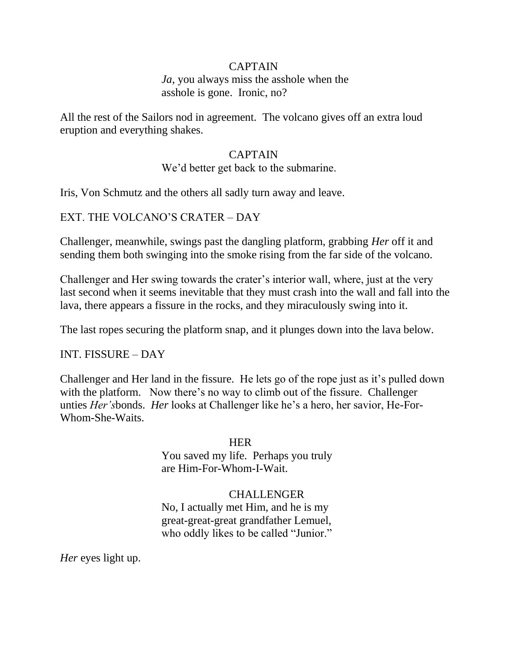## CAPTAIN

*Ja*, you always miss the asshole when the asshole is gone. Ironic, no?

All the rest of the Sailors nod in agreement. The volcano gives off an extra loud eruption and everything shakes.

# CAPTAIN

We'd better get back to the submarine.

Iris, Von Schmutz and the others all sadly turn away and leave.

## EXT. THE VOLCANO'S CRATER – DAY

Challenger, meanwhile, swings past the dangling platform, grabbing *Her* off it and sending them both swinging into the smoke rising from the far side of the volcano.

Challenger and Her swing towards the crater's interior wall, where, just at the very last second when it seems inevitable that they must crash into the wall and fall into the lava, there appears a fissure in the rocks, and they miraculously swing into it.

The last ropes securing the platform snap, and it plunges down into the lava below.

# INT. FISSURE – DAY

Challenger and Her land in the fissure. He lets go of the rope just as it's pulled down with the platform. Now there's no way to climb out of the fissure. Challenger unties *Her's*bonds. *Her* looks at Challenger like he's a hero, her savior, He-For-Whom-She-Waits.

**HER HER**  You saved my life. Perhaps you truly are Him-For-Whom-I-Wait.

# CHALLENGER

 No, I actually met Him, and he is my great-great-great grandfather Lemuel, who oddly likes to be called "Junior."

*Her* eyes light up.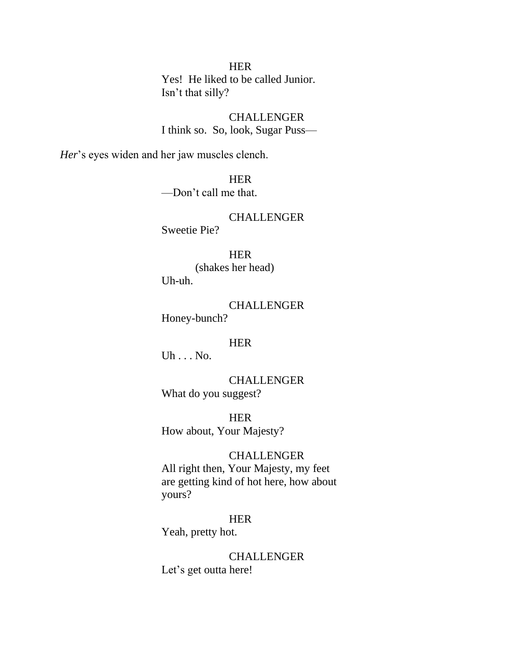## **HER**

 Yes! He liked to be called Junior. Isn't that silly?

 CHALLENGER I think so. So, look, Sugar Puss—

*Her*'s eyes widen and her jaw muscles clench.

 HER —Don't call me that.

## CHALLENGER Sweetie Pie?

## HER

 (shakes her head) Uh-uh.

 CHALLENGER Honey-bunch?

# **HER HER**

Uh . . . No.

 CHALLENGER What do you suggest?

**HER HER** How about, Your Majesty?

### CHALLENGER

 All right then, Your Majesty, my feet are getting kind of hot here, how about yours?

### HER

Yeah, pretty hot.

### **CHALLENGER**

Let's get outta here!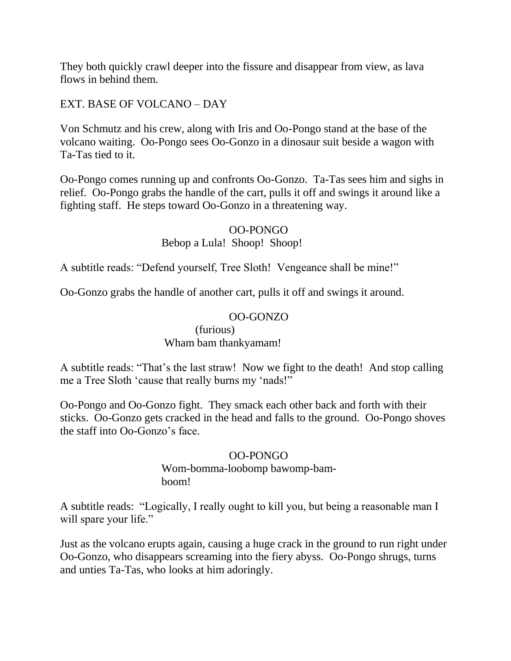They both quickly crawl deeper into the fissure and disappear from view, as lava flows in behind them.

EXT. BASE OF VOLCANO – DAY

Von Schmutz and his crew, along with Iris and Oo-Pongo stand at the base of the volcano waiting. Oo-Pongo sees Oo-Gonzo in a dinosaur suit beside a wagon with Ta-Tas tied to it.

Oo-Pongo comes running up and confronts Oo-Gonzo. Ta-Tas sees him and sighs in relief. Oo-Pongo grabs the handle of the cart, pulls it off and swings it around like a fighting staff. He steps toward Oo-Gonzo in a threatening way.

# OO-PONGO

# Bebop a Lula! Shoop! Shoop!

A subtitle reads: "Defend yourself, Tree Sloth! Vengeance shall be mine!"

Oo-Gonzo grabs the handle of another cart, pulls it off and swings it around.

# OO-GONZO

 (furious) Wham bam thankyamam!

A subtitle reads: "That's the last straw! Now we fight to the death! And stop calling me a Tree Sloth 'cause that really burns my 'nads!"

Oo-Pongo and Oo-Gonzo fight. They smack each other back and forth with their sticks. Oo-Gonzo gets cracked in the head and falls to the ground. Oo-Pongo shoves the staff into Oo-Gonzo's face.

# OO-PONGO

 Wom-bomma-loobomp bawomp-bam boom!

A subtitle reads: "Logically, I really ought to kill you, but being a reasonable man I will spare your life."

Just as the volcano erupts again, causing a huge crack in the ground to run right under Oo-Gonzo, who disappears screaming into the fiery abyss. Oo-Pongo shrugs, turns and unties Ta-Tas, who looks at him adoringly.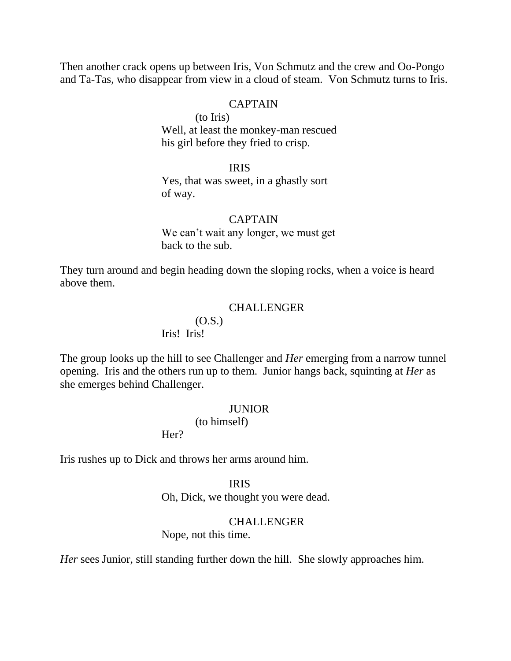Then another crack opens up between Iris, Von Schmutz and the crew and Oo-Pongo and Ta-Tas, who disappear from view in a cloud of steam. Von Schmutz turns to Iris.

### CAPTAIN

 (to Iris) Well, at least the monkey-man rescued his girl before they fried to crisp.

## IRIS

 Yes, that was sweet, in a ghastly sort of way.

### CAPTAIN

 We can't wait any longer, we must get back to the sub.

They turn around and begin heading down the sloping rocks, when a voice is heard above them.

### CHALLENGER

## (O.S.) Iris! Iris!

The group looks up the hill to see Challenger and *Her* emerging from a narrow tunnel opening. Iris and the others run up to them. Junior hangs back, squinting at *Her* as she emerges behind Challenger.

### **JUNIOR**

(to himself)

Her?

Iris rushes up to Dick and throws her arms around him.

## IRIS

Oh, Dick, we thought you were dead.

#### CHALLENGER

Nope, not this time.

*Her* sees Junior, still standing further down the hill. She slowly approaches him.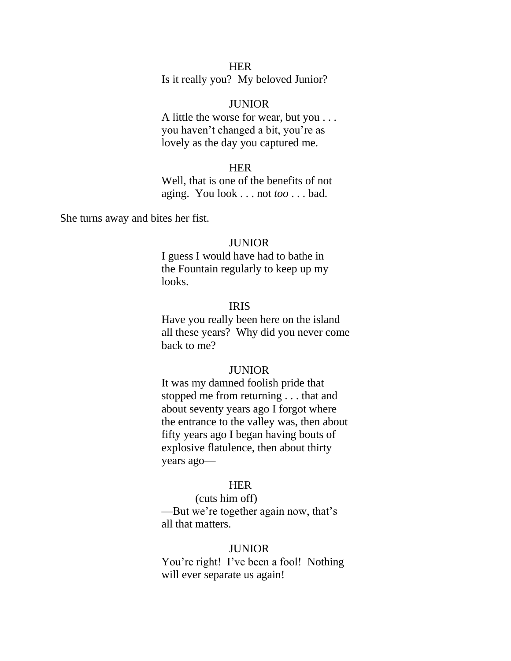## **HER**

Is it really you? My beloved Junior?

### JUNIOR

 A little the worse for wear, but you . . . you haven't changed a bit, you're as lovely as the day you captured me.

## **HER**

 Well, that is one of the benefits of not aging. You look . . . not *too* . . . bad.

She turns away and bites her fist.

#### JUNIOR

 I guess I would have had to bathe in the Fountain regularly to keep up my looks.

## IRIS

 Have you really been here on the island all these years? Why did you never come back to me?

### **JUNIOR**

 It was my damned foolish pride that stopped me from returning . . . that and about seventy years ago I forgot where the entrance to the valley was, then about fifty years ago I began having bouts of explosive flatulence, then about thirty years ago—

## **HER**

 (cuts him off) —But we're together again now, that's all that matters.

#### JUNIOR

 You're right! I've been a fool! Nothing will ever separate us again!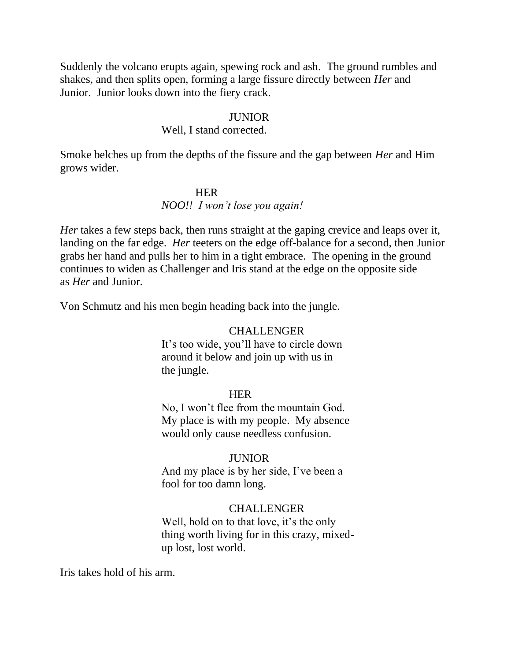Suddenly the volcano erupts again, spewing rock and ash. The ground rumbles and shakes, and then splits open, forming a large fissure directly between *Her* and Junior. Junior looks down into the fiery crack.

## **JUNIOR**

### Well, I stand corrected.

Smoke belches up from the depths of the fissure and the gap between *Her* and Him grows wider.

### **HER**

### *NOO!! I won't lose you again!*

*Her* takes a few steps back, then runs straight at the gaping crevice and leaps over it, landing on the far edge. *Her* teeters on the edge off-balance for a second, then Junior grabs her hand and pulls her to him in a tight embrace. The opening in the ground continues to widen as Challenger and Iris stand at the edge on the opposite side as *Her* and Junior.

Von Schmutz and his men begin heading back into the jungle.

### CHALLENGER

 It's too wide, you'll have to circle down around it below and join up with us in the jungle.

## **HER**

 No, I won't flee from the mountain God. My place is with my people. My absence would only cause needless confusion.

## JUNIOR

 And my place is by her side, I've been a fool for too damn long.

### CHALLENGER

 Well, hold on to that love, it's the only thing worth living for in this crazy, mixed up lost, lost world.

Iris takes hold of his arm.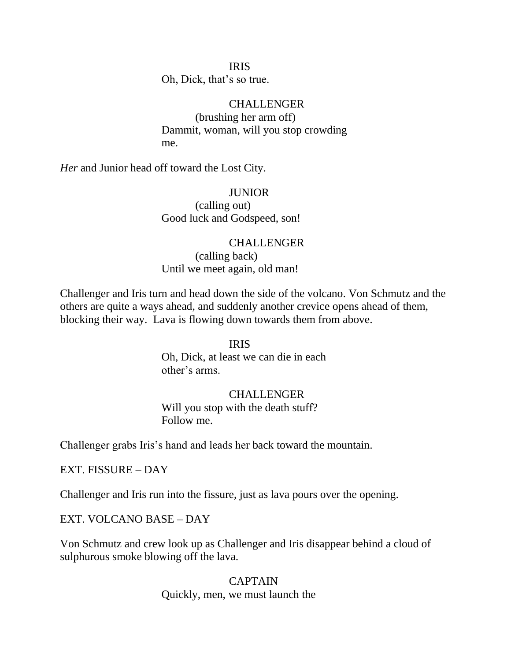## IRIS

Oh, Dick, that's so true.

### **CHALLENGER**

 (brushing her arm off) Dammit, woman, will you stop crowding me.

*Her* and Junior head off toward the Lost City.

### JUNIOR

 (calling out) Good luck and Godspeed, son!

## CHALLENGER

 (calling back) Until we meet again, old man!

Challenger and Iris turn and head down the side of the volcano. Von Schmutz and the others are quite a ways ahead, and suddenly another crevice opens ahead of them, blocking their way. Lava is flowing down towards them from above.

## IRIS

 Oh, Dick, at least we can die in each other's arms.

## **CHALLENGER**

 Will you stop with the death stuff? Follow me.

Challenger grabs Iris's hand and leads her back toward the mountain.

EXT. FISSURE – DAY

Challenger and Iris run into the fissure, just as lava pours over the opening.

EXT. VOLCANO BASE – DAY

Von Schmutz and crew look up as Challenger and Iris disappear behind a cloud of sulphurous smoke blowing off the lava.

> CAPTAIN Quickly, men, we must launch the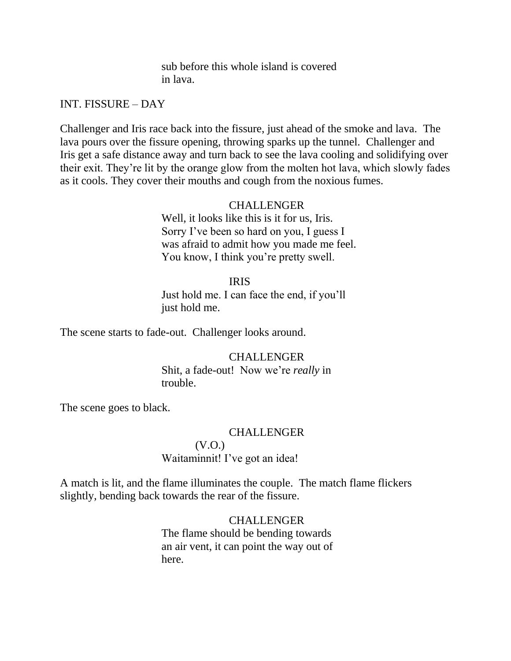sub before this whole island is covered in lava.

INT. FISSURE – DAY

Challenger and Iris race back into the fissure, just ahead of the smoke and lava. The lava pours over the fissure opening, throwing sparks up the tunnel. Challenger and Iris get a safe distance away and turn back to see the lava cooling and solidifying over their exit. They're lit by the orange glow from the molten hot lava, which slowly fades as it cools. They cover their mouths and cough from the noxious fumes.

## **CHALLENGER**

 Well, it looks like this is it for us, Iris. Sorry I've been so hard on you, I guess I was afraid to admit how you made me feel. You know, I think you're pretty swell.

## IRIS

 Just hold me. I can face the end, if you'll just hold me.

The scene starts to fade-out. Challenger looks around.

### CHALLENGER

 Shit, a fade-out! Now we're *really* in trouble.

The scene goes to black.

### CHALLENGER

# (V.O.)

Waitaminnit! I've got an idea!

A match is lit, and the flame illuminates the couple. The match flame flickers slightly, bending back towards the rear of the fissure.

## CHALLENGER

 The flame should be bending towards an air vent, it can point the way out of here.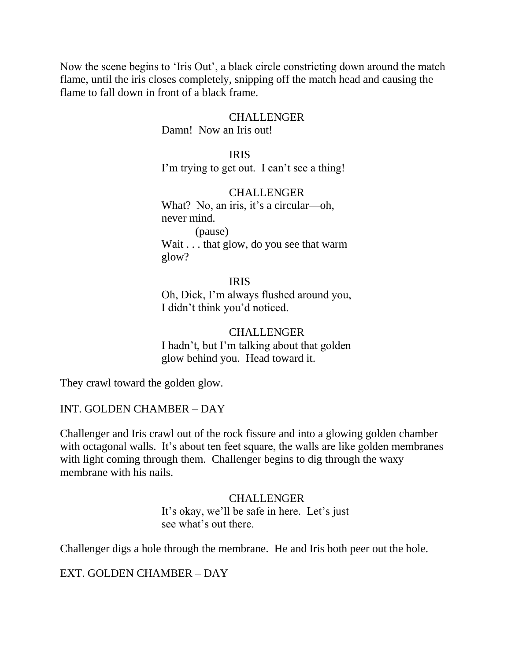Now the scene begins to 'Iris Out', a black circle constricting down around the match flame, until the iris closes completely, snipping off the match head and causing the flame to fall down in front of a black frame.

## CHALLENGER

Damn! Now an Iris out!

IRIS

I'm trying to get out. I can't see a thing!

### CHALLENGER

What? No, an iris, it's a circular—oh, never mind. (pause) Wait . . . that glow, do you see that warm glow?

 IRIS Oh, Dick, I'm always flushed around you, I didn't think you'd noticed.

> CHALLENGER I hadn't, but I'm talking about that golden glow behind you. Head toward it.

They crawl toward the golden glow.

### INT. GOLDEN CHAMBER – DAY

Challenger and Iris crawl out of the rock fissure and into a glowing golden chamber with octagonal walls. It's about ten feet square, the walls are like golden membranes with light coming through them. Challenger begins to dig through the waxy membrane with his nails.

> CHALLENGER It's okay, we'll be safe in here. Let's just see what's out there.

Challenger digs a hole through the membrane. He and Iris both peer out the hole.

EXT. GOLDEN CHAMBER – DAY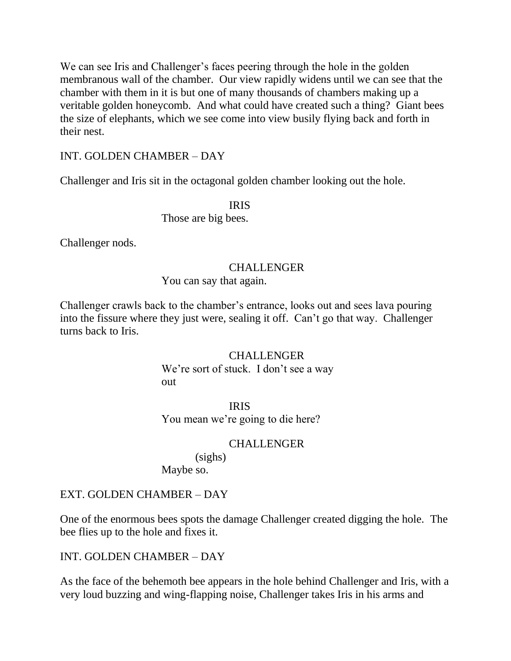We can see Iris and Challenger's faces peering through the hole in the golden membranous wall of the chamber. Our view rapidly widens until we can see that the chamber with them in it is but one of many thousands of chambers making up a veritable golden honeycomb. And what could have created such a thing? Giant bees the size of elephants, which we see come into view busily flying back and forth in their nest.

# INT. GOLDEN CHAMBER – DAY

Challenger and Iris sit in the octagonal golden chamber looking out the hole.

# IRIS Those are big bees.

Challenger nods.

## CHALLENGER

You can say that again.

Challenger crawls back to the chamber's entrance, looks out and sees lava pouring into the fissure where they just were, sealing it off. Can't go that way. Challenger turns back to Iris.

## CHALLENGER

We're sort of stuck. I don't see a way **out** and the set of the set of the set of the set of the set of the set of the set of the set of the set of the set of the set of the set of the set of the set of the set of the set of the set of the set of the set of the

 IRIS You mean we're going to die here?

## CHALLENGER

 (sighs) Maybe so.

# EXT. GOLDEN CHAMBER – DAY

One of the enormous bees spots the damage Challenger created digging the hole. The bee flies up to the hole and fixes it.

# INT. GOLDEN CHAMBER – DAY

As the face of the behemoth bee appears in the hole behind Challenger and Iris, with a very loud buzzing and wing-flapping noise, Challenger takes Iris in his arms and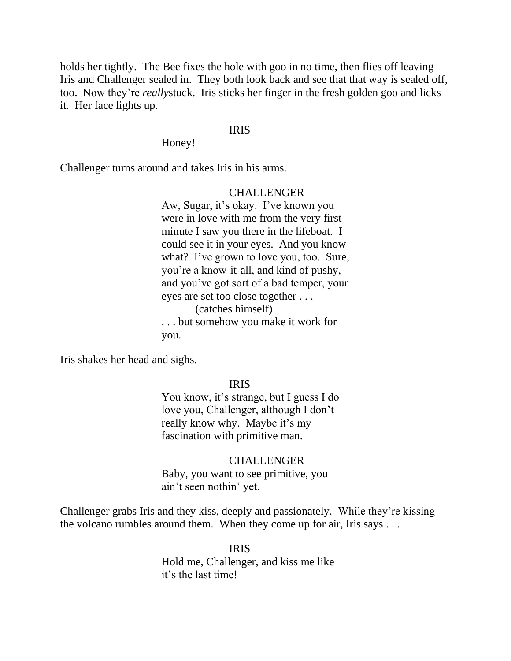holds her tightly. The Bee fixes the hole with goo in no time, then flies off leaving Iris and Challenger sealed in. They both look back and see that that way is sealed off, too. Now they're *really*stuck. Iris sticks her finger in the fresh golden goo and licks it. Her face lights up.

## IRIS

Honey!

Challenger turns around and takes Iris in his arms.

## **CHALLENGER**

 Aw, Sugar, it's okay. I've known you were in love with me from the very first minute I saw you there in the lifeboat. I could see it in your eyes. And you know what? I've grown to love you, too. Sure, you're a know-it-all, and kind of pushy, and you've got sort of a bad temper, your eyes are set too close together . . . (catches himself) . . . but somehow you make it work for you.

Iris shakes her head and sighs.

## IRIS

 You know, it's strange, but I guess I do love you, Challenger, although I don't really know why. Maybe it's my fascination with primitive man.

## CHALLENGER Baby, you want to see primitive, you ain't seen nothin' yet.

Challenger grabs Iris and they kiss, deeply and passionately. While they're kissing the volcano rumbles around them. When they come up for air, Iris says . . .

 IRIS Hold me, Challenger, and kiss me like it's the last time!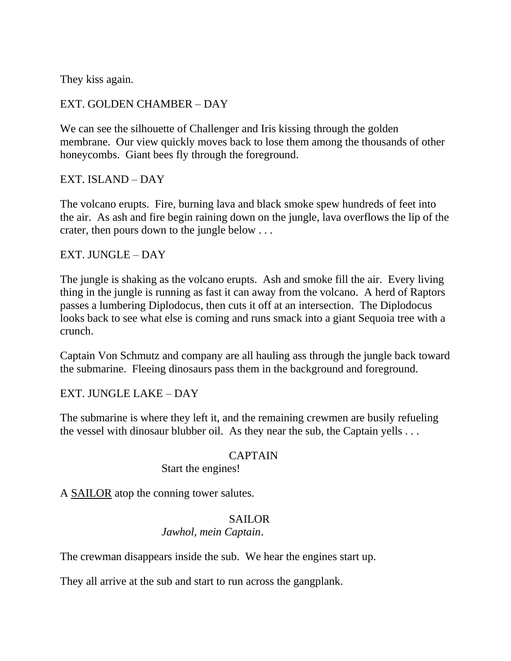They kiss again.

## EXT. GOLDEN CHAMBER – DAY

We can see the silhouette of Challenger and Iris kissing through the golden membrane. Our view quickly moves back to lose them among the thousands of other honeycombs. Giant bees fly through the foreground.

EXT. ISLAND – DAY

The volcano erupts. Fire, burning lava and black smoke spew hundreds of feet into the air. As ash and fire begin raining down on the jungle, lava overflows the lip of the crater, then pours down to the jungle below . . .

## EXT. JUNGLE – DAY

The jungle is shaking as the volcano erupts. Ash and smoke fill the air. Every living thing in the jungle is running as fast it can away from the volcano. A herd of Raptors passes a lumbering Diplodocus, then cuts it off at an intersection. The Diplodocus looks back to see what else is coming and runs smack into a giant Sequoia tree with a crunch.

Captain Von Schmutz and company are all hauling ass through the jungle back toward the submarine. Fleeing dinosaurs pass them in the background and foreground.

EXT. JUNGLE LAKE – DAY

The submarine is where they left it, and the remaining crewmen are busily refueling the vessel with dinosaur blubber oil. As they near the sub, the Captain yells . . .

## CAPTAIN

Start the engines!

A SAILOR atop the conning tower salutes.

## SAILOR

## *Jawhol, mein Captain*.

The crewman disappears inside the sub. We hear the engines start up.

They all arrive at the sub and start to run across the gangplank.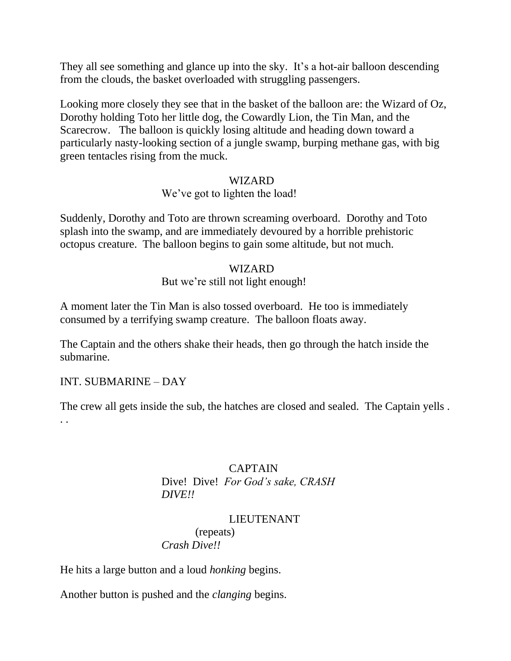They all see something and glance up into the sky. It's a hot-air balloon descending from the clouds, the basket overloaded with struggling passengers.

Looking more closely they see that in the basket of the balloon are: the Wizard of Oz, Dorothy holding Toto her little dog, the Cowardly Lion, the Tin Man, and the Scarecrow. The balloon is quickly losing altitude and heading down toward a particularly nasty-looking section of a jungle swamp, burping methane gas, with big green tentacles rising from the muck.

#### WIZARD

#### We've got to lighten the load!

Suddenly, Dorothy and Toto are thrown screaming overboard. Dorothy and Toto splash into the swamp, and are immediately devoured by a horrible prehistoric octopus creature. The balloon begins to gain some altitude, but not much.

## WIZARD

## But we're still not light enough!

A moment later the Tin Man is also tossed overboard. He too is immediately consumed by a terrifying swamp creature. The balloon floats away.

The Captain and the others shake their heads, then go through the hatch inside the submarine.

#### INT. SUBMARINE – DAY

The crew all gets inside the sub, the hatches are closed and sealed. The Captain yells . . .

## CAPTAIN

 Dive! Dive! *For God's sake, CRASH DIVE!!*

## LIEUTENANT

 (repeats) *Crash Dive!!*

He hits a large button and a loud *honking* begins.

Another button is pushed and the *clanging* begins.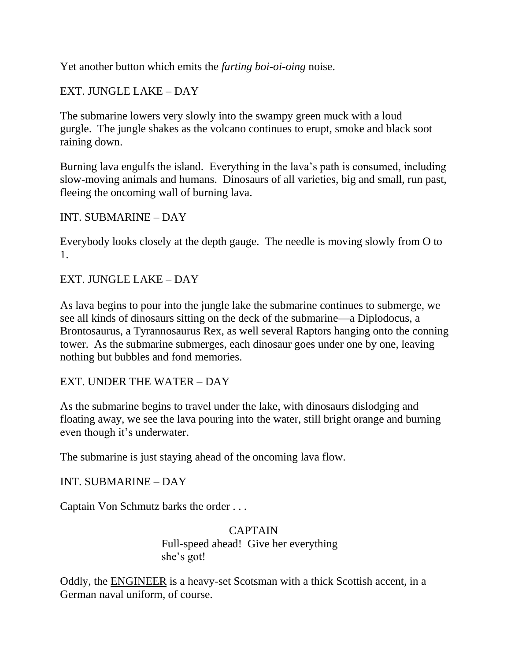Yet another button which emits the *farting boi-oi-oing* noise.

## EXT. JUNGLE LAKE – DAY

The submarine lowers very slowly into the swampy green muck with a loud gurgle. The jungle shakes as the volcano continues to erupt, smoke and black soot raining down.

Burning lava engulfs the island. Everything in the lava's path is consumed, including slow-moving animals and humans. Dinosaurs of all varieties, big and small, run past, fleeing the oncoming wall of burning lava.

## INT. SUBMARINE – DAY

Everybody looks closely at the depth gauge. The needle is moving slowly from O to 1.

## EXT. JUNGLE LAKE – DAY

As lava begins to pour into the jungle lake the submarine continues to submerge, we see all kinds of dinosaurs sitting on the deck of the submarine—a Diplodocus, a Brontosaurus, a Tyrannosaurus Rex, as well several Raptors hanging onto the conning tower. As the submarine submerges, each dinosaur goes under one by one, leaving nothing but bubbles and fond memories.

## EXT. UNDER THE WATER – DAY

As the submarine begins to travel under the lake, with dinosaurs dislodging and floating away, we see the lava pouring into the water, still bright orange and burning even though it's underwater.

The submarine is just staying ahead of the oncoming lava flow.

INT. SUBMARINE – DAY

Captain Von Schmutz barks the order . . .

 CAPTAIN Full-speed ahead! Give her everything she's got!

Oddly, the ENGINEER is a heavy-set Scotsman with a thick Scottish accent, in a German naval uniform, of course.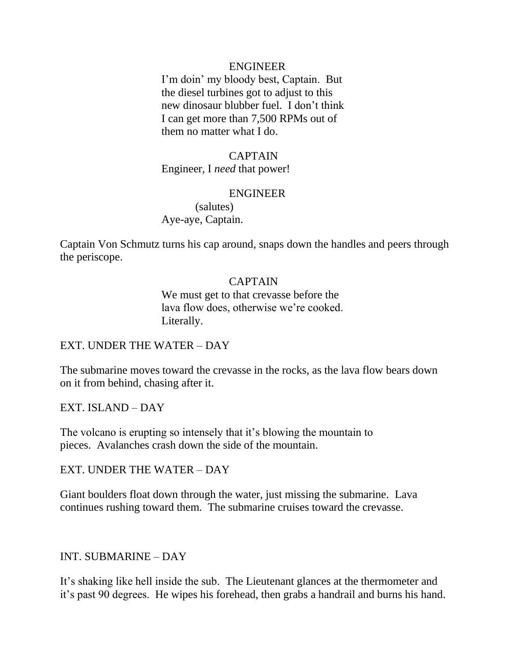#### ENGINEER

 I'm doin' my bloody best, Captain. But the diesel turbines got to adjust to this new dinosaur blubber fuel. I don't think I can get more than 7,500 RPMs out of them no matter what I do.

#### CAPTAIN

Engineer, I *need* that power!

#### ENGINEER

 (salutes) Aye-aye, Captain.

Captain Von Schmutz turns his cap around, snaps down the handles and peers through the periscope.

#### CAPTAIN

 We must get to that crevasse before the lava flow does, otherwise we're cooked. Literally.

#### EXT. UNDER THE WATER – DAY

The submarine moves toward the crevasse in the rocks, as the lava flow bears down on it from behind, chasing after it.

EXT. ISLAND – DAY

The volcano is erupting so intensely that it's blowing the mountain to pieces. Avalanches crash down the side of the mountain.

#### EXT. UNDER THE WATER – DAY

Giant boulders float down through the water, just missing the submarine. Lava continues rushing toward them. The submarine cruises toward the crevasse.

#### INT. SUBMARINE – DAY

It's shaking like hell inside the sub. The Lieutenant glances at the thermometer and it's past 90 degrees. He wipes his forehead, then grabs a handrail and burns his hand.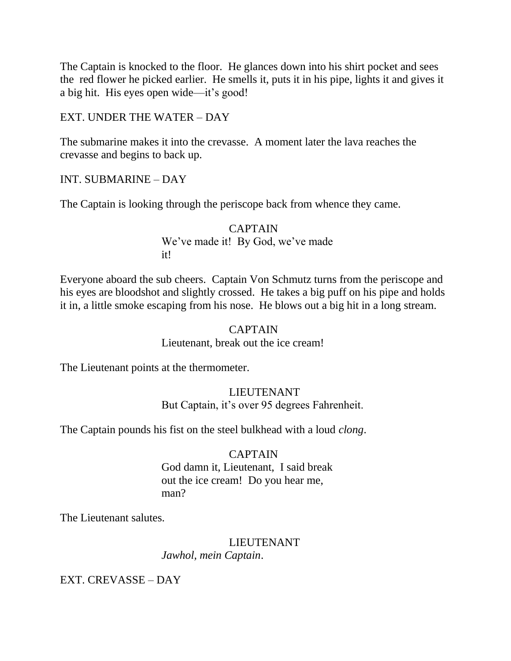The Captain is knocked to the floor. He glances down into his shirt pocket and sees the red flower he picked earlier. He smells it, puts it in his pipe, lights it and gives it a big hit. His eyes open wide—it's good!

## EXT. UNDER THE WATER – DAY

The submarine makes it into the crevasse. A moment later the lava reaches the crevasse and begins to back up.

INT. SUBMARINE – DAY

The Captain is looking through the periscope back from whence they came.

 CAPTAIN We've made it! By God, we've made it!

Everyone aboard the sub cheers. Captain Von Schmutz turns from the periscope and his eyes are bloodshot and slightly crossed. He takes a big puff on his pipe and holds it in, a little smoke escaping from his nose. He blows out a big hit in a long stream.

#### CAPTAIN

Lieutenant, break out the ice cream!

The Lieutenant points at the thermometer.

## **LIEUTENANT** But Captain, it's over 95 degrees Fahrenheit.

The Captain pounds his fist on the steel bulkhead with a loud *clong*.

## CAPTAIN

## God damn it, Lieutenant, I said break out the ice cream! Do you hear me, man?

The Lieutenant salutes.

## LIEUTENANT *Jawhol, mein Captain*.

EXT. CREVASSE – DAY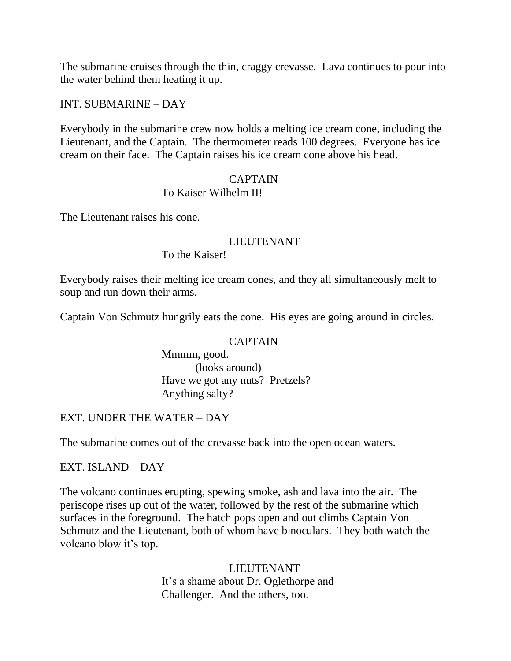The submarine cruises through the thin, craggy crevasse. Lava continues to pour into the water behind them heating it up.

INT. SUBMARINE – DAY

Everybody in the submarine crew now holds a melting ice cream cone, including the Lieutenant, and the Captain. The thermometer reads 100 degrees. Everyone has ice cream on their face. The Captain raises his ice cream cone above his head.

#### CAPTAIN

#### To Kaiser Wilhelm II!

The Lieutenant raises his cone.

#### LIEUTENANT

To the Kaiser!

Everybody raises their melting ice cream cones, and they all simultaneously melt to soup and run down their arms.

Captain Von Schmutz hungrily eats the cone. His eyes are going around in circles.

#### CAPTAIN

 Mmmm, good. (looks around) Have we got any nuts? Pretzels? Anything salty?

## EXT. UNDER THE WATER – DAY

The submarine comes out of the crevasse back into the open ocean waters.

## EXT. ISLAND – DAY

The volcano continues erupting, spewing smoke, ash and lava into the air. The periscope rises up out of the water, followed by the rest of the submarine which surfaces in the foreground. The hatch pops open and out climbs Captain Von Schmutz and the Lieutenant, both of whom have binoculars. They both watch the volcano blow it's top.

> LIEUTENANT It's a shame about Dr. Oglethorpe and Challenger. And the others, too.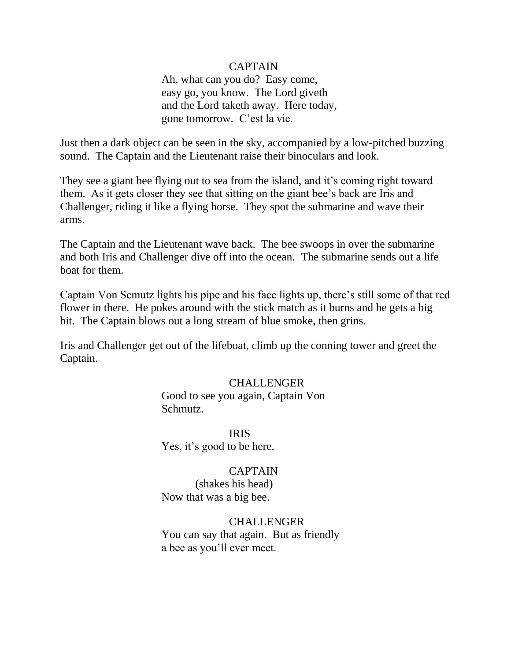## CAPTAIN

 Ah, what can you do? Easy come, easy go, you know. The Lord giveth and the Lord taketh away. Here today, gone tomorrow. C'est la vie.

Just then a dark object can be seen in the sky, accompanied by a low-pitched buzzing sound. The Captain and the Lieutenant raise their binoculars and look.

They see a giant bee flying out to sea from the island, and it's coming right toward them. As it gets closer they see that sitting on the giant bee's back are Iris and Challenger, riding it like a flying horse. They spot the submarine and wave their arms.

The Captain and the Lieutenant wave back. The bee swoops in over the submarine and both Iris and Challenger dive off into the ocean. The submarine sends out a life boat for them.

Captain Von Scmutz lights his pipe and his face lights up, there's still some of that red flower in there. He pokes around with the stick match as it burns and he gets a big hit. The Captain blows out a long stream of blue smoke, then grins.

Iris and Challenger get out of the lifeboat, climb up the conning tower and greet the Captain.

#### **CHALLENGER**

 Good to see you again, Captain Von Schmutz.

 IRIS Yes, it's good to be here.

#### CAPTAIN

 (shakes his head) Now that was a big bee.

#### **CHALLENGER**

 You can say that again. But as friendly a bee as you'll ever meet.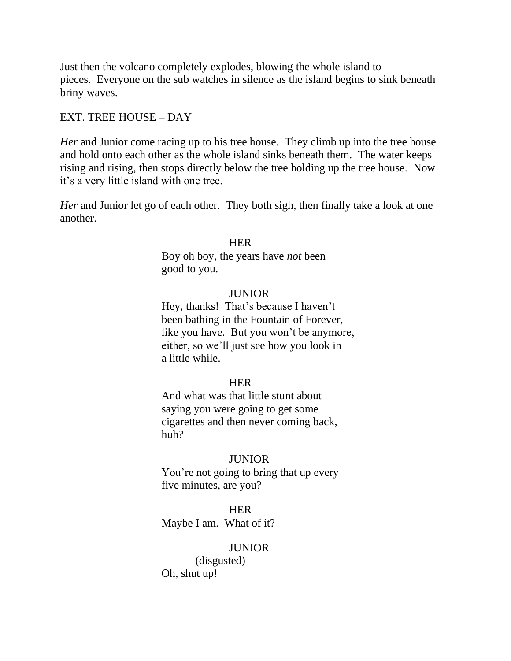Just then the volcano completely explodes, blowing the whole island to pieces. Everyone on the sub watches in silence as the island begins to sink beneath briny waves.

#### EXT. TREE HOUSE – DAY

*Her* and Junior come racing up to his tree house. They climb up into the tree house and hold onto each other as the whole island sinks beneath them. The water keeps rising and rising, then stops directly below the tree holding up the tree house. Now it's a very little island with one tree.

*Her* and Junior let go of each other. They both sigh, then finally take a look at one another.

#### **HER HER**

 Boy oh boy, the years have *not* been good to you.

#### JUNIOR

 Hey, thanks! That's because I haven't been bathing in the Fountain of Forever, like you have. But you won't be anymore, either, so we'll just see how you look in a little while.

#### **HER HER**

 And what was that little stunt about saying you were going to get some cigarettes and then never coming back, huh?

#### JUNIOR

 You're not going to bring that up every five minutes, are you?

**HER HER** Maybe I am. What of it?

#### **JUNIOR**

 (disgusted) Oh, shut up!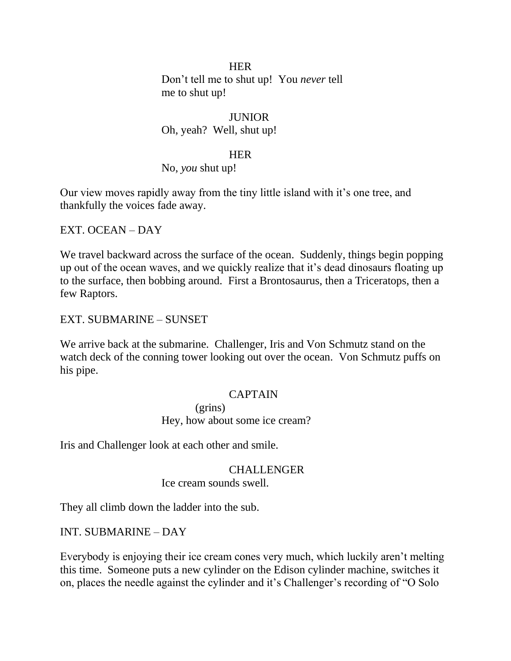**HER**  Don't tell me to shut up! You *never* tell me to shut up!

#### JUNIOR

Oh, yeah? Well, shut up!

#### **HER HER**

No, *you* shut up!

Our view moves rapidly away from the tiny little island with it's one tree, and thankfully the voices fade away.

EXT. OCEAN – DAY

We travel backward across the surface of the ocean. Suddenly, things begin popping up out of the ocean waves, and we quickly realize that it's dead dinosaurs floating up to the surface, then bobbing around. First a Brontosaurus, then a Triceratops, then a few Raptors.

EXT. SUBMARINE – SUNSET

We arrive back at the submarine. Challenger, Iris and Von Schmutz stand on the watch deck of the conning tower looking out over the ocean. Von Schmutz puffs on his pipe.

#### CAPTAIN

 (grins) Hey, how about some ice cream?

Iris and Challenger look at each other and smile.

#### CHALLENGER

Ice cream sounds swell.

They all climb down the ladder into the sub.

#### INT. SUBMARINE – DAY

Everybody is enjoying their ice cream cones very much, which luckily aren't melting this time. Someone puts a new cylinder on the Edison cylinder machine, switches it on, places the needle against the cylinder and it's Challenger's recording of "O Solo"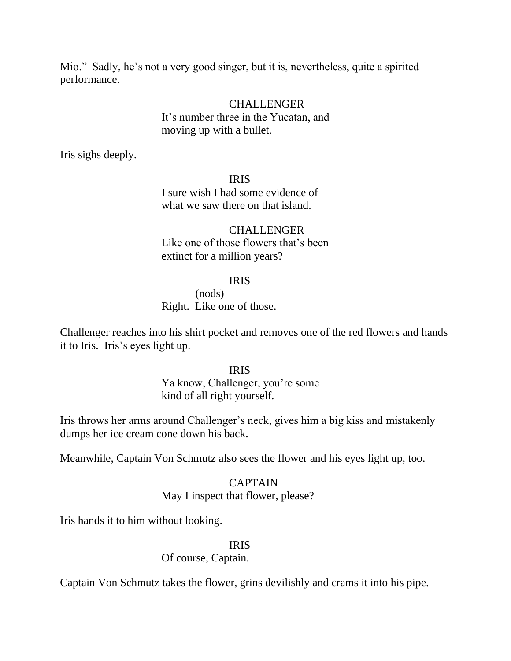Mio." Sadly, he's not a very good singer, but it is, nevertheless, quite a spirited performance.

## CHALLENGER It's number three in the Yucatan, and moving up with a bullet.

Iris sighs deeply.

 IRIS I sure wish I had some evidence of what we saw there on that island.

**CHALLENGER**  Like one of those flowers that's been extinct for a million years?

## IRIS

 (nods) Right. Like one of those.

Challenger reaches into his shirt pocket and removes one of the red flowers and hands it to Iris. Iris's eyes light up.

IRIS

 Ya know, Challenger, you're some kind of all right yourself.

Iris throws her arms around Challenger's neck, gives him a big kiss and mistakenly dumps her ice cream cone down his back.

Meanwhile, Captain Von Schmutz also sees the flower and his eyes light up, too.

## CAPTAIN

## May I inspect that flower, please?

Iris hands it to him without looking.

#### IRIS

Of course, Captain.

Captain Von Schmutz takes the flower, grins devilishly and crams it into his pipe.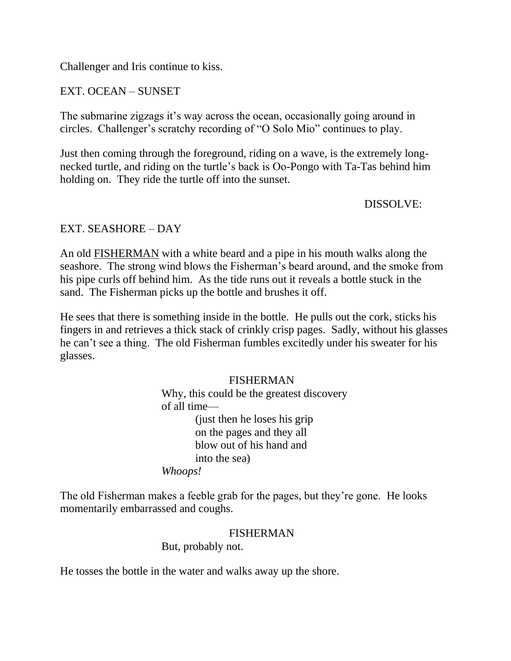Challenger and Iris continue to kiss.

EXT. OCEAN – SUNSET

The submarine zigzags it's way across the ocean, occasionally going around in circles. Challenger's scratchy recording of "O Solo Mio" continues to play.

Just then coming through the foreground, riding on a wave, is the extremely longnecked turtle, and riding on the turtle's back is Oo-Pongo with Ta-Tas behind him holding on. They ride the turtle off into the sunset.

DISSOLVE:

## EXT. SEASHORE – DAY

An old FISHERMAN with a white beard and a pipe in his mouth walks along the seashore. The strong wind blows the Fisherman's beard around, and the smoke from his pipe curls off behind him. As the tide runs out it reveals a bottle stuck in the sand. The Fisherman picks up the bottle and brushes it off.

He sees that there is something inside in the bottle. He pulls out the cork, sticks his fingers in and retrieves a thick stack of crinkly crisp pages. Sadly, without his glasses he can't see a thing. The old Fisherman fumbles excitedly under his sweater for his glasses.

> FISHERMAN Why, this could be the greatest discovery of all time— (just then he loses his grip on the pages and they all blow out of his hand and into the sea)  *Whoops!*

The old Fisherman makes a feeble grab for the pages, but they're gone. He looks momentarily embarrassed and coughs.

## FISHERMAN

But, probably not.

He tosses the bottle in the water and walks away up the shore.